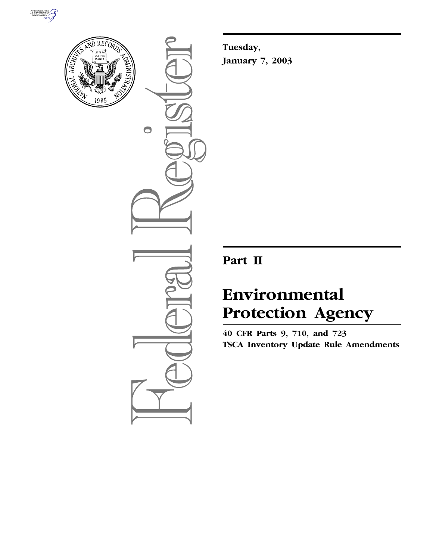



 $\bullet$ 

**Tuesday, January 7, 2003**

## **Part II**

# **Environmental Protection Agency**

**40 CFR Parts 9, 710, and 723 TSCA Inventory Update Rule Amendments**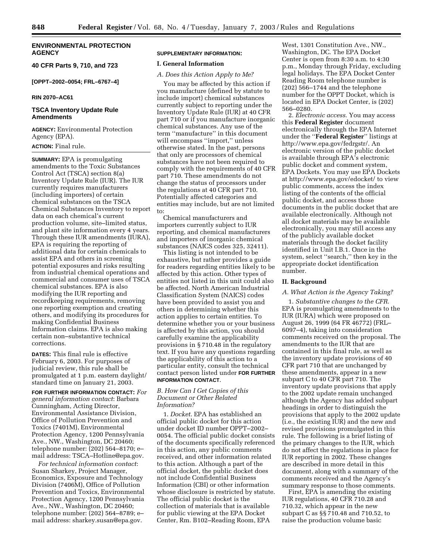#### **ENVIRONMENTAL PROTECTION AGENCY**

**40 CFR Parts 9, 710, and 723**

**[OPPT–2002–0054; FRL–6767–4]** 

#### **RIN 2070–AC61**

#### **TSCA Inventory Update Rule Amendments**

**AGENCY:** Environmental Protection Agency (EPA).

### **ACTION:** Final rule.

**SUMMARY:** EPA is promulgating amendments to the Toxic Substances Control Act (TSCA) section 8(a) Inventory Update Rule (IUR). The IUR currently requires manufacturers (including importers) of certain chemical substances on the TSCA Chemical Substances Inventory to report data on each chemical's current production volume, site–limited status, and plant site information every 4 years. Through these IUR amendments (IURA), EPA is requiring the reporting of additional data for certain chemicals to assist EPA and others in screening potential exposures and risks resulting from industrial chemical operations and commercial and consumer uses of TSCA chemical substances. EPA is also modifying the IUR reporting and recordkeeping requirements, removing one reporting exemption and creating others, and modifying its procedures for making Confidential Business Information claims. EPA is also making certain non–substantive technical corrections.

**DATES:** This final rule is effective February 6, 2003. For purposes of judicial review, this rule shall be promulgated at 1 p.m. eastern daylight/ standard time on January 21, 2003.

**FOR FURTHER INFORMATION CONTACT:** *For general information contact*: Barbara Cunningham, Acting Director, Environmental Assistance Division, Office of Pollution Prevention and Toxics (7401M), Environmental Protection Agency, 1200 Pennsylvania Ave., NW., Washington, DC 20460; telephone number: (202) 564–8170; e– mail address: TSCA–Hotline@epa.gov.

*For technical information contact*: Susan Sharkey, Project Manager, Economics, Exposure and Technology Division (7406M), Office of Pollution Prevention and Toxics, Environmental Protection Agency, 1200 Pennsylvania Ave., NW., Washington, DC 20460; telephone number: (202) 564–8789; e– mail address: sharkey.susan@epa.gov.

#### **SUPPLEMENTARY INFORMATION:**

#### **I. General Information**

#### *A. Does this Action Apply to Me?*

You may be affected by this action if you manufacture (defined by statute to include import) chemical substances currently subject to reporting under the Inventory Update Rule (IUR) at 40 CFR part 710 or if you manufacture inorganic chemical substances. Any use of the term ''manufacture'' in this document will encompass ''import,'' unless otherwise stated. In the past, persons that only are processors of chemical substances have not been required to comply with the requirements of 40 CFR part 710. These amendments do not change the status of processors under the regulations at 40 CFR part 710. Potentially affected categories and entities may include, but are not limited to:

Chemical manufacturers and importers currently subject to IUR reporting, and chemical manufacturers and importers of inorganic chemical substances (NAICS codes 325, 32411).

This listing is not intended to be exhaustive, but rather provides a guide for readers regarding entities likely to be affected by this action. Other types of entities not listed in this unit could also be affected. North American Industrial Classification System (NAICS) codes have been provided to assist you and others in determining whether this action applies to certain entities. To determine whether you or your business is affected by this action, you should carefully examine the applicability provisions in § 710.48 in the regulatory text. If you have any questions regarding the applicability of this action to a particular entity, consult the technical contact person listed under **FOR FURTHER INFORMATION CONTACT**.

#### *B. How Can I Get Copies of this Document or Other Related Information?*

1. *Docket*. EPA has established an official public docket for this action under docket ID number OPPT–2002– 0054. The official public docket consists of the documents specifically referenced in this action, any public comments received, and other information related to this action. Although a part of the official docket, the public docket does not include Confidential Business Information (CBI) or other information whose disclosure is restricted by statute. The official public docket is the collection of materials that is available for public viewing at the EPA Docket Center, Rm. B102–Reading Room, EPA

West, 1301 Constitution Ave., NW., Washington, DC. The EPA Docket Center is open from 8:30 a.m. to 4:30 p.m., Monday through Friday, excluding legal holidays. The EPA Docket Center Reading Room telephone number is (202) 566–1744 and the telephone number for the OPPT Docket, which is located in EPA Docket Center, is (202) 566–0280.

2. *Electronic access*. You may access this **Federal Register** document electronically through the EPA Internet under the ''**Federal Register**'' listings at http://www.epa.gov/fedrgstr/. An electronic version of the public docket is available through EPA's electronic public docket and comment system, EPA Dockets. You may use EPA Dockets at http://www.epa.gov/edocket/ to view public comments, access the index listing of the contents of the official public docket, and access those documents in the public docket that are available electronically. Although not all docket materials may be available electronically, you may still access any of the publicly available docket materials through the docket facility identified in Unit I.B.1. Once in the system, select ''search,'' then key in the appropriate docket identification number.

#### **II. Background**

#### *A. What Action is the Agency Taking?*

1. *Substantive changes to the CFR*. EPA is promulgating amendments to the IUR (IURA) which were proposed on August 26, 1999 (64 FR 46772) (FRL– 6097–4), taking into consideration comments received on the proposal. The amendments to the IUR that are contained in this final rule, as well as the inventory update provisions of 40 CFR part 710 that are unchanged by these amendments, appear in a new subpart C to 40 CFR part 710. The inventory update provisions that apply to the 2002 update remain unchanged although the Agency has added subpart headings in order to distinguish the provisions that apply to the 2002 update (i.e., the existing IUR) and the new and revised provisions promulgated in this rule. The following is a brief listing of the primary changes to the IUR, which do not affect the regulations in place for IUR reporting in 2002. These changes are described in more detail in this document, along with a summary of the comments received and the Agency's summary response to those comments.

First, EPA is amending the existing IUR regulations, 40 CFR 710.28 and 710.32, which appear in the new subpart C as §§ 710.48 and 710.52, to raise the production volume basic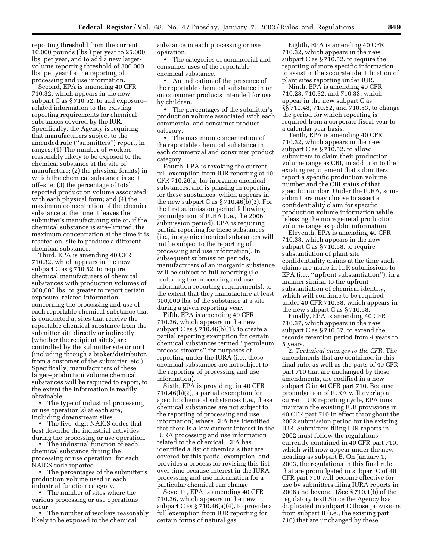reporting threshold from the current 10,000 pounds (lbs.) per year to 25,000 lbs. per year, and to add a new largervolume reporting threshold of 300,000 lbs. per year for the reporting of processing and use information.

Second, EPA is amending 40 CFR 710.32, which appears in the new subpart C as § 710.52, to add exposure– related information to the existing reporting requirements for chemical substances covered by the IUR. Specifically, the Agency is requiring that manufacturers subject to the amended rule (''submitters'') report, in ranges: (1) The number of workers reasonably likely to be exposed to the chemical substance at the site of manufacture; (2) the physical form(s) in which the chemical substance is sent off–site; (3) the percentage of total reported production volume associated with each physical form; and (4) the maximum concentration of the chemical substance at the time it leaves the submitter's manufacturing site or, if the chemical substance is site–limited, the maximum concentration at the time it is reacted on–site to produce a different chemical substance.

Third, EPA is amending 40 CFR 710.32, which appears in the new subpart C as § 710.52, to require chemical manufacturers of chemical substances with production volumes of 300,000 lbs. or greater to report certain exposure–related information concerning the processing and use of each reportable chemical substance that is conducted at sites that receive the reportable chemical substance from the submitter site directly or indirectly (whether the recipient site(s) are controlled by the submitter site or not) (including through a broker/distributor, from a customer of the submitter, etc.). Specifically, manufacturers of these larger–production volume chemical substances will be required to report, to the extent the information is readily obtainable:

• The type of industrial processing or use operation(s) at each site, including downstream sites.

• The five–digit NAICS codes that best describe the industrial activities during the processing or use operation.

• The industrial function of each chemical substance during the processing or use operation, for each NAICS code reported.

• The percentages of the submitter's production volume used in each industrial function category.

• The number of sites where the various processing or use operations occur.

• The number of workers reasonably likely to be exposed to the chemical

substance in each processing or use operation.

• The categories of commercial and consumer uses of the reportable chemical substance.

• An indication of the presence of the reportable chemical substance in or on consumer products intended for use by children.

• The percentages of the submitter's production volume associated with each commercial and consumer product category.

• The maximum concentration of the reportable chemical substance in each commercial and consumer product category.

Fourth, EPA is revoking the current full exemption from IUR reporting at 40 CFR 710.26(a) for inorganic chemical substances, and is phasing in reporting for these substances, which appears in the new subpart C as § 710.46(b)(3). For the first submission period following promulgation of IURA (i.e., the 2006 submission period), EPA is requiring partial reporting for these substances (i.e., inorganic chemical substances will not be subject to the reporting of processing and use information). In subsequent submission periods, manufacturers of an inorganic substance will be subject to full reporting (i.e., including the processing and use information reporting requirements), to the extent that they manufacture at least 300,000 lbs. of the substance at a site during a given reporting year.

Fifth, EPA is amending 40 CFR 710.26, which appears in the new subpart C as  $\S 710.46(b)(1)$ , to create a partial reporting exemption for certain chemical substances termed ''petroleum process streams'' for purposes of reporting under the IURA (i.e., these chemical substances are not subject to the reporting of processing and use information).

Sixth, EPA is providing, in 40 CFR 710.46(b)(2), a partial exemption for specific chemical substances (i.e., these chemical substances are not subject to the reporting of processing and use information) where EPA has identified that there is a low current interest in the IURA processing and use information related to the chemical. EPA has identified a list of chemicals that are covered by this partial exemption, and provides a process for revising this list over time because interest in the IURA processing and use information for a particular chemical can change.

Seventh, EPA is amending 40 CFR 710.26, which appears in the new subpart C as  $\S 710.46(a)(4)$ , to provide a full exemption from IUR reporting for certain forms of natural gas.

Eighth, EPA is amending 40 CFR 710.32, which appears in the new subpart C as § 710.52, to require the reporting of more specific information to assist in the accurate identification of plant sites reporting under IUR.

Ninth, EPA is amending 40 CFR 710.28, 710.32, and 710.33, which appear in the new subpart C as §§ 710.48, 710.52, and 710.53, to change the period for which reporting is required from a corporate fiscal year to a calendar year basis.

Tenth, EPA is amending 40 CFR 710.32, which appears in the new subpart C as § 710.52, to allow submitters to claim their production volume range as CBI, in addition to the existing requirement that submitters report a specific production volume number and the CBI status of that specific number. Under the IURA, some submitters may choose to assert a confidentiality claim for specific production volume information while releasing the more general production volume range as public information.

Eleventh, EPA is amending 40 CFR 710.38, which appears in the new subpart C as § 710.58, to require substantiation of plant site confidentiality claims at the time such claims are made in IUR submissions to EPA (i.e., ''upfront substantiation''), in a manner similar to the upfront substantiation of chemical identity, which will continue to be required under 40 CFR 710.38, which appears in the new subpart C as § 710.58.

Finally, EPA is amending 40 CFR 710.37, which appears in the new subpart C as § 710.57, to extend the records retention period from 4 years to 5 years.

2. *Technical changes to the CFR*. The amendments that are contained in this final rule, as well as the parts of 40 CFR part 710 that are unchanged by these amendments, are codified in a new subpart C in 40 CFR part 710. Because promulgation of IURA will overlap a current IUR reporting cycle, EPA must maintain the existing IUR provisions in 40 CFR part 710 in effect throughout the 2002 submission period for the existing IUR. Submitters filing IUR reports in 2002 must follow the regulations currently contained in 40 CFR part 710, which will now appear under the new heading as subpart B. On January 1, 2003, the regulations in this final rule that are promulgated in subpart C of 40 CFR part 710 will become effective for use by submitters filing IURA reports in 2006 and beyond. (See § 710.1(b) of the regulatory text) Since the Agency has duplicated in subpart C those provisions from subpart B (i.e., the existing part 710) that are unchanged by these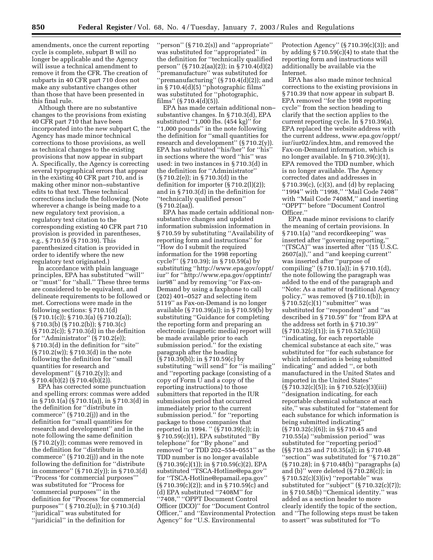amendments, once the current reporting cycle is complete, subpart B will no longer be applicable and the Agency will issue a technical amendment to remove it from the CFR. The creation of subparts in 40 CFR part 710 does not make any substantive changes other than those that have been presented in this final rule.

Although there are no substantive changes to the provisions from existing 40 CFR part 710 that have been incorporated into the new subpart C, the Agency has made minor technical corrections to those provisions, as well as technical changes to the existing provisions that now appear in subpart A. Specifically, the Agency is correcting several typographical errors that appear in the existing 40 CFR part 710, and is making other minor non–substantive edits to that text. These technical corrections include the following. (Note wherever a change is being made to a new regulatory text provision, a regulatory text citation to the corresponding existing 40 CFR part 710 provision is provided in parentheses, e.g., § 710.59 (§ 710.39). This parenthesized citation is provided in order to identify where the new regulatory text originated.)

In accordance with plain language principles, EPA has substituted ''will'' or ''must'' for ''shall.'' These three terms are considered to be equivalent, and delineate requirements to be followed or met. Corrections were made in the following sections: § 710.1(d) (§ 710.1(c)); § 710.3(a) (§ 710.2(a)); § 710.3(b) (§ 710.2(b)); § 710.3(c) (§ 710.2(c)); § 710.3(d) in the definition for "Administrator" (§ 710.2(e)); § 710.3(d) in the definition for "site" (§ 710.2(w)); § 710.3(d) in the note following the definition for ''small quantities for research and development'' (§ 710.2(y)); and § 710.4(b)(2) (§ 710.4(b)(2)).

EPA has corrected some punctuation and spelling errors: commas were added in § 710.1(a) (§ 710.1(a)), in § 710.3(d) in the definition for ''distribute in commerce'' (§ 710.2(j)) and in the definition for ''small quantities for research and development'' and in the note following the same definition (§ 710.2(y)); commas were removed in the definition for ''distribute in commerce'' (§ 710.2(j)) and in the note following the definition for ''distribute in commerce'' (§ 710.2(y)); in § 710.3(d) ''Process 'for commercial purposes''' was substituted for ''Process for 'commercial purposes''' in the definition for ''Process 'for commercial purposes''' ( § 710.2(u)); in § 710.3(d) ''juridical'' was substituted for ''juridicial'' in the definition for

''person'' (§ 710.2(s)) and ''appropriate'' was substituted for ''appropriated'' in the definition for ''technically qualified person'' (§ 710.2(aa)(2)); in § 710.4(d)(2) 'premanufacture'' was substituted for "premanufacturing"  $(\S 710.4(d)(2))$ ; and in § 710.4(d)(5) ''photographic films'' was substituted for ''photographic, films'' (§ 710.4(d)(5)).

EPA has made certain additional non– substantive changes. In § 710.3(d), EPA substituted ''1,000 lbs. (454 kg)'' for ''1,000 pounds'' in the note following the definition for ''small quantities for research and development'' (§ 710.2(y)). EPA has substituted ''his/her'' for ''his'' in sections where the word ''his'' was used: in two instances in § 710.3(d) in the definition for ''Administrator'' (§ 710.2(e)); in § 710.3(d) in the definition for importer (§ 710.2(l)(2)); and in § 710.3(d) in the definition for ''technically qualified person'' (§ 710.2(aa)).

EPA has made certain additional nonsubstantive changes and updated information submission information in § 710.59 by substituting ''Availability of reporting form and instructions'' for ''How do I submit the required information for the 1998 reporting cycle?'' (§ 710.39); in § 710.59(a) by substituting ''http://www.epa.gov/oppt/ iur'' for ''http://www.epa.gov/opptintr/ iur98'' and by removing ''or Fax-on-Demand by using a faxphone to call (202) 401–0527 and selecting item 5119'' as Fax-on-Demand is no longer available (§ 710.39(a)); in § 710.59(b) by substituting ''Guidance for completing the reporting form and preparing an electronic (magnetic media) report will be made available prior to each submission period.'' for the existing paragraph after the heading (§ 710.39(b)); in § 710.59(c) by substituting ''will send'' for ''is mailing'' and ''reporting package (consisting of a copy of Form U and a copy of the reporting instructions) to those submitters that reported in the IUR submission period that occurred immediately prior to the current submission period.'' for ''reporting package to those companies that reported in 1994. '' (§ 710.39(c)); in § 710.59(c)(1), EPA substituted ''By telephone'' for ''By phone'' and removed ''or TDD 202–554–0551'' as the TDD number is no longer available (§ 710.39(c)(1)); in § 710.59(c)(2), EPA substituted ''TSCA-Hotline@epa.gov'' for ''TSCA-Hotline@epamail.epa.gov'' (§ 710.39(c)(2)); and in § 710.59(c) and (d) EPA substituted ''7408M'' for ''7408,'' ''OPPT Document Control Officer (DCO)'' for ''Document Control Officer,'' and ''Environmental Protection Agency'' for ''U.S. Environmental

Protection Agency"  $(\frac{5}{710.39(c)(3)})$ ; and by adding  $\S 710.59(c)(4)$  to state that the reporting form and instructions will additionally be available via the Internet.

EPA has also made minor technical corrections to the existing provisions in § 710.39 that now appear in subpart B. EPA removed ''for the 1998 reporting cycle'' from the section heading to clarify that the section applies to the current reporting cycle. In § 710.39(a), EPA replaced the website address with the current address, www.epa.gov/oppt/ iur/iur02/index.htm, and removed the Fax-on-Demand information, which is no longer available. In § 710.39(c)(1), EPA removed the TDD number, which is no longer available. The Agency corrected dates and addresses in § 710.39(c), (c)(3), and (d) by replacing ''1994'' with ''1998,'' ''Mail Code 7408'' with ''Mail Code 7408M,'' and inserting ''OPPT'' before ''Document Control Officer.''

EPA made minor revisions to clarify the meaning of certain provisions. In § 710.1(a) ''and recordkeeping'' was inserted after ''governing reporting,'' ''(TSCA)'' was inserted after ''(15 U.S.C. 2607(a)),'' and ''and keeping current'' was inserted after ''purpose of compiling'' (§ 710.1(a)); in § 710.1(d), the note following the paragraph was added to the end of the paragraph and ''Note: As a matter of traditional Agency policy,'' was removed (§ 710.1(b)); in § 710.52(c)(1) "submitter" was substituted for ''respondent'' and ''as described in § 710.59'' for ''from EPA at the address set forth in § 710.39'' (§ 710.32(c)(1)); in § 710.52(c)3(ii) ''indicating, for each reportable chemical substance at each site,'' was substituted for ''for each substance for which information is being submitted indicating'' and added '', or both manufactured in the United States and imported in the United States''  $(\S 710.32(c)(5));$  in  $\S 710.52(c)(3)(iii)$ ''designation indicating, for each reportable chemical substance at each site,'' was substituted for ''statement for each substance for which information is being submitted indicating'' (§ 710.32(c)(6)); in §§ 710.45 and 710.55(a) ''submission period'' was substituted for ''reporting period'' (§§ 710.25 and 710.35(a)); in § 710.48 ''section'' was substituted for ''§ 710.28'' (§ 710.28); in § 710.48(b) ''paragraphs (a) and (b)'' were deleted (§ 710.28(c)); in § 710.52(c)(3)(iv) "reportable" was substituted for "subject" (§ 710.32(c)(7)); in § 710.58(b) ''Chemical identity.'' was added as a section header to more clearly identify the topic of the section, and ''The following steps must be taken to assert'' was substituted for ''To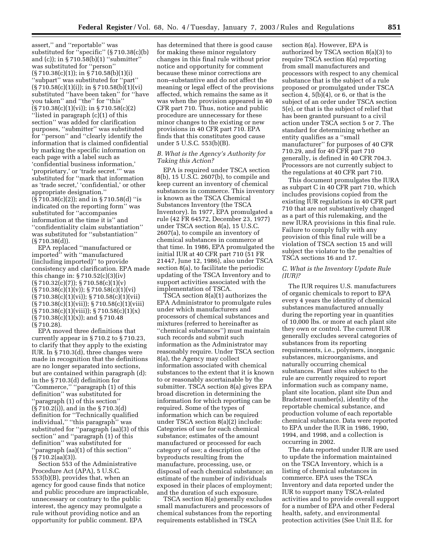assert,'' and ''reportable'' was substituted for ''specific'' (§ 710.38(c)(b) and (c)); in § 710.58(b)(1) ''submitter'' was substituted for ''person''  $(\frac{5}{710.38(c)(1)}; \text{ in } \frac{5}{710.58(b)(1)(i)}$ ''subpart'' was substituted for ''part''  $(\S 710.58(c)(1)(i));$  in  $\S 710.58(b)(1)(vi)$ substituted ''have been taken'' for ''have you taken'' and ''the'' for ''this'' (§ 710.38(c)(1)(vi)); in § 710.58(c)(2) ''listed in paragraph (c)(1) of this section'' was added for clarification purposes, ''submitter'' was substituted for ''person'' and ''clearly identify the information that is claimed confidential by marking the specific information on each page with a label such as 'confidential business information,' 'proprietary,' or 'trade secret.''' was substituted for ''mark that information as 'trade secret,' 'confidential,' or other appropriate designation.'' (§ 710.38(c)(2)); and in § 710.58(d) ''is indicated on the reporting form'' was substituted for ''accompanies information at the time it is'' and ''confidentiality claim substantiation'' was substituted for ''substantiation'' (§ 710.38(d)).

EPA replaced ''manufactured or imported'' with ''manufactured (including imported)'' to provide consistency and clarification. EPA made this change in:  $\S 710.52(c)(3)(iv)$  $(\frac{5}{710.32(c)(7)}; \frac{5}{710.58(c)(1)(v)}$  $(S 710.38(c)(1)(v))$ ;  $S 710.58(c)(1)(vi)$  $(\S 710.38(c)(1)(vi)); \S 710.58(c)(1)(vii)$ (§ 710.38(c)(1)(vii)); § 710.58(c)(1)(viii)  $(\frac{5}{710.38(c)(1)(viii)}; \frac{5}{710.58(c)(1)(x)}$  $(\S 710.38(c)(1)(x))$ ; and  $\S 710.48$ (§ 710.28).

EPA moved three definitions that currently appear in § 710.2 to § 710.23, to clarify that they apply to the existing IUR. In § 710.3(d), three changes were made in recognition that the definitions are no longer separated into sections, but are contained within paragraph (d): in the § 710.3(d) definition for ''Commerce,'' ''paragraph (1) of this definition'' was substituted for ''paragraph (1) of this section'' (§ 710.2(i)), and in the § 710.3(d) definition for ''Technically qualified individual,'' ''this paragraph'' was substituted for ''paragraph (aa)(3) of this section'' and ''paragraph (1) of this definition'' was substituted for ''paragraph (aa)(1) of this section''  $(S 710.2(aa)(3))$ .

Section 553 of the Administrative Procedure Act (APA), 5 U.S.C. 553(b)(B), provides that, when an agency for good cause finds that notice and public procedure are impracticable, unnecessary or contrary to the public interest, the agency may promulgate a rule without providing notice and an opportunity for public comment. EPA

has determined that there is good cause for making these minor regulatory changes in this final rule without prior notice and opportunity for comment because these minor corrections are non–substantive and do not affect the meaning or legal effect of the provisions affected, which remains the same as it was when the provision appeared in 40 CFR part 710. Thus, notice and public procedure are unnecessary for these minor changes to the existing or new provisions in 40 CFR part 710. EPA finds that this constitutes good cause under 5 U.S.C. 553(b)(B).

#### *B. What is the Agency's Authority for Taking this Action?*

EPA is required under TSCA section 8(b), 15 U.S.C. 2607(b), to compile and keep current an inventory of chemical substances in commerce. This inventory is known as the TSCA Chemical Substances Inventory (the TSCA Inventory). In 1977, EPA promulgated a rule (42 FR 64572, December 23, 1977) under TSCA section 8(a), 15 U.S.C. 2607(a), to compile an inventory of chemical substances in commerce at that time. In 1986, EPA promulgated the initial IUR at 40 CFR part 710 (51 FR 21447, June 12, 1986), also under TSCA section 8(a), to facilitate the periodic updating of the TSCA Inventory and to support activities associated with the implementation of TSCA.

TSCA section 8(a)(1) authorizes the EPA Administrator to promulgate rules under which manufacturers and processors of chemical substances and mixtures (referred to hereinafter as ''chemical substances'') must maintain such records and submit such information as the Administrator may reasonably require. Under TSCA section 8(a), the Agency may collect information associated with chemical substances to the extent that it is known to or reasonably ascertainable by the submitter. TSCA section 8(a) gives EPA broad discretion in determining the information for which reporting can be required. Some of the types of information which can be required under TSCA section 8(a)(2) include: Categories of use for each chemical substance; estimates of the amount manufactured or processed for each category of use; a description of the byproducts resulting from the manufacture, processing, use, or disposal of each chemical substance; an estimate of the number of individuals exposed in their places of employment; and the duration of such exposure.

TSCA section 8(a) generally excludes small manufacturers and processors of chemical substances from the reporting requirements established in TSCA

section 8(a). However, EPA is authorized by TSCA section 8(a)(3) to require TSCA section 8(a) reporting from small manufacturers and processors with respect to any chemical substance that is the subject of a rule proposed or promulgated under TSCA section 4, 5(b)(4), or 6, or that is the subject of an order under TSCA section 5(e), or that is the subject of relief that has been granted pursuant to a civil action under TSCA section 5 or 7. The standard for determining whether an entity qualifies as a ''small manufacturer'' for purposes of 40 CFR 710.29, and for 40 CFR part 710 generally, is defined in 40 CFR 704.3. Processors are not currently subject to the regulations at 40 CFR part 710.

This document promulgates the IURA as subpart C in 40 CFR part 710, which includes provisions copied from the existing IUR regulations in 40 CFR part 710 that are not substantively changed as a part of this rulemaking, and the new IURA provisions in this final rule. Failure to comply fully with any provision of this final rule will be a violation of TSCA section 15 and will subject the violator to the penalties of TSCA sections 16 and 17.

#### *C. What is the Inventory Update Rule (IUR)?*

The IUR requires U.S. manufacturers of organic chemicals to report to EPA every 4 years the identity of chemical substances manufactured annually during the reporting year in quantities of 10,000 lbs. or more at each plant site they own or control. The current IUR generally excludes several categories of substances from its reporting requirements, i.e., polymers, inorganic substances, microorganisms, and naturally occurring chemical substances. Plant sites subject to the rule are currently required to report information such as company name, plant site location, plant site Dun and Bradstreet number(s), identity of the reportable chemical substance, and production volume of each reportable chemical substance. Data were reported to EPA under the IUR in 1986, 1990, 1994, and 1998, and a collection is occurring in 2002.

The data reported under IUR are used to update the information maintained on the TSCA Inventory, which is a listing of chemical substances in commerce. EPA uses the TSCA Inventory and data reported under the IUR to support many TSCA-related activities and to provide overall support for a number of EPA and other Federal health, safety, and environmental protection activities (See Unit II.E. for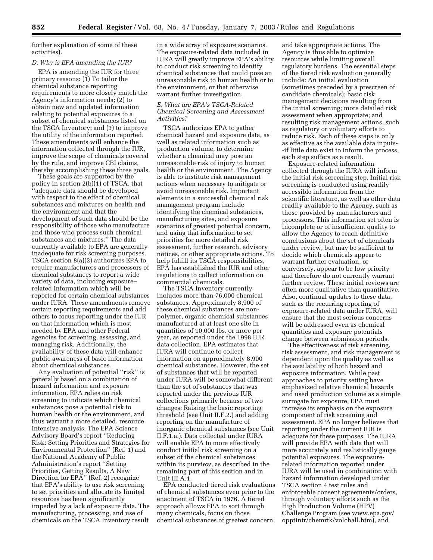further explanation of some of these activities).

#### *D. Why is EPA amending the IUR?*

EPA is amending the IUR for three primary reasons: (1) To tailor the chemical substance reporting requirements to more closely match the Agency's information needs; (2) to obtain new and updated information relating to potential exposures to a subset of chemical substances listed on the TSCA Inventory; and (3) to improve the utility of the information reported. These amendments will enhance the information collected through the IUR, improve the scope of chemicals covered by the rule, and improve CBI claims, thereby accomplishing these three goals.

These goals are supported by the policy in section 2(b)(1) of TSCA, that ''adequate data should be developed with respect to the effect of chemical substances and mixtures on health and the environment and that the development of such data should be the responsibility of those who manufacture and those who process such chemical substances and mixtures.'' The data currently available to EPA are generally inadequate for risk screening purposes. TSCA section 8(a)(2) authorizes EPA to require manufacturers and processors of chemical substances to report a wide variety of data, including exposure– related information which will be reported for certain chemical substances under IURA. These amendments remove certain reporting requirements and add others to focus reporting under the IUR on that information which is most needed by EPA and other Federal agencies for screening, assessing, and managing risk. Additionally, the availability of these data will enhance public awareness of basic information about chemical substances.

Any evaluation of potential ''risk'' is generally based on a combination of hazard information and exposure information. EPA relies on risk screening to indicate which chemical substances pose a potential risk to human health or the environment, and thus warrant a more detailed, resource intensive analysis. The EPA Science Advisory Board's report ''Reducing Risk: Setting Priorities and Strategies for Environmental Protection'' (Ref. 1) and the National Academy of Public Administration's report ''Setting Priorities, Getting Results, A New Direction for EPA'' (Ref. 2) recognize that EPA's ability to use risk screening to set priorities and allocate its limited resources has been significantly impeded by a lack of exposure data. The manufacturing, processing, and use of chemicals on the TSCA Inventory result

in a wide array of exposure scenarios. The exposure-related data included in IURA will greatly improve EPA's ability to conduct risk screening to identify chemical substances that could pose an unreasonable risk to human health or to the environment, or that otherwise warrant further investigation.

#### *E. What are EPA's TSCA-Related Chemical Screening and Assessment Activities?*

TSCA authorizes EPA to gather chemical hazard and exposure data, as well as related information such as production volume, to determine whether a chemical may pose an unreasonable risk of injury to human health or the environment. The Agency is able to institute risk management actions when necessary to mitigate or avoid unreasonable risk. Important elements in a successful chemical risk management program include identifying the chemical substances, manufacturing sites, and exposure scenarios of greatest potential concern, and using that information to set priorities for more detailed risk assessment, further research, advisory notices, or other appropriate actions. To help fulfill its TSCA responsibilities, EPA has established the IUR and other regulations to collect information on commercial chemicals.

The TSCA Inventory currently includes more than 76,000 chemical substances. Approximately 8,900 of these chemical substances are nonpolymer, organic chemical substances manufactured at at least one site in quantities of 10,000 lbs. or more per year, as reported under the 1998 IUR data collection. EPA estimates that IURA will continue to collect information on approximately 8,900 chemical substances. However, the set of substances that will be reported under IURA will be somewhat different than the set of substances that was reported under the previous IUR collections primarily because of two changes: Raising the basic reporting threshold (see Unit II.F.2.) and adding reporting on the manufacture of inorganic chemical substances (see Unit II.F.1.a.). Data collected under IURA will enable EPA to more effectively conduct initial risk screening on a subset of the chemical substances within its purview, as described in the remaining part of this section and in Unit III.A.1.

EPA conducted tiered risk evaluations of chemical substances even prior to the enactment of TSCA in 1976. A tiered approach allows EPA to sort through many chemicals, focus on those chemical substances of greatest concern,

and take appropriate actions. The Agency is thus able to optimize resources while limiting overall regulatory burdens. The essential steps of the tiered risk evaluation generally include: An initial evaluation (sometimes preceded by a prescreen of candidate chemicals); basic risk management decisions resulting from the initial screening; more detailed risk assessment when appropriate; and resulting risk management actions, such as regulatory or voluntary efforts to reduce risk. Each of these steps is only as effective as the available data inputs- -if little data exist to inform the process, each step suffers as a result.

Exposure-related information collected through the IURA will inform the initial risk screening step. Initial risk screening is conducted using readily accessible information from the scientific literature, as well as other data readily available to the Agency, such as those provided by manufacturers and processors. This information set often is incomplete or of insufficient quality to allow the Agency to reach definitive conclusions about the set of chemicals under review, but may be sufficient to decide which chemicals appear to warrant further evaluation, or conversely, appear to be low priority and therefore do not currently warrant further review. These initial reviews are often more qualitative than quantitative. Also, continual updates to these data, such as the recurring reporting of exposure-related data under IURA, will ensure that the most serious concerns will be addressed even as chemical quantities and exposure potentials change between submission periods.

The effectiveness of risk screening, risk assessment, and risk management is dependent upon the quality as well as the availability of both hazard and exposure information. While past approaches to priority setting have emphasized relative chemical hazards and used production volume as a simple surrogate for exposure, EPA must increase its emphasis on the exposure component of risk screening and assessment. EPA no longer believes that reporting under the current IUR is adequate for these purposes. The IURA will provide EPA with data that will more accurately and realistically gauge potential exposures. The exposurerelated information reported under IURA will be used in combination with hazard information developed under TSCA section 4 test rules and enforceable consent agreements/orders, through voluntary efforts such as the High Production Volume (HPV) Challenge Program (see www.epa.gov/ opptintr/chemrtk/volchall.htm), and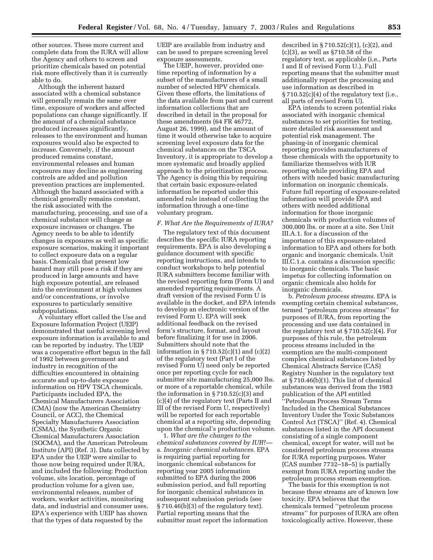other sources. These more current and complete data from the IURA will allow the Agency and others to screen and prioritize chemicals based on potential risk more effectively than it is currently able to do.

Although the inherent hazard associated with a chemical substance will generally remain the same over time, exposure of workers and affected populations can change significantly. If the amount of a chemical substance produced increases significantly, releases to the environment and human exposures would also be expected to increase. Conversely, if the amount produced remains constant, environmental releases and human exposures may decline as engineering controls are added and pollution prevention practices are implemented. Although the hazard associated with a chemical generally remains constant, the risk associated with the manufacturing, processing, and use of a chemical substance will change as exposure increases or changes. The Agency needs to be able to identify changes in exposures as well as specific exposure scenarios, making it important to collect exposure data on a regular basis. Chemicals that present low hazard may still pose a risk if they are produced in large amounts and have high exposure potential, are released into the environment at high volumes and/or concentrations, or involve exposures to particularly sensitive subpopulations.

A voluntary effort called the Use and Exposure Information Project (UEIP) demonstrated that useful screening level exposure information is available to and can be reported by industry. The UEIP was a cooperative effort begun in the fall of 1992 between government and industry in recognition of the difficulties encountered in obtaining accurate and up-to-date exposure information on HPV TSCA chemicals. Participants included EPA, the Chemical Manufacturers Association (CMA) (now the American Chemistry Council, or ACC), the Chemical Specialty Manufacturers Association (CSMA), the Synthetic Organic Chemical Manufacturers Association (SOCMA), and the American Petroleum Institute (API) (Ref. 3). Data collected by EPA under the UEIP were similar to those now being required under IURA, and included the following: Production volume, site location, percentage of production volume for a given use, environmental releases, number of workers, worker activities, monitoring data, and industrial and consumer uses. EPA's experience with UEIP has shown that the types of data requested by the

UEIP are available from industry and can be used to prepare screening level exposure assessments.

The UEIP, however, provided onetime reporting of information by a subset of the manufacturers of a small number of selected HPV chemicals. Given these efforts, the limitations of the data available from past and current information collections that are described in detail in the proposal for these amendments (64 FR 46772, August 26, 1999), and the amount of time it would otherwise take to acquire screening level exposure data for the chemical substances on the TSCA Inventory, it is appropriate to develop a more systematic and broadly applied approach to the prioritization process. The Agency is doing this by requiring that certain basic exposure-related information be reported under this amended rule instead of collecting the information through a one-time voluntary program.

#### *F. What Are the Requirements of IURA?*

The regulatory text of this document describes the specific IURA reporting requirements. EPA is also developing a guidance document with specific reporting instructions, and intends to conduct workshops to help potential IURA submitters become familiar with the revised reporting form (Form U) and amended reporting requirements. A draft version of the revised Form U is available in the docket, and EPA intends to develop an electronic version of the revised Form U. EPA will seek additional feedback on the revised form's structure, format, and layout before finalizing it for use in 2006. Submitters should note that the information in  $\S 710.52(c)(1)$  and  $(c)(2)$ of the regulatory text (Part I of the revised Form U) need only be reported once per reporting cycle for each submitter site manufacturing 25,000 lbs. or more of a reportable chemical, while the information in  $\S 710.52(c)(3)$  and (c)(4) of the regulatory text (Parts II and III of the revised Form U, respectively) will be reported for each reportable chemical at a reporting site, depending upon the chemical's production volume.

1. *What are the changes to the chemical substances covered by IUR*? a. *Inorganic chemical substances*. EPA is requiring partial reporting for inorganic chemical substances for reporting year 2005 information submitted to EPA during the 2006 submission period, and full reporting for inorganic chemical substances in subsequent submission periods (see § 710.46(b)(3) of the regulatory text). Partial reporting means that the submitter must report the information

described in  $\S 710.52(c)(1)$ ,  $(c)(2)$ , and (c)(3), as well as §710.58 of the regulatory text, as applicable (i.e., Parts I and II of revised Form U.). Full reporting means that the submitter must additionally report the processing and use information as described in  $\S 710.52(c)(4)$  of the regulatory text (i.e., all parts of revised Form U).

EPA intends to screen potential risks associated with inorganic chemical substances to set priorities for testing, more detailed risk assessment and potential risk management. The phasing-in of inorganic chemical reporting provides manufacturers of these chemicals with the opportunity to familiarize themselves with IUR reporting while providing EPA and others with needed basic manufacturing information on inorganic chemicals. Future full reporting of exposure-related information will provide EPA and others with needed additional information for those inorganic chemicals with production volumes of 300,000 lbs. or more at a site. See Unit III.A.1. for a discussion of the importance of this exposure-related information to EPA and others for both organic and inorganic chemicals. Unit III.C.1.a. contains a discussion specific to inorganic chemicals. The basic impetus for collecting information on organic chemicals also holds for inorganic chemicals.

b. *Petroleum process streams*. EPA is exempting certain chemical substances, termed ''petroleum process streams'' for purposes of IURA, from reporting the processing and use data contained in the regulatory text at § 710.52(c)(4). For purposes of this rule, the petroleum process streams included in the exemption are the multi-component complex chemical substances listed by Chemical Abstracts Service (CAS) Registry Number in the regulatory text at § 710.46(b)(1). This list of chemical substances was derived from the 1983 publication of the API entitled ''Petroleum Process Stream Terms Included in the Chemical Substances Inventory Under the Toxic Substances Control Act (TSCA)'' (Ref. 4). Chemical substances listed in the API document consisting of a single component chemical, except for water, will not be considered petroleum process streams for IURA reporting purposes. Water (CAS number 7732–18–5) is partially exempt from IURA reporting under the petroleum process stream exemption.

The basis for this exemption is not because these streams are of known low toxicity. EPA believes that the chemicals termed ''petroleum process streams'' for purposes of IURA are often toxicologically active. However, these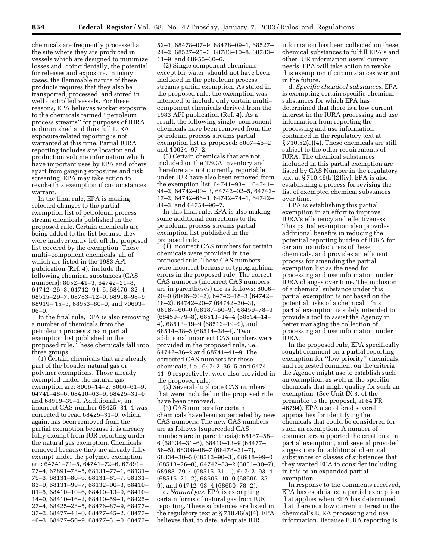chemicals are frequently processed at the site where they are produced in vessels which are designed to minimize losses and, coincidentally, the potential for releases and exposure. In many cases, the flammable nature of these products requires that they also be transported, processed, and stored in well controlled vessels. For these reasons, EPA believes worker exposure to the chemicals termed ''petroleum process streams'' for purposes of IURA is diminished and thus full IURA exposure-related reporting is not warranted at this time. Partial IURA reporting includes site location and production volume information which have important uses by EPA and others apart from gauging exposures and risk screening. EPA may take action to revoke this exemption if circumstances warrant.

In the final rule, EPA is making selected changes to the partial exemption list of petroleum process stream chemicals published in the proposed rule. Certain chemicals are being added to the list because they were inadvertently left off the proposed list covered by the exemption. These multi–component chemicals, all of which are listed in the 1983 API publication (Ref. 4), include the following chemical substances (CAS numbers): 8052–41–3, 64742–21–8, 64742–26–3, 64742–94–5, 68476–32–4, 68515–29–7, 68783–12–0, 68918–98–9, 68919– 15–3, 68953–80–0, and 70693– 06–0.

In the final rule, EPA is also removing a number of chemicals from the petroleum process stream partial exemption list published in the proposed rule. These chemicals fall into three groups:

(1) Certain chemicals that are already part of the broader natural gas or polymer exemptions. Those already exempted under the natural gas exemption are: 8006–14–2, 8006–61–9, 64741–48–6, 68410–63–9, 68425–31–0, and 68919–39–1. Additionally, an incorrect CAS number 68425–31–1 was corrected to read 68425–31–0, which, again, has been removed from the partial exemption because it is already fully exempt from IUR reporting under the natural gas exemption. Chemicals removed because they are already fully exempt under the polymer exemption are: 64741–71–5, 64741–72–6, 67891– 77–4, 67891–78–5, 68131–77–1, 68131– 79–3, 68131–80–6, 68131–81–7, 68131– 83–9, 68131–99–7, 68132–00–3, 68410– 01–5, 68410–10–6, 68410–13–9, 68410– 14–0, 68410–16–2, 68410–59–3, 68425– 27–4, 68425–28–5, 68476–87–9, 68477– 37–2, 68477–43–0, 68477–45–2, 68477– 46–3, 68477–50–9, 68477–51–0, 68477–

52–1, 68478–07–9, 68478–09–1, 68527– 24–2, 68527–25–3, 68783–10–8, 68783– 11–9, and 68955–30–6.

(2) Single component chemicals, except for water, should not have been included in the petroleum process streams partial exemption. As stated in the proposed rule, the exemption was intended to include only certain multi– component chemicals derived from the 1983 API publication (Ref. 4). As a result, the following single–component chemicals have been removed from the petroleum process streams partial exemption list as proposed: 8007–45–2 and 10024–97–2.

(3) Certain chemicals that are not included on the TSCA Inventory and therefore are not currently reportable under IUR have also been removed from the exemption list: 64741–93–1, 64741– 94–2, 64742–00– 3, 64742–02–5, 64742– 17–2, 64742–66–1, 64742–74–1, 64742– 84–3, and 64754–96–7.

In this final rule, EPA is also making some additional corrections to the petroleum process streams partial exemption list published in the proposed rule.

(1) Incorrect CAS numbers for certain chemicals were provided in the proposed rule. These CAS numbers were incorrect because of typographical errors in the proposed rule. The correct CAS numbers (incorrect CAS numbers are in parentheses) are as follows: 8006– 20–0 (8006–20–2), 64742–18–3 (64742– 18–2), 64742–20–7 (64742–20–3), 68187–60–0 (68187–60–9), 68459–78–9 (68459–79–8), 68513–14–4 (68514–14– 4), 68513–19–9 (68512–19–9), and 68514–38–5 (68514–38–4). Two additional incorrect CAS numbers were provided in the proposed rule, i.e., 64742–36–2 and 68741–41–9. The corrected CAS numbers for these chemicals, i.e., 64742–36–5 and 64741– 41–9 respectively, were also provided in the proposed rule.

(2) Several duplicate CAS numbers that were included in the proposed rule have been removed.

(3) CAS numbers for certain chemicals have been superceded by new CAS numbers. The new CAS numbers are as follows (superceded CAS numbers are in parenthesis): 68187–58– 6 (68334–31–6), 68410–13–9 (68477– 56–5), 68308–08–7 (68478–21–7), 68334–30–5 (68512–90–3), 68918–99–0 (68513–26–8), 64742–83–2 (6851–30–7), 68988–79–4 (68515–31–1), 64742–93–4 (68516–21–2), 68606–10–0 (68606–35– 9), and 64742–93–4 (68650–78–2).

c. *Natural gas*. EPA is exempting certain forms of natural gas from IUR reporting. These substances are listed in the regulatory text at § 710.46(a)(4). EPA believes that, to date, adequate IUR

information has been collected on these chemical substances to fulfill EPA's and other IUR information users' current needs. EPA will take action to revoke this exemption if circumstances warrant in the future.

d. *Specific chemical substances*. EPA is exempting certain specific chemical substances for which EPA has determined that there is a low current interest in the IURA processing and use information from reporting the processing and use information contained in the regulatory text at § 710.52(c)(4). These chemicals are still subject to the other requirements of IURA. The chemical substances included in this partial exemption are listed by CAS Number in the regulatory text at § 710.46(b)(2)(iv). EPA is also establishing a process for revising the list of exempted chemical substances over time.

EPA is establishing this partial exemption in an effort to improve IURA's efficiency and effectiveness. This partial exemption also provides additional benefits in reducing the potential reporting burden of IURA for certain manufacturers of these chemicals, and provides an efficient process for amending the partial exemption list as the need for processing and use information under IURA changes over time. The inclusion of a chemical substance under this partial exemption is not based on the potential risks of a chemical. This partial exemption is solely intended to provide a tool to assist the Agency in better managing the collection of processing and use information under IURA.

In the proposed rule, EPA specifically sought comment on a partial reporting exemption for ''low priority'' chemicals, and requested comment on the criteria the Agency might use to establish such an exemption, as well as the specific chemicals that might qualify for such an exemption. (See Unit IX.3. of the preamble to the proposal, at 64 FR 46794). EPA also offered several approaches for identifying the chemicals that could be considered for such an exemption. A number of commenters supported the creation of a partial exemption, and several provided suggestions for additional chemical substances or classes of substances that they wanted EPA to consider including in this or an expanded partial exemption.

In response to the comments received, EPA has established a partial exemption that applies when EPA has determined that there is a low current interest in the chemical's IURA processing and use information. Because IURA reporting is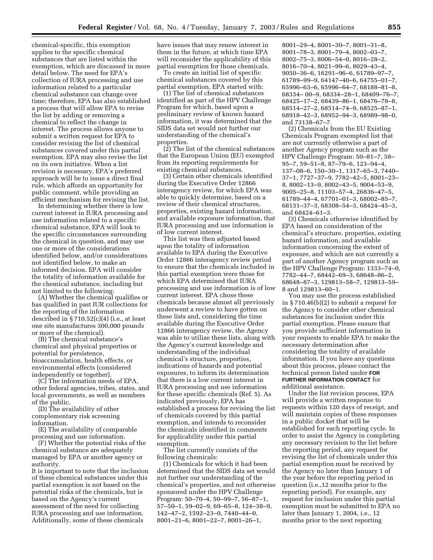chemical-specific, this exemption applies to the specific chemical substances that are listed within the exemption, which are discussed in more detail below. The need for EPA's collection of IURA processing and use information related to a particular chemical substance can change over time; therefore, EPA has also established a process that will allow EPA to revise the list by adding or removing a chemical to reflect the change in interest. The process allows anyone to submit a written request for EPA to consider revising the list of chemical substances covered under this partial exemption. EPA may also revise the list on its own initiative. When a list revision is necessary, EPA's preferred approach will be to issue a direct final rule, which affords an opportunity for public comment, while providing an efficient mechanism for revising the list.

In determining whether there is low current interest in IURA processing and use information related to a specific chemical substance, EPA will look to the specific circumstances surrounding the chemical in question, and may use one or more of the considerations identified below, and/or considerations not identified below, to make an informed decision. EPA will consider the totality of information available for the chemical substance, including but not limited to the following:

(A) Whether the chemical qualifies or has qualified in past IUR collections for the reporting of the information described in  $\S 710.52(c)(4)$  (i.e., at least one site manufactures 300,000 pounds or more of the chemical).

(B) The chemical substance's chemical and physical properties or potential for persistence, bioaccumulation, health effects, or environmental effects (considered independently or together).

(C) The information needs of EPA, other federal agencies, tribes, states, and local governments, as well as members of the public.

(D) The availability of other complementary risk screening information.

(E) The availability of comparable processing and use information.

(F) Whether the potential risks of the chemical substance are adequately managed by EPA or another agency or authority.

It is important to note that the inclusion of these chemical substances under this partial exemption is not based on the potential risks of the chemicals, but is based on the Agency's current assessment of the need for collecting IURA processing and use information. Additionally, some of these chemicals

have issues that may renew interest in them in the future, at which time EPA will reconsider the applicability of this partial exemption for those chemicals.

To create an initial list of specific chemical substances covered by this partial exemption, EPA started with:

(1) The list of chemical substances identified as part of the HPV Challenge Program for which, based upon a preliminary review of known hazard information, it was determined that the SIDS data set would not further our understanding of the chemical's properties.

(2) The list of the chemical substances that the European Union (EU) exempted from its reporting requirements for existing chemical substances.

(3) Certain other chemicals identified during the Executive Order 12866 interagency review, for which EPA was able to quickly determine, based on a review of their chemical structures, properties, existing hazard information, and available exposure information, that IURA processing and use information is of low current interest.

This list was then adjusted based upon the totality of information available to EPA during the Executive Order 12866 interagency review period to ensure that the chemicals included in this partial exemption were those for which EPA determined that IURA processing and use information is of low current interest. EPA chose these chemicals because almost all previously underwent a review to have gotten on these lists and, considering the time available during the Executive Order 12866 interagency review, the Agency was able to utilize these lists, along with the Agency's current knowledge and understanding of the individual chemical's structure, properties, indications of hazards and potential exposures, to inform its determination that there is a low current interest in IURA processing and use information for these specific chemicals (Ref. 5). As indicated previously, EPA has established a process for revising the list of chemicals covered by this partial exemption, and intends to reconsider the chemicals identified in comments for applicability under this partial exemption.

The list currently consists of the following chemicals:

(1) Chemicals for which it had been determined that the SIDS data set would not further our understanding of the chemical's properties, and not otherwise sponsored under the HPV Challenge Program: 50–70–4, 50–99–7, 56–87–1, 57–50–1, 59–02–9, 69–65–8, 124–38–9, 142–47–2, 1592–23–0, 7440–44–0, 8001–21–6, 8001–22–7, 8001–26–1,

8001–29–4, 8001–30–7, 8001–31–8, 8001–78–3, 8001–79–4, 8002–03–7, 8002–75–3, 8006–54–0, 8016–28–2, 8016–70–4, 8021–99–6, 8029–43–4, 9050–36–6, 16291–96–6, 61789–97–7, 61789–99–9, 64147–40–6, 64755–01–7, 65996–63–6, 65996–64–7, 68188–81–8, 68334– 00–9, 68334–28–1, 68409–76–7, 68425–17–2, 68439–86–1, 68476–78–8, 68514–27–2, 68514–74–9, 68525–87–1, 68918–42–3, 68952–94–3, 68989–98–0, and 73138–67–7.

(2) Chemicals from the EU Existing Chemicals Program exempted list that are not currently otherwise a part of another Agency program such as the HPV Challenge Program: 50–81–7, 58– 95–7, 59–51–8, 87–79–6, 123–94–4, 137–08–6, 150–30–1, 1317–65–3, 7440– 37–1, 7727–37–9, 7782–42–5, 8001–23– 8, 8002–13–9, 8002–43–5, 9004–53–9, 9005–25–8, 11103–57–4, 26836–47–5, 61789–44–4, 67701–01–3, 68002–85–7, 68131–37–3, 68308–54–3, 68424–45–3, and 68424–61–3.

(3) Chemicals otherwise identified by EPA based on consideration of the chemical's structure, properties, existing hazard information, and available information concerning the extent of exposure, and which are not currently a part of another Agency program such as the HPV Challenge Program: 1333–74–0, 7782–44–7, 68442–69–3, 68648–86–2, 68648–87–3, 129813–58–7, 129813–59– 8 and 129813–60–1.

You may use the process established in § 710.46(b)(2) to submit a request for the Agency to consider other chemical substances for inclusion under this partial exemption. Please ensure that you provide sufficient information in your requests to enable EPA to make the necessary determination after considering the totality of available information. If you have any questions about this process, please contact the technical person listed under **FOR FURTHER INFORMATION CONTACT** for additional assistance.

Under the list revision process, EPA will provide a written response to requests within 120 days of receipt, and will maintain copies of these responses in a public docket that will be established for each reporting cycle. In order to assist the Agency in completing any necessary revision to the list before the reporting period, any request for revising the list of chemicals under this partial exemption must be received by the Agency no later than January 1 of the year before the reporting period in question (i.e.,12 months prior to the reporting period). For example, any request for inclusion under this partial exemption must be submitted to EPA no later than January 1, 2004, i.e., 12 months prior to the next reporting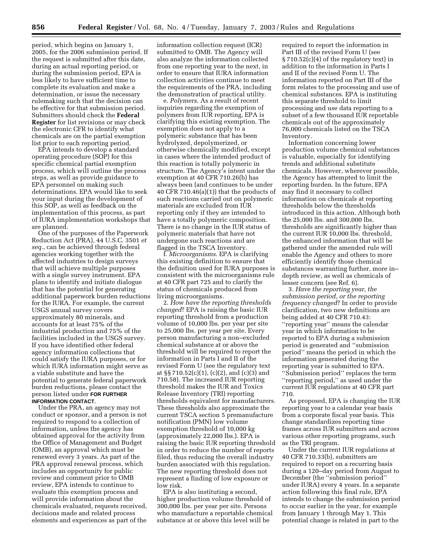period, which begins on January 1, 2005, for the 2006 submission period. If the request is submitted after this date, during an actual reporting period, or during the submission period, EPA is less likely to have sufficient time to complete its evaluation and make a determination, or issue the necessary rulemaking such that the decision can be effective for that submission period. Submitters should check the **Federal Register** for list revisions or may check the electronic CFR to identify what chemicals are on the partial exemption list prior to each reporting period.

EPA intends to develop a standard operating procedure (SOP) for this specific chemical partial exemption process, which will outline the process steps, as well as provide guidance to EPA personnel on making such determinations. EPA would like to seek your input during the development of this SOP, as well as feedback on the implementation of this process, as part of IURA implementation workshops that are planned.

One of the purposes of the Paperwork Reduction Act (PRA), 44 U.S.C. 3501 *et seq.*, can be achieved through federal agencies working together with the affected industries to design surveys that will achieve multiple purposes with a single survey instrument. EPA plans to identify and initiate dialogue that has the potential for generating additional paperwork burden reductions for the IURA. For example, the current USGS annual survey covers approximately 80 minerals, and accounts for at least 75% of the industrial production and 75% of the facilities included in the USGS survey. If you have identified other federal agency information collections that could satisfy the IURA purposes, or for which IURA information might serve as a viable substitute and have the potential to generate federal paperwork burden reductions, please contact the person listed under **FOR FURTHER INFORMATION CONTACT**.

Under the PRA, an agency may not conduct or sponsor, and a person is not required to respond to a collection of information, unless the agency has obtained approval for the activity from the Office of Management and Budget (OMB), an approval which must be renewed every 3 years. As part of the PRA approval renewal process, which includes an opportunity for public review and comment prior to OMB review, EPA intends to continue to evaluate this exemption process and will provide information about the chemicals evaluated, requests received, decisions made and related process elements and experiences as part of the

information collection request (ICR) submitted to OMB. The Agency will also analyze the information collected from one reporting year to the next, in order to ensure that IURA information collection activities continue to meet the requirements of the PRA, including the demonstration of practical utility.

e. *Polymers*. As a result of recent inquiries regarding the exemption of polymers from IUR reporting, EPA is clarifying this existing exemption. The exemption does not apply to a polymeric substance that has been hydrolyzed, depolymerized, or otherwise chemically modified, except in cases where the intended product of this reaction is totally polymeric in structure. The Agency's intent under the exemption at 40 CFR 710.26(b) has always been (and continues to be under 40 CFR 710.46 $(a)(1)$  that the products of such reactions carried out on polymeric materials are excluded from IUR reporting only if they are intended to have a totally polymeric composition. There is no change in the IUR status of polymeric materials that have not undergone such reactions and are flagged in the TSCA Inventory.

f. *Microorganisms*. EPA is clarifying this existing definition to ensure that the definition used for IURA purposes is consistent with the microorganisms rule at 40 CFR part 725 and to clarify the status of chemicals produced from living microorganisms.

2. *How have the reporting thresholds changed*? EPA is raising the basic IUR reporting threshold from a production volume of 10,000 lbs. per year per site to 25,000 lbs. per year per site. Every person manufacturing a non–excluded chemical substance at or above the threshold will be required to report the information in Parts I and II of the revised Form U (see the regulatory text at §§ 710.52(c)(1), (c)(2), and (c)(3) and 710.58). The increased IUR reporting threshold makes the IUR and Toxics Release Inventory (TRI) reporting thresholds equivalent for manufacturers. These thresholds also approximate the current TSCA section 5 premanufacture notification (PMN) low volume exemption threshold of 10,000 kg (approximately 22,000 lbs.). EPA is raising the basic IUR reporting threshold in order to reduce the number of reports filed, thus reducing the overall industry burden associated with this regulation. The new reporting threshold does not represent a finding of low exposure or low risk.

EPA is also instituting a second, higher production volume threshold of 300,000 lbs. per year per site. Persons who manufacture a reportable chemical substance at or above this level will be

required to report the information in Part III of the revised Form U (see § 710.52(c)(4) of the regulatory text) in addition to the information in Parts I and II of the revised Form U. The information reported on Part III of the form relates to the processing and use of chemical substances. EPA is instituting this separate threshold to limit processing and use data reporting to a subset of a few thousand IUR reportable chemicals out of the approximately 76,000 chemicals listed on the TSCA Inventory.

Information concerning lower production volume chemical substances is valuable, especially for identifying trends and additional substitute chemicals. However, wherever possible, the Agency has attempted to limit the reporting burden. In the future, EPA may find it necessary to collect information on chemicals at reporting thresholds below the thresholds introduced in this action. Although both the 25,000 lbs. and 300,000 lbs. thresholds are significantly higher than the current IUR 10,000 lbs. threshold, the enhanced information that will be gathered under the amended rule will enable the Agency and others to more efficiently identify those chemical substances warranting further, more in– depth review, as well as chemicals of lesser concern (see Ref. 6).

3. *Have the reporting year, the submission period, or the reporting frequency changed*? In order to provide clarification, two new definitions are being added at 40 CFR 710.43: ''reporting year'' means the calendar year in which information to be reported to EPA during a submission period is generated and ''submission period'' means the period in which the information generated during the reporting year is submitted to EPA. ''Submission period'' replaces the term ''reporting period,'' as used under the current IUR regulations at 40 CFR part 710.

As proposed, EPA is changing the IUR reporting year to a calendar year basis from a corporate fiscal year basis. This change standardizes reporting time frames across IUR submitters and across various other reporting programs, such as the TRI program.

Under the current IUR regulations at 40 CFR 710.33(b), submitters are required to report on a recurring basis during a 120–day period from August to December (the ''submission period'' under IURA) every 4 years. In a separate action following this final rule, EPA intends to change the submission period to occur earlier in the year, for example from January 1 through May 1. This potential change is related in part to the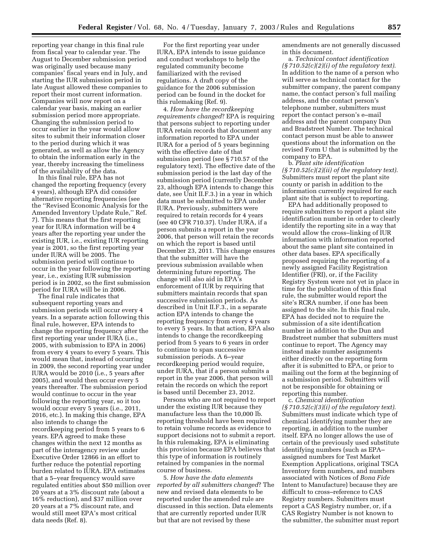reporting year change in this final rule from fiscal year to calendar year. The August to December submission period was originally used because many companies' fiscal years end in July, and starting the IUR submission period in late August allowed these companies to report their most current information. Companies will now report on a calendar year basis, making an earlier submission period more appropriate. Changing the submission period to occur earlier in the year would allow sites to submit their information closer to the period during which it was generated, as well as allow the Agency to obtain the information early in the year, thereby increasing the timeliness of the availability of the data.

In this final rule, EPA has not changed the reporting frequency (every 4 years), although EPA did consider alternative reporting frequencies (see the ''Revised Economic Analysis for the Amended Inventory Update Rule,'' Ref. 7). This means that the first reporting year for IURA information will be 4 years after the reporting year under the existing IUR, i.e., existing IUR reporting year is 2001, so the first reporting year under IURA will be 2005. The submission period will continue to occur in the year following the reporting year, i.e., existing IUR submission period is in 2002, so the first submission period for IURA will be in 2006.

The final rule indicates that subsequent reporting years and submission periods will occur every 4 years. In a separate action following this final rule, however, EPA intends to change the reporting frequency after the first reporting year under IURA (i.e., 2005, with submission to EPA in 2006) from every 4 years to every 5 years. This would mean that, instead of occurring in 2009, the second reporting year under IURA would be 2010 (i.e., 5 years after 2005), and would then occur every 5 years thereafter. The submission period would continue to occur in the year following the reporting year, so it too would occur every 5 years (i.e., 2011, 2016, etc.). In making this change, EPA also intends to change the recordkeeping period from 5 years to 6 years. EPA agreed to make these changes within the next 12 months as part of the interagency review under Executive Order 12866 in an effort to further reduce the potential reporting burden related to IURA. EPA estimates that a 5–year frequency would save regulated entities about \$50 million over 20 years at a 3% discount rate (about a 16% reduction), and \$37 million over 20 years at a 7% discount rate, and would still meet EPA's most critical data needs (Ref. 8).

For the first reporting year under IURA, EPA intends to issue guidance and conduct workshops to help the regulated community become familiarized with the revised regulations. A draft copy of the guidance for the 2006 submission period can be found in the docket for this rulemaking (Ref. 9).

4. *How have the recordkeeping requirements changed*? EPA is requiring that persons subject to reporting under IURA retain records that document any information reported to EPA under IURA for a period of 5 years beginning with the effective date of that submission period (see § 710.57 of the regulatory text). The effective date of the submission period is the last day of the submission period (currently December 23, although EPA intends to change this date, see Unit II.F.3.) in a year in which data must be submitted to EPA under IURA. Previously, submitters were required to retain records for 4 years (see 40 CFR 710.37). Under IURA, if a person submits a report in the year 2006, that person will retain the records on which the report is based until December 23, 2011. This change ensures that the submitter will have the previous submission available when determining future reporting. The change will also aid in EPA's enforcement of IUR by requiring that submitters maintain records that span successive submission periods. As described in Unit II.F.3., in a separate action EPA intends to change the reporting frequency from every 4 years to every 5 years. In that action, EPA also intends to change the recordkeeping period from 5 years to 6 years in order to continue to span successive submission periods. A 6–year recordkeeping period would require, under IURA, that if a person submits a report in the year 2006, that person will retain the records on which the report is based until December 23, 2012.

Persons who are not required to report under the existing IUR because they manufacture less than the 10,000 lb. reporting threshold have been required to retain volume records as evidence to support decisions not to submit a report. In this rulemaking, EPA is eliminating this provision because EPA believes that this type of information is routinely retained by companies in the normal course of business.

5. *How have the data elements reported by all submitters changed*? The new and revised data elements to be reported under the amended rule are discussed in this section. Data elements that are currently reported under IUR but that are not revised by these

amendments are not generally discussed in this document.

a. *Technical contact identification (§ 710.52(c)(2)(i) of the regulatory text)*. In addition to the name of a person who will serve as technical contact for the submitter company, the parent company name, the contact person's full mailing address, and the contact person's telephone number, submitters must report the contact person's e–mail address and the parent company Dun and Bradstreet Number. The technical contact person must be able to answer questions about the information on the revised Form U that is submitted by the company to EPA.

b. *Plant site identification (§ 710.52(c)(2)(ii) of the regulatory text)*. Submitters must report the plant site county or parish in addition to the information currently required for each plant site that is subject to reporting.

EPA had additionally proposed to require submitters to report a plant site identification number in order to clearly identify the reporting site in a way that would allow the cross–linking of IUR information with information reported about the same plant site contained in other data bases. EPA specifically proposed requiring the reporting of a newly assigned Facility Registration Identifier (FRI), or, if the Facility Registry System were not yet in place in time for the publication of this final rule, the submitter would report the site's RCRA number, if one has been assigned to the site. In this final rule, EPA has decided not to require the submission of a site identification number in addition to the Dun and Bradstreet number that submitters must continue to report. The Agency may instead make number assignments either directly on the reporting form after it is submitted to EPA, or prior to mailing out the form at the beginning of a submission period. Submitters will not be responsible for obtaining or reporting this number.

c. *Chemical identification (§ 710.52(c)(3)(i) of the regulatory text)*. Submitters must indicate which type of chemical identifying number they are reporting, in addition to the number itself. EPA no longer allows the use of certain of the previously used substitute identifying numbers (such as EPA– assigned numbers for Test Market Exemption Applications, original TSCA Inventory form numbers, and numbers associated with Notices of *Bona Fide* Intent to Manufacture) because they are difficult to cross–reference to CAS Registry numbers. Submitters must report a CAS Registry number, or, if a CAS Registry Number is not known to the submitter, the submitter must report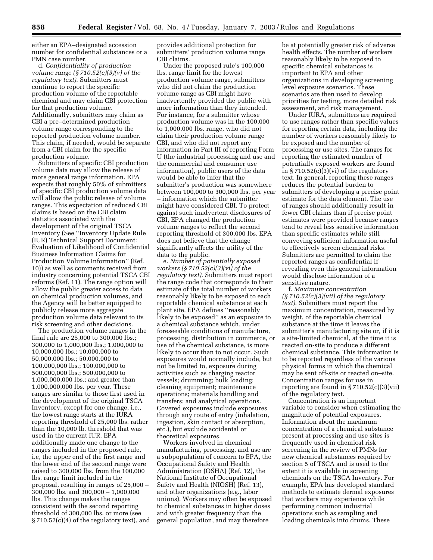either an EPA–designated accession number for confidential substances or a PMN case number.

d. *Confidentiality of production volume range (§ 710.52(c)(3)(v) of the regulatory text)*. Submitters must continue to report the specific production volume of the reportable chemical and may claim CBI protection for that production volume. Additionally, submitters may claim as CBI a pre–determined production volume range corresponding to the reported production volume number. This claim, if needed, would be separate from a CBI claim for the specific production volume.

Submitters of specific CBI production volume data may allow the release of more general range information. EPA expects that roughly 50% of submitters of specific CBI production volume data will allow the public release of volume ranges. This expectation of reduced CBI claims is based on the CBI claim statistics associated with the development of the original TSCA Inventory (See ''Inventory Update Rule (IUR) Technical Support Document: Evaluation of Likelihood of Confidential Business Information Claims for Production Volume Information'' (Ref. 10)) as well as comments received from industry concerning potential TSCA CBI reforms (Ref. 11). The range option will allow the public greater access to data on chemical production volumes, and the Agency will be better equipped to publicly release more aggregate production volume data relevant to its risk screening and other decisions.

The production volume ranges in the final rule are 25,000 to 300,000 lbs.; 300,000 to 1,000,000 lbs.; 1,000,000 to 10,000,000 lbs.; 10,000,000 to 50,000,000 lbs.; 50,000,000 to 100,000,000 lbs.; 100,000,000 to 500,000,000 lbs.; 500,000,000 to 1,000,000,000 lbs.; and greater than 1,000,000,000 lbs. per year. These ranges are similar to those first used in the development of the original TSCA Inventory, except for one change, i.e., the lowest range starts at the IURA reporting threshold of 25,000 lbs. rather than the 10,000 lb. threshold that was used in the current IUR. EPA additionally made one change to the ranges included in the proposed rule, i.e, the upper end of the first range and the lower end of the second range were raised to 300,000 lbs. from the 100,000 lbs. range limit included in the proposal, resulting in ranges of 25,000 – 300,000 lbs. and 300,000 – 1,000,000 lbs. This change makes the ranges consistent with the second reporting threshold of 300,000 lbs. or more (see  $\S 710.52(c)(4)$  of the regulatory text), and

provides additional protection for submitters' production volume range CBI claims.

Under the proposed rule's 100,000 lbs. range limit for the lowest production volume range, submitters who did not claim the production volume range as CBI might have inadvertently provided the public with more information than they intended. For instance, for a submitter whose production volume was in the 100,000 to 1,000,000 lbs. range, who did not claim their production volume range CBI, and who did not report any information in Part III of reporting Form U (the industrial processing and use and the commercial and consumer use information), public users of the data would be able to infer that the submitter's production was somewhere between 100,000 to 300,000 lbs. per year – information which the submitter might have considered CBI. To protect against such inadvertent disclosures of CBI, EPA changed the production volume ranges to reflect the second reporting threshold of 300,000 lbs. EPA does not believe that the change significantly affects the utility of the data to the public.

e. *Number of potentially exposed workers (§ 710.52(c)(3)(vi) of the regulatory text)*. Submitters must report the range code that corresponds to their estimate of the total number of workers reasonably likely to be exposed to each reportable chemical substance at each plant site. EPA defines ''reasonably likely to be exposed'' as an exposure to a chemical substance which, under foreseeable conditions of manufacture, processing, distribution in commerce, or use of the chemical substance, is more likely to occur than to not occur. Such exposures would normally include, but not be limited to, exposure during activities such as charging reactor vessels; drumming; bulk loading; cleaning equipment; maintenance operations; materials handling and transfers; and analytical operations. Covered exposures include exposures through any route of entry (inhalation, ingestion, skin contact or absorption, etc.), but exclude accidental or theoretical exposures.

Workers involved in chemical manufacturing, processing, and use are a subpopulation of concern to EPA, the Occupational Safety and Health Administration (OSHA) (Ref. 12), the National Institute of Occupational Safety and Health (NIOSH) (Ref. 13), and other organizations (e.g., labor unions). Workers may often be exposed to chemical substances in higher doses and with greater frequency than the general population, and may therefore

be at potentially greater risk of adverse health effects. The number of workers reasonably likely to be exposed to specific chemical substances is important to EPA and other organizations in developing screening level exposure scenarios. These scenarios are then used to develop priorities for testing, more detailed risk assessment, and risk management.

Under IURA, submitters are required to use ranges rather than specific values for reporting certain data, including the number of workers reasonably likely to be exposed and the number of processing or use sites. The ranges for reporting the estimated number of potentially exposed workers are found in  $\S 710.52(c)(3)(vi)$  of the regulatory text. In general, reporting these ranges reduces the potential burden to submitters of developing a precise point estimate for the data element. The use of ranges should additionally result in fewer CBI claims than if precise point estimates were provided because ranges tend to reveal less sensitive information than specific estimates while still conveying sufficient information useful to effectively screen chemical risks. Submitters are permitted to claim the reported ranges as confidential if revealing even this general information would disclose information of a sensitive nature.

f. *Maximum concentration (§ 710.52(c)(3)(vii) of the regulatory text)*. Submitters must report the maximum concentration, measured by weight, of the reportable chemical substance at the time it leaves the submitter's manufacturing site or, if it is a site-limited chemical, at the time it is reacted on-site to produce a different chemical substance. This information is to be reported regardless of the various physical forms in which the chemical may be sent off-site or reacted on–site. Concentration ranges for use in reporting are found in  $\S 710.52(c)(3)(vii)$ of the regulatory text.

Concentration is an important variable to consider when estimating the magnitude of potential exposures. Information about the maximum concentration of a chemical substance present at processing and use sites is frequently used in chemical risk screening in the review of PMNs for new chemical substances required by section 5 of TSCA and is used to the extent it is available in screening chemicals on the TSCA Inventory. For example, EPA has developed standard methods to estimate dermal exposures that workers may experience while performing common industrial operations such as sampling and loading chemicals into drums. These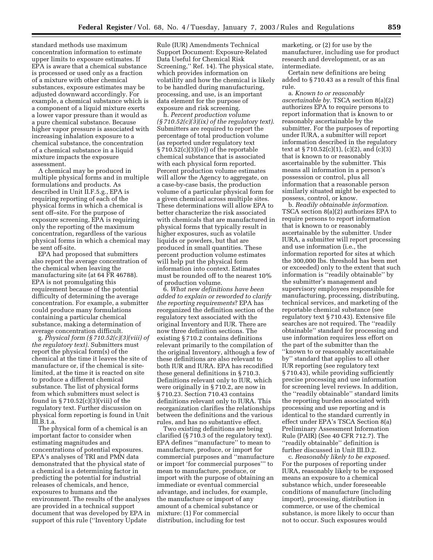standard methods use maximum concentration information to estimate upper limits to exposure estimates. If EPA is aware that a chemical substance is processed or used only as a fraction of a mixture with other chemical substances, exposure estimates may be adjusted downward accordingly. For example, a chemical substance which is a component of a liquid mixture exerts a lower vapor pressure than it would as a pure chemical substance. Because higher vapor pressure is associated with increasing inhalation exposure to a chemical substance, the concentration of a chemical substance in a liquid mixture impacts the exposure assessment.

A chemical may be produced in multiple physical forms and in multiple formulations and products. As described in Unit II.F.5.g., EPA is requiring reporting of each of the physical forms in which a chemical is sent off–site. For the purpose of exposure screening, EPA is requiring only the reporting of the maximum concentration, regardless of the various physical forms in which a chemical may be sent off-site.

EPA had proposed that submitters also report the average concentration of the chemical when leaving the manufacturing site (at 64 FR 46788). EPA is not promulgating this requirement because of the potential difficulty of determining the average concentration. For example, a submitter could produce many formulations containing a particular chemical substance, making a determination of average concentration difficult.

g. *Physical form (§ 710.52(c)(3)(viii) of the regulatory text)*. Submitters must report the physical form(s) of the chemical at the time it leaves the site of manufacture or, if the chemical is sitelimited, at the time it is reacted on site to produce a different chemical substance. The list of physical forms from which submitters must select is found in  $\S 710.52(c)(3)(viii)$  of the regulatory text. Further discussion on physical form reporting is found in Unit III.B.1.a.

The physical form of a chemical is an important factor to consider when estimating magnitudes and concentrations of potential exposures. EPA's analyses of TRI and PMN data demonstrated that the physical state of a chemical is a determining factor in predicting the potential for industrial releases of chemicals, and hence, exposures to humans and the environment. The results of the analyses are provided in a technical support document that was developed by EPA in support of this rule (''Inventory Update

Rule (IUR) Amendments Technical Support Document: Exposure-Related Data Useful for Chemical Risk Screening,'' Ref. 14). The physical state, which provides information on volatility and how the chemical is likely to be handled during manufacturing, processing, and use, is an important data element for the purpose of exposure and risk screening.

h. *Percent production volume (§ 710.52(c)(3)(ix) of the regulatory text)*. Submitters are required to report the percentage of total production volume (as reported under regulatory text  $\S 710.52(c)(3)(iv)$  of the reportable chemical substance that is associated with each physical form reported. Percent production volume estimates will allow the Agency to aggregate, on a case-by-case basis, the production volume of a particular physical form for a given chemical across multiple sites. These determinations will allow EPA to better characterize the risk associated with chemicals that are manufactured in physical forms that typically result in higher exposures, such as volatile liquids or powders, but that are produced in small quantities. These percent production volume estimates will help put the physical form information into context. Estimates must be rounded off to the nearest 10% of production volume.

6. *What new definitions have been added to explain or reworded to clarify the reporting requirements*? EPA has reorganized the definition section of the regulatory text associated with the original Inventory and IUR. There are now three definition sections. The existing § 710.2 contains definitions relevant primarily to the compilation of the original Inventory, although a few of these definitions are also relevant to both IUR and IURA. EPA has recodified these general definitions in § 710.3. Definitions relevant only to IUR, which were originally in § 710.2, are now in § 710.23. Section 710.43 contains definitions relevant only to IURA. This reorganization clarifies the relationships between the definitions and the various rules, and has no substantive effect.

Two existing definitions are being clarified (§ 710.3 of the regulatory text). EPA defines ''manufacture'' to mean to manufacture, produce, or import for commercial purposes and ''manufacture or import 'for commercial purposes''' to mean to manufacture, produce, or import with the purpose of obtaining an immediate or eventual commercial advantage, and includes, for example, the manufacture or import of any amount of a chemical substance or mixture: (1) For commercial distribution, including for test

marketing, or (2) for use by the manufacturer, including use for product research and development, or as an intermediate.

Certain new definitions are being added to § 710.43 as a result of this final rule.

a. *Known to or reasonably ascertainable by*. TSCA section 8(a)(2) authorizes EPA to require persons to report information that is known to or reasonably ascertainable by the submitter. For the purposes of reporting under IURA, a submitter will report information described in the regulatory text at § 710.52(c)(1), (c)(2), and (c)(3) that is known to or reasonably ascertainable by the submitter. This means all information in a person's possession or control, plus all information that a reasonable person similarly situated might be expected to possess, control, or know.

b. *Readily obtainable information*. TSCA section 8(a)(2) authorizes EPA to require persons to report information that is known to or reasonably ascertainable by the submitter. Under IURA, a submitter will report processing and use information (i.e., the information reported for sites at which the 300,000 lbs. threshold has been met or exceeded) only to the extent that such information is ''readily obtainable'' by the submitter's management and supervisory employees responsible for manufacturing, processing, distributing, technical services, and marketing of the reportable chemical substance (see regulatory text § 710.43). Extensive file searches are not required. The ''readily obtainable'' standard for processing and use information requires less effort on the part of the submitter than the ''known to or reasonably ascertainable by'' standard that applies to all other IUR reporting (see regulatory text § 710.43), while providing sufficiently precise processing and use information for screening level reviews. In addition, the ''readily obtainable'' standard limits the reporting burden associated with processing and use reporting and is identical to the standard currently in effect under EPA's TSCA Section 8(a) Preliminary Assessment Information Rule (PAIR) (See 40 CFR 712.7). The ''readily obtainable'' definition is further discussed in Unit III.D.2.

c. *Reasonably likely to be exposed*. For the purposes of reporting under IURA, reasonably likely to be exposed means an exposure to a chemical substance which, under foreseeable conditions of manufacture (including import), processing, distribution in commerce, or use of the chemical substance, is more likely to occur than not to occur. Such exposures would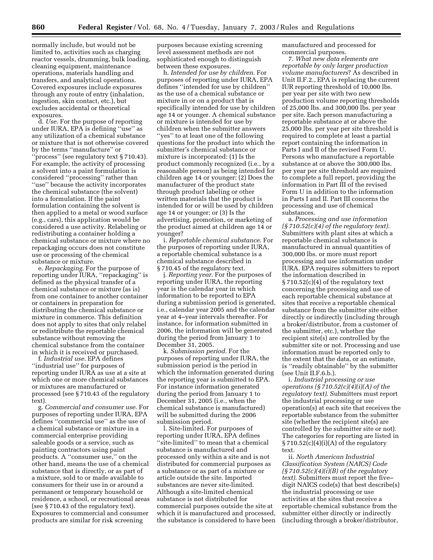normally include, but would not be limited to, activities such as charging reactor vessels, drumming, bulk loading, cleaning equipment, maintenance operations, materials handling and transfers, and analytical operations. Covered exposures include exposures through any route of entry (inhalation, ingestion, skin contact, etc.), but excludes accidental or theoretical exposures.

d. *Use*. For the purpose of reporting under IURA, EPA is defining ''use'' as any utilization of a chemical substance or mixture that is not otherwise covered by the terms ''manufacture'' or ''process'' (see regulatory text § 710.43). For example, the activity of processing a solvent into a paint formulation is considered ''processing'' rather than ''use'' because the activity incorporates the chemical substance (the solvent) into a formulation. If the paint formulation containing the solvent is then applied to a metal or wood surface (e.g., cars), this application would be considered a use activity. Relabeling or redistributing a container holding a chemical substance or mixture where no repackaging occurs does not constitute use or processing of the chemical substance or mixture.

e. *Repackaging*. For the purpose of reporting under IURA, ''repackaging'' is defined as the physical transfer of a chemical substance or mixture (as is) from one container to another container or containers in preparation for distributing the chemical substance or mixture in commerce. This definition does not apply to sites that only relabel or redistribute the reportable chemical substance without removing the chemical substance from the container in which it is received or purchased.

f. *Industrial use*. EPA defines ''industrial use'' for purposes of reporting under IURA as use at a site at which one or more chemical substances or mixtures are manufactured or processed (see § 710.43 of the regulatory text).

g. *Commercial and consumer use*. For purposes of reporting under IURA, EPA defines ''commercial use'' as the use of a chemical substance or mixture in a commercial enterprise providing saleable goods or a service, such as painting contractors using paint products. A ''consumer use,'' on the other hand, means the use of a chemical substance that is directly, or as part of a mixture, sold to or made available to consumers for their use in or around a permanent or temporary household or residence, a school, or recreational areas (see § 710.43 of the regulatory text). Exposures to commercial and consumer products are similar for risk screening

purposes because existing screening level assessment methods are not sophisticated enough to distinguish between these exposures.

h. *Intended for use by children*. For purposes of reporting under IURA, EPA defines ''intended for use by children'' as the use of a chemical substance or mixture in or on a product that is specifically intended for use by children age 14 or younger. A chemical substance or mixture is intended for use by children when the submitter answers ''yes'' to at least one of the following questions for the product into which the submitter's chemical substance or mixture is incorporated: (1) Is the product commonly recognized (i.e., by a reasonable person) as being intended for children age 14 or younger; (2) Does the manufacturer of the product state through product labeling or other written materials that the product is intended for or will be used by children age 14 or younger; or (3) Is the advertising, promotion, or marketing of the product aimed at children age 14 or younger?

i. *Reportable chemical substance*. For the purposes of reporting under IURA, a reportable chemical substance is a chemical substance described in § 710.45 of the regulatory text.

j. *Reporting year*. For the purposes of reporting under IURA, the reporting year is the calendar year in which information to be reported to EPA during a submission period is generated, i.e., calendar year 2005 and the calendar year at 4–year intervals thereafter. For instance, for information submitted in 2006, the information will be generated during the period from January 1 to December 31, 2005.

k. *Submission period*. For the purposes of reporting under IURA, the submission period is the period in which the information generated during the reporting year is submitted to EPA. For instance information generated during the period from January 1 to December 31, 2005 (i.e., when the chemical substance is manufactured) will be submitted during the 2006 submission period.

l. Site-limited. For purposes of reporting under IURA, EPA defines ''site-limited'' to mean that a chemical substance is manufactured and processed only within a site and is not distributed for commercial purposes as a substance or as part of a mixture or article outside the site. Imported substances are never site-limited. Although a site-limited chemical substance is not distributed for commercial purposes outside the site at which it is manufactured and processed, the substance is considered to have been manufactured and processed for commercial purposes.

7. *What new data elements are reportable by only larger production volume manufacturers*? As described in Unit II.F.2., EPA is replacing the current IUR reporting threshold of 10,000 lbs. per year per site with two new production volume reporting thresholds of 25,000 lbs. and 300,000 lbs. per year per site. Each person manufacturing a reportable substance at or above the 25,000 lbs. per year per site threshold is required to complete at least a partial report containing the information in Parts I and II of the revised Form U. Persons who manufacture a reportable substance at or above the 300,000 lbs. per year per site threshold are required to complete a full report, providing the information in Part III of the revised Form U in addition to the information in Parts I and II. Part III concerns the processing and use of chemical substances.

a. *Processing and use information (§ 710.52(c)(4) of the regulatory text)*. Submitters with plant sites at which a reportable chemical substance is manufactured in annual quantities of 300,000 lbs. or more must report processing and use information under IURA. EPA requires submitters to report the information described in § 710.52(c)(4) of the regulatory text concerning the processing and use of each reportable chemical substance at sites that receive a reportable chemical substance from the submitter site either directly or indirectly (including through a broker/distributor, from a customer of the submitter, etc.), whether the recipient site(s) are controlled by the submitter site or not. Processing and use information must be reported only to the extent that the data, or an estimate, is ''readily obtainable'' by the submitter (see Unit II.F.6.b.).

i. *Industrial processing or use operations (§ 710.52(c)(4)(i)(A) of the regulatory text)*. Submitters must report the industrial processing or use operation(s) at each site that receives the reportable substance from the submitter site (whether the recipient site(s) are controlled by the submitter site or not). The categories for reporting are listed in  $\S 710.52(c)(4)(i)(A)$  of the regulatory text.

ii. *North American Industrial Classification System (NAICS) Code (§ 710.52(c)(4)(i)(B) of the regulatory text)*. Submitters must report the five– digit NAICS code(s) that best describe(s) the industrial processing or use activities at the sites that receive a reportable chemical substance from the submitter either directly or indirectly (including through a broker/distributor,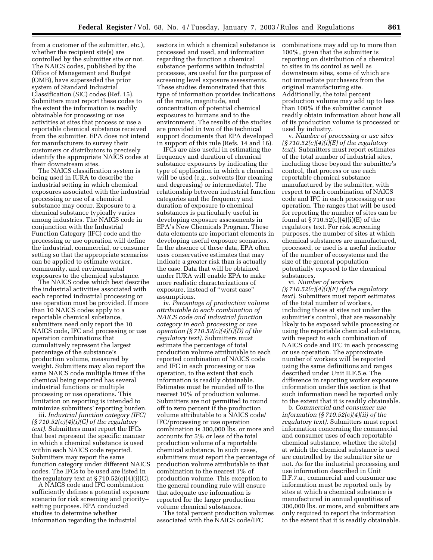from a customer of the submitter, etc.), whether the recipient site(s) are controlled by the submitter site or not. The NAICS codes, published by the Office of Management and Budget (OMB), have superseded the prior system of Standard Industrial Classification (SIC) codes (Ref. 15). Submitters must report these codes to the extent the information is readily obtainable for processing or use activities at sites that process or use a reportable chemical substance received from the submitter. EPA does not intend for manufacturers to survey their customers or distributors to precisely identify the appropriate NAICS codes at their downstream sites.

The NAICS classification system is being used in IURA to describe the industrial setting in which chemical exposures associated with the industrial processing or use of a chemical substance may occur. Exposure to a chemical substance typically varies among industries. The NAICS code in conjunction with the Industrial Function Category (IFC) code and the processing or use operation will define the industrial, commercial, or consumer setting so that the appropriate scenarios can be applied to estimate worker, community, and environmental exposures to the chemical substance.

The NAICS codes which best describe the industrial activities associated with each reported industrial processing or use operation must be provided. If more than 10 NAICS codes apply to a reportable chemical substance, submitters need only report the 10 NAICS code, IFC and processing or use operation combinations that cumulatively represent the largest percentage of the substance's production volume, measured by weight. Submitters may also report the same NAICS code multiple times if the chemical being reported has several industrial functions or multiple processing or use operations. This limitation on reporting is intended to minimize submitters' reporting burden.

iii. *Industrial function category (IFC) (§ 710.52(c)(4)(i)(C) of the regulatory text)*. Submitters must report the IFCs that best represent the specific manner in which a chemical substance is used within each NAICS code reported. Submitters may report the same function category under different NAICS codes. The IFCs to be used are listed in the regulatory text at  $\S 710.52(c)(4)(i)(C)$ .

A NAICS code and IFC combination sufficiently defines a potential exposure scenario for risk screening and priority– setting purposes. EPA conducted studies to determine whether information regarding the industrial

sectors in which a chemical substance is processed and used, and information regarding the function a chemical substance performs within industrial processes, are useful for the purpose of screening level exposure assessments. These studies demonstrated that this type of information provides indications of the route, magnitude, and concentration of potential chemical exposures to humans and to the environment. The results of the studies are provided in two of the technical support documents that EPA developed in support of this rule (Refs. 14 and 16).

IFCs are also useful in estimating the frequency and duration of chemical substance exposures by indicating the type of application in which a chemical will be used (e.g., solvents (for cleaning and degreasing) or intermediate). The relationship between industrial function categories and the frequency and duration of exposure to chemical substances is particularly useful in developing exposure assessments in EPA's New Chemicals Program. These data elements are important elements in developing useful exposure scenarios. In the absence of these data, EPA often uses conservative estimates that may indicate a greater risk than is actually the case. Data that will be obtained under IURA will enable EPA to make more realistic characterizations of exposure, instead of ''worst case'' assumptions.

iv. *Percentage of production volume attributable to each combination of NAICS code and industrial function category in each processing or use operation (§ 710.52(c)(4)(i)(D) of the regulatory text)*. Submitters must estimate the percentage of total production volume attributable to each reported combination of NAICS code and IFC in each processing or use operation, to the extent that such information is readily obtainable. Estimates must be rounded off to the nearest 10% of production volume. Submitters are not permitted to round off to zero percent if the production volume attributable to a NAICS code/ IFC/processing or use operation combination is 300,000 lbs. or more and accounts for 5% or less of the total production volume of a reportable chemical substance. In such cases, submitters must report the percentage of production volume attributable to that combination to the nearest 1% of production volume. This exception to the general rounding rule will ensure that adequate use information is reported for the larger production volume chemical substances.

The total percent production volumes associated with the NAICS code/IFC

combinations may add up to more than 100%, given that the submitter is reporting on distribution of a chemical to sites in its control as well as downstream sites, some of which are not immediate purchasers from the original manufacturing site. Additionally, the total percent production volume may add up to less than 100% if the submitter cannot readily obtain information about how all of its production volume is processed or used by industry.

v. *Number of processing or use sites (§ 710.52(c)(4)(i)(E) of the regulatory text)*. Submitters must report estimates of the total number of industrial sites, including those beyond the submitter's control, that process or use each reportable chemical substance manufactured by the submitter, with respect to each combination of NAICS code and IFC in each processing or use operation. The ranges that will be used for reporting the number of sites can be found at  $\S 710.52(c)(4)(i)(E)$  of the regulatory text. For risk screening purposes, the number of sites at which chemical substances are manufactured, processed, or used is a useful indicator of the number of ecosystems and the size of the general population potentially exposed to the chemical substances.

vi. *Number of workers (§ 710.52(c)(4)(i)(F) of the regulatory text)*. Submitters must report estimates of the total number of workers, including those at sites not under the submitter's control, that are reasonably likely to be exposed while processing or using the reportable chemical substance, with respect to each combination of NAICS code and IFC in each processing or use operation. The approximate number of workers will be reported using the same definitions and ranges described under Unit II.F.5.e. The difference in reporting worker exposure information under this section is that such information need be reported only to the extent that it is readily obtainable.

b. *Commercial and consumer use information (§ 710.52(c)(4)(ii) of the regulatory text)*. Submitters must report information concerning the commercial and consumer uses of each reportable chemical substance, whether the site(s) at which the chemical substance is used are controlled by the submitter site or not. As for the industrial processing and use information described in Unit II.F.7.a., commercial and consumer use information must be reported only by sites at which a chemical substance is manufactured in annual quantities of 300,000 lbs. or more, and submitters are only required to report the information to the extent that it is readily obtainable.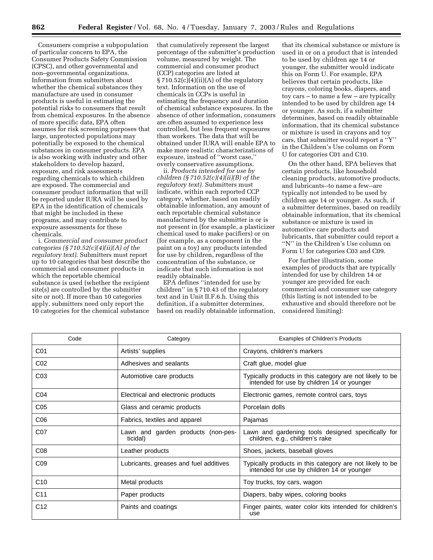Consumers comprise a subpopulation of particular concern to EPA, the Consumer Products Safety Commission (CPSC), and other governmental and non–governmental organizations. Information from submitters about whether the chemical substances they manufacture are used in consumer products is useful in estimating the potential risks to consumers that result from chemical exposures. In the absence of more specific data, EPA often assumes for risk screening purposes that large, unprotected populations may potentially be exposed to the chemical substances in consumer products. EPA is also working with industry and other stakeholders to develop hazard, exposure, and risk assessments regarding chemicals to which children are exposed. The commercial and consumer product information that will be reported under IURA will be used by EPA in the identification of chemicals that might be included in these programs, and may contribute to exposure assessments for these chemicals.

i. *Commercial and consumer product categories (§ 710.52(c)(4)(ii)(A) of the regulatory text)*. Submitters must report up to 10 categories that best describe the commercial and consumer products in which the reportable chemical substance is used (whether the recipient site(s) are controlled by the submitter site or not). If more than 10 categories apply, submitters need only report the 10 categories for the chemical substance

that cumulatively represent the largest percentage of the submitter's production volume, measured by weight. The commercial and consumer product (CCP) categories are listed at  $\S 710.52(c)(4)(ii)(A)$  of the regulatory text. Information on the use of chemicals in CCPs is useful in estimating the frequency and duration of chemical substance exposures. In the absence of other information, consumers are often assumed to experience less controlled, but less frequent exposures than workers. The data that will be obtained under IURA will enable EPA to make more realistic characterizations of exposure, instead of ''worst case,'' overly conservative assumptions.

ii. *Products intended for use by children (§ 710.52(c)(4)(ii)(B) of the regulatory text)*. Submitters must indicate, within each reported CCP category, whether, based on readily obtainable information, any amount of each reportable chemical substance manufactured by the submitter is or is not present in (for example, a plasticizer chemical used to make pacifiers) or on (for example, as a component in the paint on a toy) any products intended for use by children, regardless of the concentration of the substance, or indicate that such information is not readily obtainable.

EPA defines ''intended for use by children'' in § 710.43 of the regulatory text and in Unit II.F.6.h. Using this definition, if a submitter determines, based on readily obtainable information,

that its chemical substance or mixture is used in or on a product that is intended to be used by children age 14 or younger, the submitter would indicate this on Form U. For example, EPA believes that certain products, like crayons, coloring books, diapers, and toy cars – to name a few – are typically intended to be used by children age 14 or younger. As such, if a submitter determines, based on readily obtainable information, that its chemical substance or mixture is used in crayons and toy cars, that submitter would report a ''Y'' in the Children's Use column on Form U for categories C01 and C10.

On the other hand, EPA believes that certain products, like household cleaning products, automotive products, and lubricants--to name a few--are typically not intended to be used by children age 14 or younger. As such, if a submitter determines, based on readily obtainable information, that its chemical substance or mixture is used in automotive care products and lubricants, that submitter could report a ''N'' in the Children's Use column on Form U for categories C03 and C09.

For further illustration, some examples of products that are typically intended for use by children 14 or younger are provided for each commercial and consumer use category (this listing is not intended to be exhaustive and should therefore not be considered limiting):

| Code            | Category                                       | Examples of Children's Products                                                                        |
|-----------------|------------------------------------------------|--------------------------------------------------------------------------------------------------------|
| C01             | Artists' supplies                              | Crayons, children's markers                                                                            |
| CO <sub>2</sub> | Adhesives and sealants                         | Craft glue, model glue                                                                                 |
| CO <sub>3</sub> | Automotive care products                       | Typically products in this category are not likely to be<br>intended for use by children 14 or younger |
| CO <sub>4</sub> | Electrical and electronic products             | Electronic games, remote control cars, toys                                                            |
| C <sub>05</sub> | Glass and ceramic products                     | Porcelain dolls                                                                                        |
| C06             | Fabrics, textiles and apparel                  | Pajamas                                                                                                |
| C07             | Lawn and garden products (non-pes-<br>ticidal) | Lawn and gardening tools designed specifically for<br>children, e.g., children's rake                  |
| CO8             | Leather products                               | Shoes, jackets, baseball gloves                                                                        |
| C <sub>09</sub> | Lubricants, greases and fuel additives         | Typically products in this category are not likely to be<br>intended for use by children 14 or younger |
| C <sub>10</sub> | Metal products                                 | Toy trucks, toy cars, wagon                                                                            |
| C <sub>11</sub> | Paper products                                 | Diapers, baby wipes, coloring books                                                                    |
| C <sub>12</sub> | Paints and coatings                            | Finger paints, water color kits intended for children's<br>use                                         |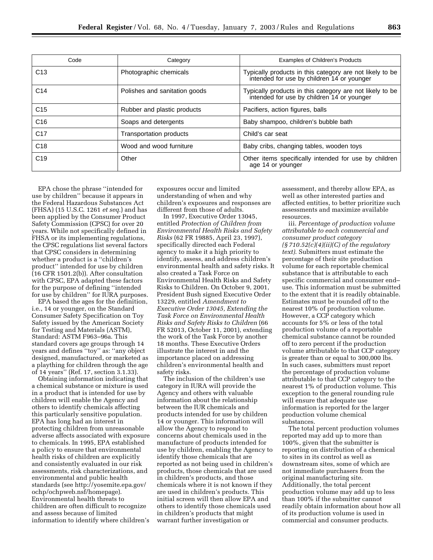| Code            | Category                       | <b>Examples of Children's Products</b>                                                                 |
|-----------------|--------------------------------|--------------------------------------------------------------------------------------------------------|
| C <sub>13</sub> | Photographic chemicals         | Typically products in this category are not likely to be<br>intended for use by children 14 or younger |
| C <sub>14</sub> | Polishes and sanitation goods  | Typically products in this category are not likely to be<br>intended for use by children 14 or younger |
| C <sub>15</sub> | Rubber and plastic products    | Pacifiers, action figures, balls                                                                       |
| C <sub>16</sub> | Soaps and detergents           | Baby shampoo, children's bubble bath                                                                   |
| C <sub>17</sub> | <b>Transportation products</b> | Child's car seat                                                                                       |
| C <sub>18</sub> | Wood and wood furniture        | Baby cribs, changing tables, wooden toys                                                               |
| C <sub>19</sub> | Other                          | Other items specifically intended for use by children<br>age 14 or younger                             |

EPA chose the phrase ''intended for use by children'' because it appears in the Federal Hazardous Substances Act (FHSA) (15 U.S.C. 1261 *et seq*.) and has been applied by the Consumer Product Safety Commission (CPSC) for over 20 years. While not specifically defined in FHSA or its implementing regulations, the CPSC regulations list several factors that CPSC considers in determining whether a product is a ''children's product'' intended for use by children (16 CFR 1501.2(b)). After consultation with CPSC, EPA adapted these factors for the purpose of defining ''intended for use by children'' for IURA purposes.

EPA based the ages for the definition, i.e., 14 or younger, on the Standard Consumer Safety Specification on Toy Safety issued by the American Society for Testing and Materials (ASTM), Standard: ASTM F963–96a. This standard covers age groups through 14 years and defines ''toy'' as: ''any object designed, manufactured, or marketed as a plaything for children through the age of 14 years'' (Ref. 17, section 3.1.33).

Obtaining information indicating that a chemical substance or mixture is used in a product that is intended for use by children will enable the Agency and others to identify chemicals affecting this particularly sensitive population. EPA has long had an interest in protecting children from unreasonable adverse affects associated with exposure to chemicals. In 1995, EPA established a policy to ensure that environmental health risks of children are explicitly and consistently evaluated in our risk assessments, risk characterizations, and environmental and public health standards (see http://yosemite.epa.gov/ ochp/ochpweb.nsf/homepage). Environmental health threats to children are often difficult to recognize and assess because of limited information to identify where children's

exposures occur and limited understanding of when and why children's exposures and responses are different from those of adults.

In 1997, Executive Order 13045, entitled *Protection of Children from Environmental Health Risks and Safety Risks* (62 FR 19885, April 23, 1997), specifically directed each Federal agency to make it a high priority to identify, assess, and address children's environmental health and safety risks. It also created a Task Force on Environmental Health Risks and Safety Risks to Children. On October 9, 2001, President Bush signed Executive Order 13229, entitled *Amendment to Executive Order 13045, Extending the Task Force on Environmental Health Risks and Safety Risks to Children* (66 FR 52013, October 11, 2001), extending the work of the Task Force by another 18 months. These Executive Orders illustrate the interest in and the importance placed on addressing children's environmental health and safety risks.

The inclusion of the children's use category in IURA will provide the Agency and others with valuable information about the relationship between the IUR chemicals and products intended for use by children 14 or younger. This information will allow the Agency to respond to concerns about chemicals used in the manufacture of products intended for use by children, enabling the Agency to identify those chemicals that are reported as not being used in children's products, those chemicals that are used in children's products, and those chemicals where it is not known if they are used in children's products. This initial screen will then allow EPA and others to identify those chemicals used in children's products that might warrant further investigation or

assessment, and thereby allow EPA, as well as other interested parties and affected entities, to better prioritize such assessments and maximize available resources.

iii. *Percentage of production volume attributable to each commercial and consumer product category (§ 710.52(c)(4)(ii)(C) of the regulatory text)*. Submitters must estimate the percentage of their site production volume for each reportable chemical substance that is attributable to each specific commercial and consumer end– use. This information must be submitted to the extent that it is readily obtainable. Estimates must be rounded off to the nearest 10% of production volume. However, a CCP category which accounts for 5% or less of the total production volume of a reportable chemical substance cannot be rounded off to zero percent if the production volume attributable to that CCP category is greater than or equal to 300,000 lbs. In such cases, submitters must report the percentage of production volume attributable to that CCP category to the nearest 1% of production volume. This exception to the general rounding rule will ensure that adequate use information is reported for the larger production volume chemical substances.

The total percent production volumes reported may add up to more than 100%, given that the submitter is reporting on distribution of a chemical to sites in its control as well as downstream sites, some of which are not immediate purchasers from the original manufacturing site. Additionally, the total percent production volume may add up to less than 100% if the submitter cannot readily obtain information about how all of its production volume is used in commercial and consumer products.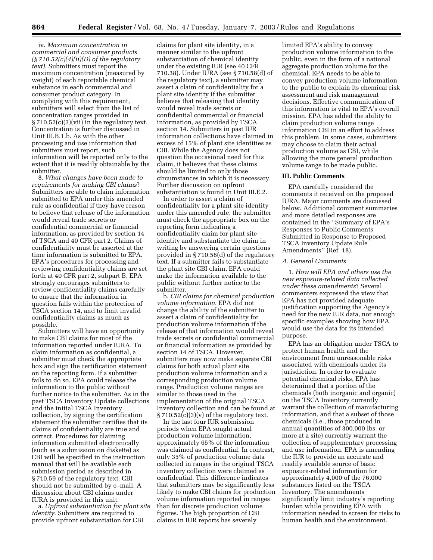iv. *Maximum concentration in commercial and consumer products (§ 710.52(c)(4)(ii)(D) of the regulatory text)*. Submitters must report the maximum concentration (measured by weight) of each reportable chemical substance in each commercial and consumer product category. In complying with this requirement, submitters will select from the list of concentration ranges provided in § 710.52(c)(3)(vii) in the regulatory text. Concentration is further discussed in Unit III.B.1.b. As with the other processing and use information that submitters must report, such information will be reported only to the extent that it is readily obtainable by the submitter.

8. *What changes have been made to requirements for making CBI claims*? Submitters are able to claim information submitted to EPA under this amended rule as confidential if they have reason to believe that release of the information would reveal trade secrets or confidential commercial or financial information, as provided by section 14 of TSCA and 40 CFR part 2. Claims of confidentiality must be asserted at the time information is submitted to EPA. EPA's procedures for processing and reviewing confidentiality claims are set forth at 40 CFR part 2, subpart B. EPA strongly encourages submitters to review confidentiality claims carefully to ensure that the information in question falls within the protection of TSCA section 14, and to limit invalid confidentiality claims as much as possible.

Submitters will have an opportunity to make CBI claims for most of the information reported under IURA. To claim information as confidential, a submitter must check the appropriate box and sign the certification statement on the reporting form. If a submitter fails to do so, EPA could release the information to the public without further notice to the submitter. As in the past TSCA Inventory Update collections and the initial TSCA Inventory collection, by signing the certification statement the submitter certifies that its claims of confidentiality are true and correct. Procedures for claiming information submitted electronically (such as a submission on diskette) as CBI will be specified in the instruction manual that will be available each submission period as described in § 710.59 of the regulatory text. CBI should not be submitted by e–mail. A discussion about CBI claims under IURA is provided in this unit.

a. *Upfront substantiation for plant site identity*. Submitters are required to provide upfront substantiation for CBI

claims for plant site identity, in a manner similar to the upfront substantiation of chemical identity under the existing IUR (see 40 CFR 710.38). Under IURA (see § 710.58(d) of the regulatory text), a submitter may assert a claim of confidentiality for a plant site identity if the submitter believes that releasing that identity would reveal trade secrets or confidential commercial or financial information, as provided by TSCA section 14. Submitters in past IUR information collections have claimed in excess of 15% of plant site identities as CBI. While the Agency does not question the occasional need for this claim, it believes that these claims should be limited to only those circumstances in which it is necessary. Further discussion on upfront substantiation is found in Unit III.E.2.

In order to assert a claim of confidentiality for a plant site identity under this amended rule, the submitter must check the appropriate box on the reporting form indicating a confidentiality claim for plant site identity and substantiate the claim in writing by answering certain questions provided in § 710.58(d) of the regulatory text. If a submitter fails to substantiate the plant site CBI claim, EPA could make the information available to the public without further notice to the submitter.

b. *CBI claims for chemical production volume information*. EPA did not change the ability of the submitter to assert a claim of confidentiality for production volume information if the release of that information would reveal trade secrets or confidential commercial or financial information as provided by section 14 of TSCA. However, submitters may now make separate CBI claims for both actual plant site production volume information and a corresponding production volume range. Production volume ranges are similar to those used in the implementation of the original TSCA Inventory collection and can be found at  $§ 710.52(c)(3)(v)$  of the regulatory text.

In the last four IUR submission periods when EPA sought actual production volume information, approximately 65% of the information was claimed as confidential. In contrast, only 35% of production volume data collected in ranges in the original TSCA inventory collection were claimed as confidential. This difference indicates that submitters may be significantly less likely to make CBI claims for production volume information reported in ranges than for discrete production volume figures. The high proportion of CBI claims in IUR reports has severely

limited EPA's ability to convey production volume information to the public, even in the form of a national aggregate production volume for the chemical. EPA needs to be able to convey production volume information to the public to explain its chemical risk assessment and risk management decisions. Effective communication of this information is vital to EPA's overall mission. EPA has added the ability to claim production volume range information CBI in an effort to address this problem. In some cases, submitters may choose to claim their actual production volume as CBI, while allowing the more general production volume range to be made public.

#### **III. Public Comments**

EPA carefully considered the comments it received on the proposed IURA. Major comments are discussed below. Additional comment summaries and more detailed responses are contained in the ''Summary of EPA's Responses to Public Comments Submitted in Response to Proposed TSCA Inventory Update Rule Amendments'' (Ref. 18).

#### *A. General Comments*

1. *How will EPA and others use the new exposure-related data collected under these amendments*? Several commenters expressed the view that EPA has not provided adequate justification supporting the Agency's need for the new IUR data, nor enough specific examples showing how EPA would use the data for its intended purpose.

EPA has an obligation under TSCA to protect human health and the environment from unreasonable risks associated with chemicals under its jurisdiction. In order to evaluate potential chemical risks, EPA has determined that a portion of the chemicals (both inorganic and organic) on the TSCA Inventory currently warrant the collection of manufacturing information, and that a subset of those chemicals (i.e., those produced in annual quantities of 300,000 lbs. or more at a site) currently warrant the collection of supplementary processing and use information. EPA is amending the IUR to provide an accurate and readily available source of basic exposure-related information for approximately 4,000 of the 76,000 substances listed on the TSCA Inventory. The amendments significantly limit industry's reporting burden while providing EPA with information needed to screen for risks to human health and the environment.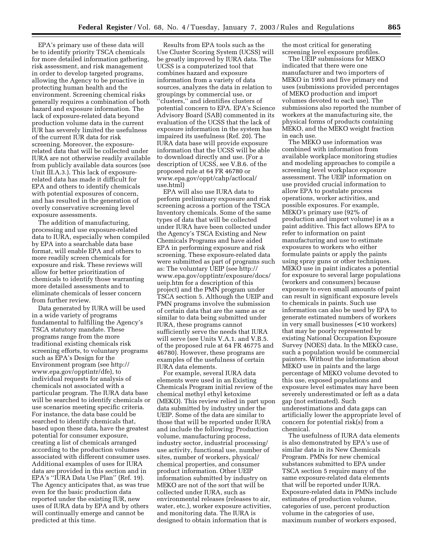EPA's primary use of these data will be to identify priority TSCA chemicals for more detailed information gathering, risk assessment, and risk management in order to develop targeted programs, allowing the Agency to be proactive in protecting human health and the environment. Screening chemical risks generally requires a combination of both hazard and exposure information. The lack of exposure-related data beyond production volume data in the current IUR has severely limited the usefulness of the current IUR data for risk screening. Moreover, the exposurerelated data that will be collected under IURA are not otherwise readily available from publicly available data sources (see Unit III.A.3.). This lack of exposurerelated data has made it difficult for EPA and others to identify chemicals with potential exposures of concern, and has resulted in the generation of overly conservative screening level exposure assessments.

The addition of manufacturing, processing and use exposure-related data to IURA, especially when compiled by EPA into a searchable data base format, will enable EPA and others to more readily screen chemicals for exposure and risk. These reviews will allow for better prioritization of chemicals to identify those warranting more detailed assessments and to eliminate chemicals of lesser concern from further review.

Data generated by IURA will be used in a wide variety of programs fundamental to fulfilling the Agency's TSCA statutory mandate. These programs range from the more traditional existing chemicals risk screening efforts, to voluntary programs such as EPA's Design for the Environment program (see http:// www.epa.gov/opptintr/dfe), to individual requests for analysis of chemicals not associated with a particular program. The IURA data base will be searched to identify chemicals or use scenarios meeting specific criteria. For instance, the data base could be searched to identify chemicals that, based upon these data, have the greatest potential for consumer exposure, creating a list of chemicals arranged according to the production volumes associated with different consumer uses. Additional examples of uses for IURA data are provided in this section and in EPA's ''IURA Data Use Plan'' (Ref. 19). The Agency anticipates that, as was true even for the basic production data reported under the existing IUR, new uses of IURA data by EPA and by others will continually emerge and cannot be predicted at this time.

Results from EPA tools such as the Use Cluster Scoring System (UCSS) will be greatly improved by IURA data. The UCSS is a computerized tool that combines hazard and exposure information from a variety of data sources, analyzes the data in relation to groupings by commercial use, or ''clusters,'' and identifies clusters of potential concern to EPA. EPA's Science Advisory Board (SAB) commented in its evaluation of the UCSS that the lack of exposure information in the system has impaired its usefulness (Ref. 20). The IURA data base will provide exposure information that the UCSS will be able to download directly and use. (For a description of UCSS, see V.B.6. of the proposed rule at 64 FR 46780 or www.epa.gov/oppt/cahp/actlocal/ use.html)

EPA will also use IURA data to perform preliminary exposure and risk screening across a portion of the TSCA Inventory chemicals. Some of the same types of data that will be collected under IURA have been collected under the Agency's TSCA Existing and New Chemicals Programs and have aided EPA in performing exposure and risk screening. These exposure-related data were submitted as part of programs such as: The voluntary UEIP (see http:// www.epa.gov/opptintr/exposure/docs/ ueip.htm for a description of this project) and the PMN program under TSCA section 5. Although the UEIP and PMN programs involve the submission of certain data that are the same as or similar to data being submitted under IURA, these programs cannot sufficiently serve the needs that IURA will serve (see Units V.A.1. and V.B.5. of the proposed rule at 64 FR 46775 and 46780). However, these programs are examples of the usefulness of certain IURA data elements.

For example, several IURA data elements were used in an Existing Chemicals Program initial review of the chemical methyl ethyl ketoxime (MEKO). This review relied in part upon data submitted by industry under the UEIP. Some of the data are similar to those that will be reported under IURA and include the following: Production volume, manufacturing process, industry sector, industrial processing/ use activity, functional use, number of sites, number of workers, physical/ chemical properties, and consumer product information. Other UEIP information submitted by industry on MEKO are not of the sort that will be collected under IURA, such as environmental releases (releases to air, water, etc.), worker exposure activities, and monitoring data. The IURA is designed to obtain information that is

the most critical for generating screening level exposure profiles.

The UEIP submissions for MEKO indicated that there were one manufacturer and two importers of MEKO in 1993 and five primary end uses (submissions provided percentages of MEKO production and import volumes devoted to each use). The submissions also reported the number of workers at the manufacturing site, the physical forms of products containing MEKO, and the MEKO weight fraction in each use.

The MEKO use information was combined with information from available workplace monitoring studies and modeling approaches to compile a screening level workplace exposure assessment. The UEIP information on use provided crucial information to allow EPA to postulate process operations, worker activities, and possible exposures. For example, MEKO's primary use (92% of production and import volume) is as a paint additive. This fact allows EPA to refer to information on paint manufacturing and use to estimate exposures to workers who either formulate paints or apply the paints using spray guns or other techniques. MEKO use in paint indicates a potential for exposure to several large populations (workers and consumers) because exposure to even small amounts of paint can result in significant exposure levels to chemicals in paints. Such use information can also be used by EPA to generate estimated numbers of workers in very small businesses (< 10 workers) that may be poorly represented by existing National Occupation Exposure Survey (NOES) data. In the MEKO case, such a population would be commercial painters. Without the information about MEKO use in paints and the large percentage of MEKO volume devoted to this use, exposed populations and exposure level estimates may have been severely underestimated or left as a data gap (not estimated). Such underestimations and data gaps can artificially lower the appropriate level of concern for potential risk(s) from a chemical.

The usefulness of IURA data elements is also demonstrated by EPA's use of similar data in its New Chemicals Program. PMNs for new chemical substances submitted to EPA under TSCA section 5 require many of the same exposure-related data elements that will be reported under IURA. Exposure-related data in PMNs include estimates of production volume, categories of use, percent production volume in the categories of use, maximum number of workers exposed,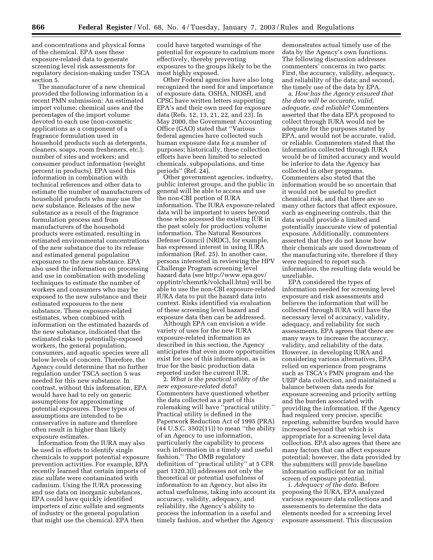and concentrations and physical forms of the chemical. EPA uses these exposure-related data to generate screening level risk assessments for regulatory decision-making under TSCA section 5.

The manufacturer of a new chemical provided the following information in a recent PMN submission: An estimated import volume; chemical uses and the percentages of the import volume devoted to each use (non-cosmetic applications as a component of a fragrance formulation used in household products such as detergents, cleaners, soaps, room fresheners, etc.); number of sites and workers; and consumer product information (weight percent in products). EPA used this information in combination with technical references and other data to estimate the number of manufacturers of household products who may use the new substance. Releases of the new substance as a result of the fragrance formulation process and from manufacturers of the household products were estimated, resulting in estimated environmental concentrations of the new substance due to its release and estimated general population exposures to the new substance. EPA also used the information on processing and use in combination with modeling techniques to estimate the number of workers and consumers who may be exposed to the new substance and their estimated exposures to the new substance. These exposure-related estimates, when combined with information on the estimated hazards of the new substance, indicated that the estimated risks to potentially-exposed workers, the general population, consumers, and aquatic species were all below levels of concern. Therefore, the Agency could determine that no further regulation under TSCA section 5 was needed for this new substance. In contrast, without this information, EPA would have had to rely on generic assumptions for approximating potential exposures. These types of assumptions are intended to be conservative in nature and therefore often result in higher than likely exposure estimates.

Information from the IURA may also be used in efforts to identify single chemicals to support potential exposure prevention activities. For example, EPA recently learned that certain imports of zinc sulfate were contaminated with cadmium. Using the IURA processing and use data on inorganic substances, EPA could have quickly identified importers of zinc sulfate and segments of industry or the general population that might use the chemical. EPA then

could have targeted warnings of the potential for exposure to cadmium more effectively, thereby preventing exposures to the groups likely to be the most highly exposed.

Other Federal agencies have also long recognized the need for and importance of exposure data. OSHA, NIOSH, and CPSC have written letters supporting EPA's and their own need for exposure data (Refs. 12, 13, 21, 22, and 23). In May 2000, the Government Accounting Office (GAO) stated that ''Various federal agencies have collected such human exposure data for a number of purposes; historically, these collection efforts have been limited to selected chemicals, subpopulations, and time periods" (Ref. 24).

Other government agencies, industry, public interest groups, and the public in general will be able to access and use the non-CBI portion of IURA information. The IURA exposure-related data will be important to users beyond those who accessed the existing IUR in the past solely for production volume information. The Natural Resources Defense Council (NRDC), for example, has expressed interest in using IURA information (Ref. 25). In another case, persons interested in reviewing the HPV Challenge Program screening level hazard data (see http://www.epa.gov/ opptintr/chemrtk/volchall.htm) will be able to use the non-CBI exposure-related IURA data to put the hazard data into context. Risks identified via evaluation of these screening level hazard and exposure data then can be addressed.

Although EPA can envision a wide variety of uses for the new IURA exposure-related information as described in this section, the Agency anticipates that even more opportunities exist for use of this information, as is true for the basic production data reported under the current IUR.

2. *What is the practical utility of the new exposure-related data*? Commenters have questioned whether the data collected as a part of this rulemaking will have ''practical utility.'' Practical utility is defined in the Paperwork Reduction Act of 1995 (PRA) (44 U.S.C. 3502(11)) to mean ''the ability of an Agency to use information, particularly the capability to process such information in a timely and useful fashion.'' The OMB regulatory definition of ''practical utility'' at 5 CFR part 1320.3(l) addresses not only the theoretical or potential usefulness of information to an Agency, but also its actual usefulness, taking into account its accuracy, validity, adequacy, and reliability, the Agency's ability to process the information in a useful and timely fashion, and whether the Agency

demonstrates actual timely use of the data by the Agency's own functions. The following discussion addresses commenters' concerns in two parts: First, the accuracy, validity, adequacy, and reliability of the data; and second, the timely use of the data by EPA.

a. *How has the Agency ensured that the data will be accurate, valid, adequate, and reliable*? Commenters asserted that the data EPA proposed to collect through IURA would not be adequate for the purposes stated by EPA, and would not be accurate, valid, or reliable. Commenters stated that the information collected through IURA would be of limited accuracy and would be inferior to data the Agency has collected in other programs. Commenters also stated that the information would be so uncertain that it would not be useful to predict chemical risk, and that there are so many other factors that affect exposure, such as engineering controls, that the data would provide a limited and potentially inaccurate view of potential exposure. Additionally, commenters asserted that they do not know how their chemicals are used downstream of the manufacturing site, therefore if they were required to report such information, the resulting data would be unreliable.

EPA considered the types of information needed for screening level exposure and risk assessments and believes the information that will be collected through IURA will have the necessary level of accuracy, validity, adequacy, and reliability for such assessments. EPA agrees that there are many ways to increase the accuracy, validity, and reliability of the data. However, in developing IURA and considering various alternatives, EPA relied on experience from programs such as TSCA's PMN program and the UEIP data collection, and maintained a balance between data needs for exposure screening and priority setting and the burden associated with providing the information. If the Agency had required very precise, specific reporting, submitter burden would have increased beyond that which is appropriate for a screening level data collection. EPA also agrees that there are many factors that can affect exposure potential; however, the data provided by the submitters will provide baseline information sufficient for an initial screen of exposure potential.

i. *Adequacy of the data*. Before proposing the IURA, EPA analyzed various exposure data collections and assessments to determine the data elements needed for a screening level exposure assessment. This discussion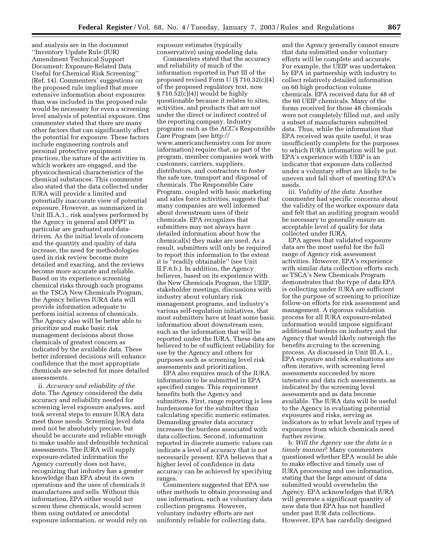and analysis are in the document ''Inventory Update Rule (IUR) Amendment Technical Support Document: Exposure-Related Data Useful for Chemical Risk Screening'' (Ref. 14). Commenters' suggestions on the proposed rule implied that more extensive information about exposures than was included in the proposed rule would be necessary for even a screening level analysis of potential exposure. One commenter stated that there are many other factors that can significantly affect the potential for exposure. These factors include engineering controls and personal protective equipment practices, the nature of the activities in which workers are engaged, and the physicochemical characteristics of the chemical substances. This commenter also stated that the data collected under IURA will provide a limited and potentially inaccurate view of potential exposure. However, as summarized in Unit III.A.1., risk analyses performed by the Agency in general and OPPT in particular are graduated and datadriven. As the initial levels of concern and the quantity and quality of data increase, the need for methodologies used in risk review become more detailed and exacting, and the reviews become more accurate and reliable. Based on its experience screening chemical risks through such programs as the TSCA New Chemicals Program, the Agency believes IURA data will provide information adequate to perform initial screens of chemicals. The Agency also will be better able to prioritize and make basic risk management decisions about those chemicals of greatest concern as indicated by the available data. These better informed decisions will enhance confidence that the most appropriate chemicals are selected for more detailed assessments.

ii. *Accuracy and reliability of the data*. The Agency considered the data accuracy and reliability needed for screening level exposure analyses, and took several steps to ensure IURA data meet those needs. Screening level data need not be absolutely precise, but should be accurate and reliable enough to make usable and defensible technical assessments. The IURA will supply exposure-related information the Agency currently does not have, recognizing that industry has a greater knowledge than EPA about its own operations and the uses of chemicals it manufactures and sells. Without this information, EPA either would not screen these chemicals, would screen them using outdated or anecdotal exposure information, or would rely on

exposure estimates (typically conservative) using modeling data.

Commenters stated that the accuracy and reliability of much of the information reported in Part III of the proposed revised Form U (§ 710.32(c)(4) of the proposed regulatory text, now § 710.52(c)(4)) would be highly questionable because it relates to sites, activities, and products that are not under the direct or indirect control of the reporting company. Industry programs such as the ACC's Responsible Care Program (see http:// www.americanchemistry.com for more information) require that, as part of the program, member companies work with customers, carriers, suppliers, distributors, and contractors to foster the safe use, transport and disposal of chemicals. The Responsible Care Program, coupled with basic marketing and sales force activities, suggests that many companies are well informed about downstream uses of their chemicals. EPA recognizes that submitters may not always have detailed information about how the chemical(s) they make are used. As a result, submitters will only be required to report this information to the extent it is ''readily obtainable'' (see Unit II.F.6.b.). In addition, the Agency believes, based on its experience with the New Chemicals Program, the UEIP, stakeholder meetings, discussions with industry about voluntary risk management programs, and industry's various self-regulation initiatives, that most submitters have at least some basic information about downstream uses, such as the information that will be reported under the IURA. These data are believed to be of sufficient reliability for use by the Agency and others for purposes such as screening level risk assessments and prioritization.

EPA also requires much of the IURA information to be submitted in EPA specified ranges. This requirement benefits both the Agency and submitters. First, range reporting is less burdensome for the submitter than calculating specific numeric estimates. Demanding greater data accuracy increases the burdens associated with data collection. Second, information reported in discrete numeric values can indicate a level of accuracy that is not necessarily present. EPA believes that a higher level of confidence in data accuracy can be achieved by specifying ranges.

Commenters suggested that EPA use other methods to obtain processing and use information, such as voluntary data collection programs. However, voluntary industry efforts are not uniformly reliable for collecting data,

and the Agency generally cannot ensure that data submitted under voluntary efforts will be complete and accurate. For example, the UEIP was undertaken by EPA in partnership with industry to collect relatively detailed information on 60 high production volume chemicals. EPA received data for 48 of the 60 UEIP chemicals. Many of the forms received for those 48 chemicals were not completely filled out, and only a subset of manufacturers submitted data. Thus, while the information that EPA received was quite useful, it was insufficiently complete for the purposes to which IURA information will be put. EPA's experience with UEIP is an indicator that exposure data collected under a voluntary effort are likely to be uneven and fall short of meeting EPA's needs.

iii. *Validity of the data*. Another commenter had specific concerns about the validity of the worker exposure data and felt that an auditing program would be necessary to generally ensure an acceptable level of quality for data collected under IURA.

EPA agrees that validated exposure data are the most useful for the full range of Agency risk assessment activities. However, EPA's experience with similar data collection efforts such as TSCA's New Chemicals Program demonstrates that the type of data EPA is collecting under IURA are sufficient for the purpose of screening to prioritize follow-on efforts for risk assessment and management. A rigorous validation process for all IURA exposure-related information would impose significant additional burdens on industry and the Agency that would likely outweigh the benefits accruing to the screening process. As discussed in Unit III.A.1., EPA exposure and risk evaluations are often iterative, with screening level assessments succeeded by more intensive and data rich assessments, as indicated by the screening level assessments and as data become available. The IURA data will be useful to the Agency in evaluating potential exposures and risks, serving as indicators as to what levels and types of exposures from which chemicals need further review.

b. *Will the Agency use the data in a timely manner*? Many commenters questioned whether EPA would be able to make effective and timely use of IURA processing and use information, stating that the large amount of data submitted would overwhelm the Agency. EPA acknowledges that IURA will generate a significant quantity of new data that EPA has not handled under past IUR data collections. However, EPA has carefully designed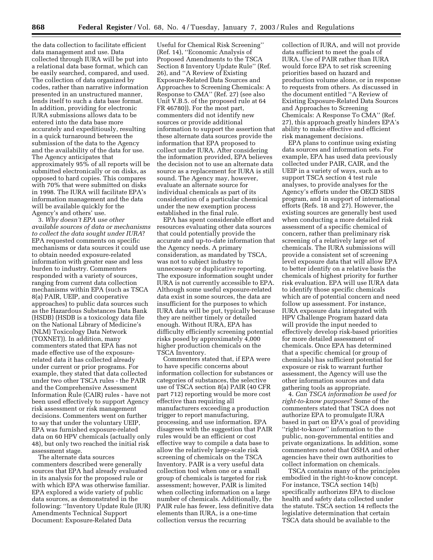the data collection to facilitate efficient data management and use. Data collected through IURA will be put into a relational data base format, which can be easily searched, compared, and used. The collection of data organized by codes, rather than narrative information presented in an unstructured manner, lends itself to such a data base format. In addition, providing for electronic IURA submissions allows data to be entered into the data base more accurately and expeditiously, resulting in a quick turnaround between the submission of the data to the Agency and the availability of the data for use. The Agency anticipates that approximately 95% of all reports will be submitted electronically or on disks, as opposed to hard copies. This compares with 70% that were submitted on disks in 1998. The IURA will facilitate EPA's information management and the data will be available quickly for the Agency's and others' use.

3. *Why doesn't EPA use other available sources of data or mechanisms to collect the data sought under IURA*? EPA requested comments on specific mechanisms or data sources it could use to obtain needed exposure-related information with greater ease and less burden to industry. Commenters responded with a variety of sources, ranging from current data collection mechanisms within EPA (such as TSCA 8(a) PAIR, UEIP, and cooperative approaches) to public data sources such as the Hazardous Substances Data Bank (HSDB) (HSDB is a toxicology data file on the National Library of Medicine's (NLM) Toxicology Data Network (TOXNET)). In addition, many commenters stated that EPA has not made effective use of the exposurerelated data it has collected already under current or prior programs. For example, they stated that data collected under two other TSCA rules - the PAIR and the Comprehensive Assessment Information Rule (CAIR) rules - have not been used effectively to support Agency risk assessment or risk management decisions. Commenters went on further to say that under the voluntary UEIP, EPA was furnished exposure-related data on 60 HPV chemicals (actually only 48), but only two reached the initial risk assessment stage.

The alternate data sources commenters described were generally sources that EPA had already evaluated in its analysis for the proposed rule or with which EPA was otherwise familiar. EPA explored a wide variety of public data sources, as demonstrated in the following: ''Inventory Update Rule (IUR) Amendments Technical Support Document: Exposure-Related Data

Useful for Chemical Risk Screening'' (Ref. 14), ''Economic Analysis of Proposed Amendments to the TSCA Section 8 Inventory Update Rule'' (Ref. 26), and ''A Review of Existing Exposure-Related Data Sources and Approaches to Screening Chemicals: A Response to CMA'' (Ref. 27) (see also Unit V.B.5. of the proposed rule at 64 FR 46780)). For the most part, commenters did not identify new sources or provide additional information to support the assertion that these alternate data sources provide the information that EPA proposed to collect under IURA. After considering the information provided, EPA believes the decision not to use an alternate data source as a replacement for IURA is still sound. The Agency may, however, evaluate an alternate source for individual chemicals as part of its consideration of a particular chemical under the new exemption process established in the final rule.

EPA has spent considerable effort and resources evaluating other data sources that could potentially provide the accurate and up-to-date information that the Agency needs. A primary consideration, as mandated by TSCA, was not to subject industry to unnecessary or duplicative reporting. The exposure information sought under IURA is not currently accessible to EPA. Although some useful exposure-related data exist in some sources, the data are insufficient for the purposes to which IURA data will be put, typically because they are neither timely or detailed enough. Without IURA, EPA has difficulty efficiently screening potential risks posed by approximately 4,000 higher production chemicals on the TSCA Inventory.

Commenters stated that, if EPA were to have specific concerns about information collection for substances or categories of substances, the selective use of TSCA section 8(a) PAIR (40 CFR part 712) reporting would be more cost effective than requiring all manufacturers exceeding a production trigger to report manufacturing, processing, and use information. EPA disagrees with the suggestion that PAIR rules would be an efficient or cost effective way to compile a data base to allow the relatively large-scale risk screening of chemicals on the TSCA Inventory. PAIR is a very useful data collection tool when one or a small group of chemicals is targeted for risk assessment; however, PAIR is limited when collecting information on a large number of chemicals. Additionally, the PAIR rule has fewer, less definitive data elements than IURA, is a one-time collection versus the recurring

collection of IURA, and will not provide data sufficient to meet the goals of IURA. Use of PAIR rather than IURA would force EPA to set risk screening priorities based on hazard and production volume alone, or in response to requests from others. As discussed in the document entitled ''A Review of Existing Exposure-Related Data Sources and Approaches to Screening Chemicals: A Response To CMA'' (Ref. 27), this approach greatly hinders EPA's ability to make effective and efficient risk management decisions.

EPA plans to continue using existing data sources and information sets. For example, EPA has used data previously collected under PAIR, CAIR, and the UEIP in a variety of ways, such as to support TSCA section 4 test rule analyses, to provide analyses for the Agency's efforts under the OECD SIDS program, and in support of international efforts (Refs. 18 and 27). However, the existing sources are generally best used when conducting a more detailed risk assessment of a specific chemical of concern, rather than preliminary risk screening of a relatively large set of chemicals. The IURA submissions will provide a consistent set of screening level exposure data that will allow EPA to better identify on a relative basis the chemicals of highest priority for further risk evaluation. EPA will use IURA data to identify those specific chemicals which are of potential concern and need follow up assessment. For instance, IURA exposure data integrated with HPV Challenge Program hazard data will provide the input needed to effectively develop risk-based priorities for more detailed assessment of chemicals. Once EPA has determined that a specific chemical (or group of chemicals) has sufficient potential for exposure or risk to warrant further assessment, the Agency will use the other information sources and data gathering tools as appropriate.

4. *Can TSCA information be used for right-to-know purposes*? Some of the commenters stated that TSCA does not authorize EPA to promulgate IURA based in part on EPA's goal of providing ''right-to-know'' information to the public, non-governmental entities and private organizations. In addition, some commenters noted that OSHA and other agencies have their own authorities to collect information on chemicals.

TSCA contains many of the principles embodied in the right-to-know concept. For instance, TSCA section 14(b) specifically authorizes EPA to disclose health and safety data collected under the statute. TSCA section 14 reflects the legislative determination that certain TSCA data should be available to the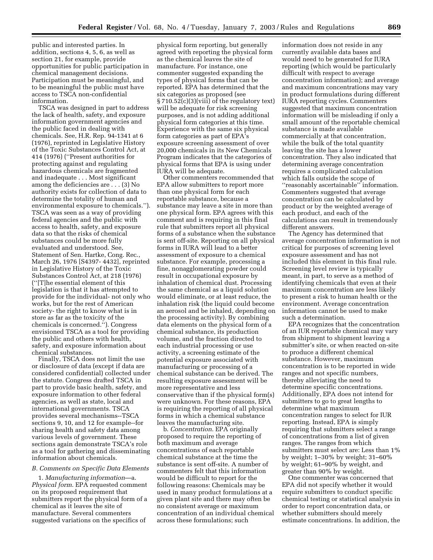public and interested parties. In addition, sections 4, 5, 6, as well as section 21, for example, provide opportunities for public participation in chemical management decisions. Participation must be meaningful, and to be meaningful the public must have access to TSCA non-confidential information.

TSCA was designed in part to address the lack of health, safety, and exposure information government agencies and the public faced in dealing with chemicals. See, H.R. Rep. 94-1341 at 6 (1976), reprinted in Legislative History of the Toxic Substances Control Act, at 414 (1976) (''Present authorities for protecting against and regulating hazardous chemicals are fragmented and inadequate . . . Most significant among the deficiencies are . . . (3) No authority exists for collection of data to determine the totality of human and environmental exposure to chemicals.''). TSCA was seen as a way of providing federal agencies and the public with access to health, safety, and exposure data so that the risks of chemical substances could be more fully evaluated and understood. See, Statement of Sen. Hartke, Cong. Rec., March 26, 1976 [S4397- 4432], reprinted in Legislative History of the Toxic Substances Control Act, at 218 (1976) (''[T]he essential element of this legislation is that it has attempted to provide for the individual- not only who works, but for the rest of American society- the right to know what is in store as far as the toxicity of the chemicals is concerned.''). Congress envisioned TSCA as a tool for providing the public and others with health, safety, and exposure information about chemical substances.

Finally, TSCA does not limit the use or disclosure of data (except if data are considered confidential) collected under the statute. Congress drafted TSCA in part to provide basic health, safety, and exposure information to other federal agencies, as well as state, local and international governments. TSCA provides several mechanisms--TSCA sections 9, 10, and 12 for example--for sharing health and safety data among various levels of government. These sections again demonstrate TSCA's role as a tool for gathering and disseminating information about chemicals.

#### *B. Comments on Specific Data Elements*

1. *Manufacturing information*—a. *Physical form*. EPA requested comment on its proposed requirement that submitters report the physical form of a chemical as it leaves the site of manufacture. Several commenters suggested variations on the specifics of

physical form reporting, but generally agreed with reporting the physical form as the chemical leaves the site of manufacture. For instance, one commenter suggested expanding the types of physical forms that can be reported. EPA has determined that the six categories as proposed (see § 710.52(c)(3)(viii) of the regulatory text) will be adequate for risk screening purposes, and is not adding additional physical form categories at this time. Experience with the same six physical form categories as part of EPA's exposure screening assessment of over 20,000 chemicals in its New Chemicals Program indicates that the categories of physical forms that EPA is using under IURA will be adequate.

Other commenters recommended that EPA allow submitters to report more than one physical form for each reportable substance, because a substance may leave a site in more than one physical form. EPA agrees with this comment and is requiring in this final rule that submitters report all physical forms of a substance when the substance is sent off-site. Reporting on all physical forms in IURA will lead to a better assessment of exposure to a chemical substance. For example, processing a fine, nonagglomerating powder could result in occupational exposure by inhalation of chemical dust. Processing the same chemical as a liquid solution would eliminate, or at least reduce, the inhalation risk (the liquid could become an aerosol and be inhaled, depending on the processing activity). By combining data elements on the physical form of a chemical substance, its production volume, and the fraction directed to each industrial processing or use activity, a screening estimate of the potential exposure associated with manufacturing or processing of a chemical substance can be derived. The resulting exposure assessment will be more representative and less conservative than if the physical form(s) were unknown. For these reasons, EPA is requiring the reporting of all physical forms in which a chemical substance leaves the manufacturing site.

b. *Concentration*. EPA originally proposed to require the reporting of both maximum and average concentrations of each reportable chemical substance at the time the substance is sent off-site. A number of commenters felt that this information would be difficult to report for the following reasons: Chemicals may be used in many product formulations at a given plant site and there may often be no consistent average or maximum concentration of an individual chemical across these formulations; such

information does not reside in any currently available data bases and would need to be generated for IURA reporting (which would be particularly difficult with respect to average concentration information); and average and maximum concentrations may vary in product formulations during different IURA reporting cycles. Commenters suggested that maximum concentration information will be misleading if only a small amount of the reportable chemical substance is made available commercially at that concentration, while the bulk of the total quantity leaving the site has a lower concentration. They also indicated that determining average concentration requires a complicated calculation which falls outside the scope of ''reasonably ascertainable'' information. Commenters suggested that average concentration can be calculated by product or by the weighted average of each product, and each of the calculations can result in tremendously different answers.

The Agency has determined that average concentration information is not critical for purposes of screening level exposure assessment and has not included this element in this final rule. Screening level review is typically meant, in part, to serve as a method of identifying chemicals that even at their maximum concentration are less likely to present a risk to human health or the environment. Average concentration information cannot be used to make such a determination.

EPA recognizes that the concentration of an IUR reportable chemical may vary from shipment to shipment leaving a submitter's site, or when reacted on-site to produce a different chemical substance. However, maximum concentration is to be reported in wide ranges and not specific numbers, thereby alleviating the need to determine specific concentrations. Additionally, EPA does not intend for submitters to go to great lengths to determine what maximum concentration ranges to select for IUR reporting. Instead, EPA is simply requiring that submitters select a range of concentrations from a list of given ranges. The ranges from which submitters must select are: Less than 1% by weight; 1–30% by weight; 31–60% by weight; 61–90% by weight, and greater than 90% by weight.

One commenter was concerned that EPA did not specify whether it would require submitters to conduct specific chemical testing or statistical analysis in order to report concentration data, or whether submitters should merely estimate concentrations. In addition, the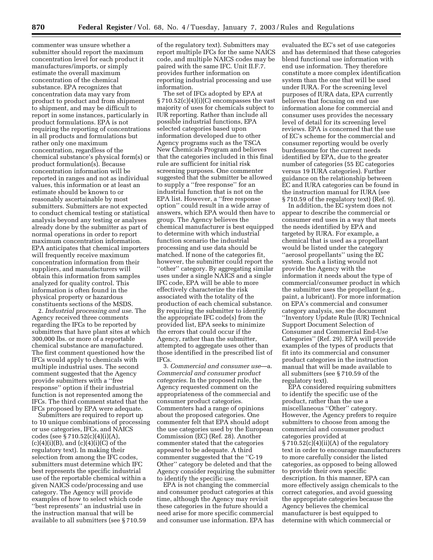commenter was unsure whether a submitter should report the maximum concentration level for each product it manufactures/imports, or simply estimate the overall maximum concentration of the chemical substance. EPA recognizes that concentration data may vary from product to product and from shipment to shipment, and may be difficult to report in some instances, particularly in product formulations. EPA is not requiring the reporting of concentrations in all products and formulations but rather only one maximum concentration, regardless of the chemical substance's physical form(s) or product formulation(s). Because concentration information will be reported in ranges and not as individual values, this information or at least an estimate should be known to or reasonably ascertainable by most submitters. Submitters are not expected to conduct chemical testing or statistical analysis beyond any testing or analyses already done by the submitter as part of normal operations in order to report maximum concentration information. EPA anticipates that chemical importers will frequently receive maximum concentration information from their suppliers, and manufacturers will obtain this information from samples analyzed for quality control. This information is often found in the physical property or hazardous constituents sections of the MSDS.

2. *Industrial processing and use*. The Agency received three comments regarding the IFCs to be reported by submitters that have plant sites at which 300,000 lbs. or more of a reportable chemical substance are manufactured. The first comment questioned how the IFCs would apply to chemicals with multiple industrial uses. The second comment suggested that the Agency provide submitters with a ''free response'' option if their industrial function is not represented among the IFCs. The third comment stated that the IFCs proposed by EPA were adequate.

Submitters are required to report up to 10 unique combinations of processing or use categories, IFCs, and NAICS codes (see § 710.52(c)(4)(i)(A),  $(c)(4)(i)(B)$ , and  $(c)(4)(i)(C)$  of the regulatory text). In making their selection from among the IFC codes, submitters must determine which IFC best represents the specific industrial use of the reportable chemical within a given NAICS code/processing and use category. The Agency will provide examples of how to select which code ''best represents'' an industrial use in the instruction manual that will be available to all submitters (see § 710.59

of the regulatory text). Submitters may report multiple IFCs for the same NAICS code, and multiple NAICS codes may be paired with the same IFC. Unit II.F.7. provides further information on reporting industrial processing and use information.

The set of IFCs adopted by EPA at  $\S 710.52(c)(4)(i)(C)$  encompasses the vast majority of uses for chemicals subject to IUR reporting. Rather than include all possible industrial functions, EPA selected categories based upon information developed due to other Agency programs such as the TSCA New Chemicals Program and believes that the categories included in this final rule are sufficient for initial risk screening purposes. One commenter suggested that the submitter be allowed to supply a ''free response'' for an industrial function that is not on the EPA list. However, a ''free response option'' could result in a wide array of answers, which EPA would then have to group. The Agency believes the chemical manufacturer is best equipped to determine with which industrial function scenario the industrial processing and use data should be matched. If none of the categories fit, however, the submitter could report the ''other'' category. By aggregating similar uses under a single NAICS and a single IFC code, EPA will be able to more effectively characterize the risk associated with the totality of the production of each chemical substance. By requiring the submitter to identify the appropriate IFC code(s) from the provided list, EPA seeks to minimize the errors that could occur if the Agency, rather than the submitter, attempted to aggregate uses other than those identified in the prescribed list of IFCs.

3. *Commercial and consumer use*—a. *Commercial and consumer product categories*. In the proposed rule, the Agency requested comment on the appropriateness of the commercial and consumer product categories. Commenters had a range of opinions about the proposed categories. One commenter felt that EPA should adopt the use categories used by the European Commission (EC) (Ref. 28). Another commenter stated that the categories appeared to be adequate. A third commenter suggested that the ''C-19 Other'' category be deleted and that the Agency consider requiring the submitter to identify the specific use.

EPA is not changing the commercial and consumer product categories at this time, although the Agency may revisit these categories in the future should a need arise for more specific commercial and consumer use information. EPA has

evaluated the EC's set of use categories and has determined that these categories blend functional use information with end use information. They therefore constitute a more complex identification system than the one that will be used under IURA. For the screening level purposes of IURA data, EPA currently believes that focusing on end use information alone for commercial and consumer uses provides the necessary level of detail for its screening level reviews. EPA is concerned that the use of EC's scheme for the commercial and consumer reporting would be overly burdensome for the current needs identified by EPA, due to the greater number of categories (55 EC categories versus 19 IURA categories). Further guidance on the relationship between EC and IURA categories can be found in the instruction manual for IURA (see § 710.59 of the regulatory text) (Ref. 9).

In addition, the EC system does not appear to describe the commercial or consumer end uses in a way that meets the needs identified by EPA and targeted by IURA. For example, a chemical that is used as a propellant would be listed under the category ''aerosol propellants'' using the EC system. Such a listing would not provide the Agency with the information it needs about the type of commercial/consumer product in which the submitter uses the propellant (e.g., paint, a lubricant). For more information on EPA's commercial and consumer category analysis, see the document ''Inventory Update Rule (IUR) Technical Support Document Selection of Consumer and Commercial End-Use Categories'' (Ref. 29). EPA will provide examples of the types of products that fit into its commercial and consumer product categories in the instruction manual that will be made available to all submitters (see § 710.59 of the regulatory text).

EPA considered requiring submitters to identify the specific use of the product, rather than the use a miscellaneous ''Other'' category. However, the Agency prefers to require submitters to choose from among the commercial and consumer product categories provided at  $$710.52(c)(4)(ii)(A)$  of the regulatory text in order to encourage manufacturers to more carefully consider the listed categories, as opposed to being allowed to provide their own specific description. In this manner, EPA can more effectively assign chemicals to the correct categories, and avoid guessing the appropriate categories because the Agency believes the chemical manufacturer is best equipped to determine with which commercial or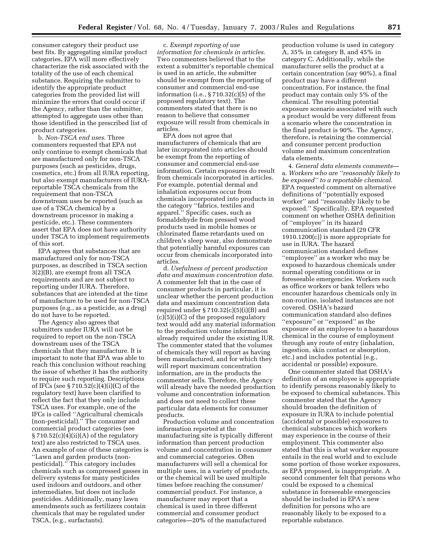consumer category their product use best fits. By aggregating similar product categories, EPA will more effectively characterize the risk associated with the totality of the use of each chemical substance. Requiring the submitter to identify the appropriate product categories from the provided list will minimize the errors that could occur if the Agency, rather than the submitter, attempted to aggregate uses other than those identified in the prescribed list of product categories.

b. *Non-TSCA end uses*. Three commenters requested that EPA not only continue to exempt chemicals that are manufactured only for non-TSCA purposes (such as pesticides, drugs, cosmetics, etc.) from all IURA reporting, but also exempt manufacturers of IURAreportable TSCA chemicals from the requirement that non-TSCA downstream uses be reported (such as use of a TSCA chemical by a downstream processor in making a pesticide, etc.). These commenters assert that EPA does not have authority under TSCA to implement requirements of this sort.

EPA agrees that substances that are manufactured only for non-TSCA purposes, as described in TSCA section 3(2)(B), are exempt from all TSCA requirements and are not subject to reporting under IURA. Therefore, substances that are intended at the time of manufacture to be used for non-TSCA purposes (e.g., as a pesticide, as a drug) do not have to be reported.

The Agency also agrees that submitters under IURA will not be required to report on the non-TSCA downstream uses of the TSCA chemicals that they manufacture. It is important to note that EPA was able to reach this conclusion without reaching the issue of whether it has the authority to require such reporting. Descriptions of IFCs (see § 710.52(c)(4)(i)(C) of the regulatory text) have been clarified to reflect the fact that they only include TSCA uses. For example, one of the IFCs is called ''Agricultural chemicals (non-pesticidal).'' The consumer and commercial product categories (see § 710.52(c)(4)(ii)(A) of the regulatory text) are also restricted to TSCA uses. An example of one of these categories is ''Lawn and garden products (nonpesticidal).'' This category includes chemicals such as compressed gasses in delivery systems for many pesticides used indoors and outdoors, and other intermediates, but does not include pesticides. Additionally, many lawn amendments such as fertilizers contain chemicals that may be regulated under TSCA, (e.g., surfactants).

c. *Exempt reporting of use information for chemicals in articles*. Two commenters believed that to the extent a submitter's reportable chemical is used in an article, the submitter should be exempt from the reporting of consumer and commercial end-use information (i.e., § 710.32(c)(5) of the proposed regulatory text). The commenters stated that there is no reason to believe that consumer exposure will result from chemicals in articles.

EPA does not agree that manufacturers of chemicals that are later incorporated into articles should be exempt from the reporting of consumer and commercial end-use information. Certain exposures do result from chemicals incorporated in articles. For example, potential dermal and inhalation exposures occur from chemicals incorporated into products in the category ''fabrics, textiles and apparel.'' Specific cases, such as formaldehyde from pressed wood products used in mobile homes or chlorinated flame retardants used on children's sleep wear, also demonstrate that potentially harmful exposures can occur from chemicals incorporated into articles.

d. *Usefulness of percent production data and maximum concentration data*. A commenter felt that in the case of consumer products in particular, it is unclear whether the percent production data and maximum concentration data required under  $\S 710.32(c)(5)(i)(B)$  and  $(c)(5)(i)(C)$  of the proposed regulatory text would add any material information to the production volume information already required under the existing IUR. The commenter stated that the volumes of chemicals they will report as having been manufactured, and for which they will report maximum concentration information, are in the products the commenter sells. Therefore, the Agency will already have the needed production volume and concentration information and does not need to collect these particular data elements for consumer products.

Production volume and concentration information reported at the manufacturing site is typically different information than percent production volume and concentration in consumer and commercial categories. Often manufacturers will sell a chemical for multiple uses, in a variety of products, or the chemical will be used multiple times before reaching the consumer/ commercial product. For instance, a manufacturer may report that a chemical is used in three different commercial and consumer product categories—20% of the manufactured

production volume is used in category A, 35% in category B, and 45% in category C. Additionally, while the manufacturer sells the product at a certain concentration (say 90%), a final product may have a different concentration. For instance, the final product may contain only 5% of the chemical. The resulting potential exposure scenario associated with such a product would be very different from a scenario where the concentration in the final product is 90%. The Agency, therefore, is retaining the commercial and consumer percent production volume and maximum concentration data elements.

4. *General data elements comments* a. *Workers who are ''reasonably likely to be exposed'' to a reportable chemical*. EPA requested comment on alternative definitions of ''potentially exposed worker'' and ''reasonably likely to be exposed.'' Specifically, EPA requested comment on whether OSHA definition of ''employee'' in its hazard communication standard (29 CFR 1910.1200(c)) is more appropriate for use in IURA. The hazard communication standard defines ''employee'' as a worker who may be exposed to hazardous chemicals under normal operating conditions or in foreseeable emergencies. Workers such as office workers or bank tellers who encounter hazardous chemicals only in non-routine, isolated instances are not covered. OSHA's hazard communication standard also defines ''exposure'' or ''exposed'' as the exposure of an employee to a hazardous chemical in the course of employment through any route of entry (inhalation, ingestion, skin contact or absorption, etc.) and includes potential (e.g., accidental or possible) exposure.

One commenter stated that OSHA's definition of an employee is appropriate to identify persons reasonably likely to be exposed to chemical substances. This commenter stated that the Agency should broaden the definition of exposure in IURA to include potential (accidental or possible) exposures to chemical substances which workers may experience in the course of their employment. This commenter also stated that this is what worker exposure entails in the real world and to exclude some portion of those worker exposures, as EPA proposed, is inappropriate. A second commenter felt that persons who could be exposed to a chemical substance in foreseeable emergencies should be included in EPA's new definition for persons who are reasonably likely to be exposed to a reportable substance.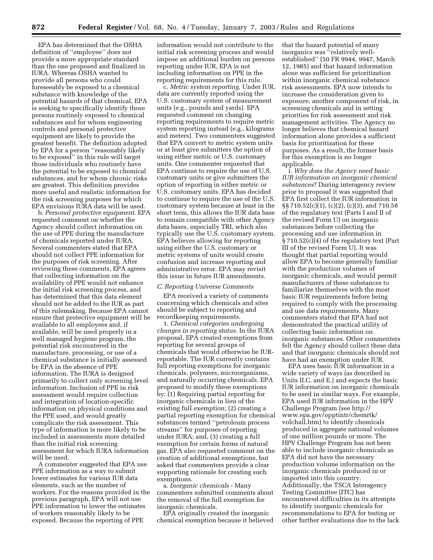EPA has determined that the OSHA definition of ''employee'' does not provide a more appropriate standard than the one proposed and finalized in IURA. Whereas OSHA wanted to provide all persons who could foreseeably be exposed to a chemical substance with knowledge of the potential hazards of that chemical, EPA is seeking to specifically identify those persons routinely exposed to chemical substances and for whom engineering controls and personal protective equipment are likely to provide the greatest benefit. The definition adopted by EPA for a person ''reasonably likely to be exposed'' in this rule will target those individuals who routinely have the potential to be exposed to chemical substances, and for whom chronic risks are greatest. This definition provides more useful and realistic information for the risk screening purposes for which EPA envisions IURA data will be used.

b. *Personal protective equipment*. EPA requested comment on whether the Agency should collect information on the use of PPE during the manufacture of chemicals reported under IURA. Several commenters stated that EPA should not collect PPE information for the purposes of risk screening. After reviewing these comments, EPA agrees that collecting information on the availability of PPE would not enhance the initial risk screening process, and has determined that this data element should not be added to the IUR as part of this rulemaking. Because EPA cannot ensure that protective equipment will be available to all employees and, if available, will be used properly in a well managed hygiene program, the potential risk encountered in the manufacture, processing, or use of a chemical substance is initially assessed by EPA in the absence of PPE information. The IURA is designed primarily to collect only screening level information. Inclusion of PPE in risk assessment would require collection and integration of location-specific information on physical conditions and the PPE used, and would greatly complicate the risk assessment. This type of information is more likely to be included in assessments more detailed than the initial risk screening assessment for which IURA information will be used.

A commenter suggested that EPA use PPE information as a way to submit lower estimates for various IUR data elements, such as the number of workers. For the reasons provided in the previous paragraph, EPA will not use PPE information to lower the estimates of workers reasonably likely to be exposed. Because the reporting of PPE

information would not contribute to the initial risk screening process and would impose an additional burden on persons reporting under IUR, EPA is not including information on PPE in the reporting requirements for this rule.

c. *Metric system reporting*. Under IUR, data are currently reported using the U.S. customary system of measurement units (e.g., pounds and yards). EPA requested comment on changing reporting requirements to require metric system reporting instead (e.g., kilograms and meters). Two commenters suggested that EPA convert to metric system units or at least give submitters the option of using either metric or U.S. customary units. One commenter requested that EPA continue to require the use of U.S. customary units or give submitters the option of reporting in either metric or U.S. customary units. EPA has decided to continue to require the use of the U.S. customary system because at least in the short term, this allows the IUR data base to remain compatible with other Agency data bases, especially TRI, which also typically use the U.S. customary system. EPA believes allowing for reporting using either the U.S. customary or metric systems of units would create confusion and increase reporting and administrative error. EPA may revisit this issue in future IUR amendments.

#### *C. Reporting Universe Comments*

EPA received a variety of comments concerning which chemicals and sites should be subject to reporting and recordkeeping requirements.

1. *Chemical categories undergoing changes in reporting status*. In the IURA proposal, EPA created exemptions from reporting for several groups of chemicals that would otherwise be IURreportable. The IUR currently contains full reporting exemptions for inorganic chemicals, polymers, microorganisms, and naturally occurring chemicals. EPA proposed to modify these exemptions by: (1) Requiring partial reporting for inorganic chemicals in lieu of the existing full exemption; (2) creating a partial reporting exemption for chemical substances termed ''petroleum process streams'' for purposes of reporting under IURA; and, (3) creating a full exemption for certain forms of natural gas. EPA also requested comment on the creation of additional exemptions, but asked that commenters provide a clear supporting rationale for creating such exemptions.

a. *Inorganic chemicals* - Many commenters submitted comments about the removal of the full exemption for inorganic chemicals.

EPA originally created the inorganic chemical exemption because it believed

that the hazard potential of many inorganics was "relatively wellestablished'' (50 FR 9944, 9947, March 12, 1985) and that hazard information alone was sufficient for prioritization within inorganic chemical substance risk assessments. EPA now intends to increase the consideration given to exposure, another component of risk, in screening chemicals and in setting priorities for risk assessment and risk management activities. The Agency no longer believes that chemical hazard information alone provides a sufficient basis for prioritization for these purposes. As a result, the former basis for this exemption is no longer applicable.

i. *Why does the Agency need basic IUR information on inorganic chemical substances*? During interagency review prior to proposal it was suggested that EPA first collect the IUR information in §§ 710.52(c)(1), (c)(2), (c)(3), and 710.58 of the regulatory text (Parts I and II of the revised Form U) on inorganic substances before collecting the processing and use information in § 710.52(c)(4) of the regulatory text (Part III of the revised Form U). It was thought that partial reporting would allow EPA to become generally familiar with the production volumes of inorganic chemicals, and would permit manufacturers of these substances to familiarize themselves with the most basic IUR requirements before being required to comply with the processing and use data requirements. Many commenters stated that EPA had not demonstrated the practical utility of collecting basic information on inorganic substances. Other commenters felt the Agency should collect these data and that inorganic chemicals should not have had an exemption under IUR.

EPA uses basic IUR information in a wide variety of ways (as described in Units II.C. and E.) and expects the basic IUR information on inorganic chemicals to be used in similar ways. For example, EPA used IUR information in the HPV Challenge Program (see http:// www.epa.gov/opptintr/chemrtk/ volchall.htm) to identify chemicals produced in aggregate national volumes of one million pounds or more. The HPV Challenge Program has not been able to include inorganic chemicals as EPA did not have the necessary production volume information on the inorganic chemicals produced in or imported into this country. Additionally, the TSCA Interagency Testing Committee (ITC) has encountered difficulties in its attempts to identify inorganic chemicals for recommendations to EPA for testing or other further evaluations due to the lack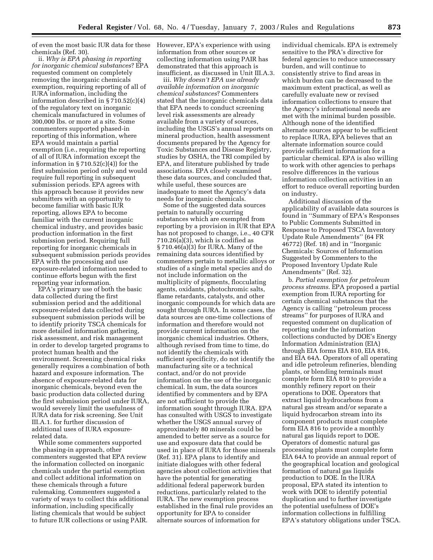of even the most basic IUR data for these chemicals (Ref. 30).

ii. *Why is EPA phasing in reporting for inorganic chemical substances*? EPA requested comment on completely removing the inorganic chemicals exemption, requiring reporting of all of IURA information, including the information described in § 710.52(c)(4) of the regulatory text on inorganic chemicals manufactured in volumes of 300,000 lbs. or more at a site. Some commenters supported phased-in reporting of this information, where EPA would maintain a partial exemption (i.e., requiring the reporting of all of IURA information except the information in  $\S 710.52(c)(4)$  for the first submission period only and would require full reporting in subsequent submission periods. EPA agrees with this approach because it provides new submitters with an opportunity to become familiar with basic IUR reporting, allows EPA to become familiar with the current inorganic chemical industry, and provides basic production information in the first submission period. Requiring full reporting for inorganic chemicals in subsequent submission periods provides EPA with the processing and use exposure-related information needed to continue efforts begun with the first reporting year information.

EPA's primary use of both the basic data collected during the first submission period and the additional exposure-related data collected during subsequent submission periods will be to identify priority TSCA chemicals for more detailed information gathering, risk assessment, and risk management in order to develop targeted programs to protect human health and the environment. Screening chemical risks generally requires a combination of both hazard and exposure information. The absence of exposure-related data for inorganic chemicals, beyond even the basic production data collected during the first submission period under IURA, would severely limit the usefulness of IURA data for risk screening. See Unit III.A.1. for further discussion of additional uses of IURA exposurerelated data.

While some commenters supported the phasing-in approach, other commenters suggested that EPA review the information collected on inorganic chemicals under the partial exemption and collect additional information on these chemicals through a future rulemaking. Commenters suggested a variety of ways to collect this additional information, including specifically listing chemicals that would be subject to future IUR collections or using PAIR.

However, EPA's experience with using information from other sources or collecting information using PAIR has demonstrated that this approach is insufficient, as discussed in Unit III.A.3.

iii. *Why doesn't EPA use already available information on inorganic chemical substances*? Commenters stated that the inorganic chemicals data that EPA needs to conduct screening level risk assessments are already available from a variety of sources, including the USGS's annual reports on mineral production, health assessment documents prepared by the Agency for Toxic Substances and Disease Registry, studies by OSHA, the TRI compiled by EPA, and literature published by trade associations. EPA closely examined these data sources, and concluded that, while useful, these sources are inadequate to meet the Agency's data needs for inorganic chemicals.

Some of the suggested data sources pertain to naturally occurring substances which are exempted from reporting by a provision in IUR that EPA has not proposed to change, i.e., 40 CFR  $710.26(a)(3)$ , which is codified as § 710.46(a)(3) for IURA. Many of the remaining data sources identified by commenters pertain to metallic alloys or studies of a single metal species and do not include information on the multiplicity of pigments, flocculating agents, oxidants, photochromic salts, flame retardants, catalysts, and other inorganic compounds for which data are sought through IURA. In some cases, the data sources are one-time collections of information and therefore would not provide current information on the inorganic chemical industries. Others, although revised from time to time, do not identify the chemicals with sufficient specificity, do not identify the manufacturing site or a technical contact, and/or do not provide information on the use of the inorganic chemical. In sum, the data sources identified by commenters and by EPA are not sufficient to provide the information sought through IURA. EPA has consulted with USGS to investigate whether the USGS annual survey of approximately 80 minerals could be amended to better serve as a source for use and exposure data that could be used in place of IURA for those minerals (Ref. 31). EPA plans to identify and initiate dialogues with other federal agencies about collection activities that have the potential for generating additional federal paperwork burden reductions, particularly related to the IURA. The new exemption process established in the final rule provides an opportunity for EPA to consider alternate sources of information for

individual chemicals. EPA is extremely sensitive to the PRA's directive for federal agencies to reduce unnecessary burden, and will continue to consistently strive to find areas in which burden can be decreased to the maximum extent practical, as well as carefully evaluate new or revised information collections to ensure that the Agency's informational needs are met with the minimal burden possible. Although none of the identified alternate sources appear to be sufficient to replace IURA, EPA believes that an alternate information source could provide sufficient information for a particular chemical. EPA is also willing to work with other agencies to perhaps resolve differences in the various information collection activities in an effort to reduce overall reporting burden on industry.

Additional discussion of the applicability of available data sources is found in ''Summary of EPA's Responses to Public Comments Submitted in Response to Proposed TSCA Inventory Update Rule Amendments'' (64 FR 46772) (Ref. 18) and in ''Inorganic Chemicals: Sources of Information Suggested by Commenters to the Proposed Inventory Update Rule Amendments'' (Ref. 32).

b. *Partial exemption for petroleum process streams*. EPA proposed a partial exemption from IURA reporting for certain chemical substances that the Agency is calling ''petroleum process streams'' for purposes of IURA and requested comment on duplication of reporting under the information collections conducted by DOE's Energy Information Administration (EIA) through EIA forms EIA 810, EIA 816, and EIA 64A. Operators of all operating and idle petroleum refineries, blending plants, or blending terminals must complete form EIA 810 to provide a monthly refinery report on their operations to DOE. Operators that extract liquid hydrocarbons from a natural gas stream and/or separate a liquid hydrocarbon stream into its component products must complete form EIA 816 to provide a monthly natural gas liquids report to DOE. Operators of domestic natural gas processing plants must complete form EIA 64A to provide an annual report of the geographical location and geological formation of natural gas liquids production to DOE. In the IURA proposal, EPA stated its intention to work with DOE to identify potential duplication and to further investigate the potential usefulness of DOE's information collections in fulfilling EPA's statutory obligations under TSCA.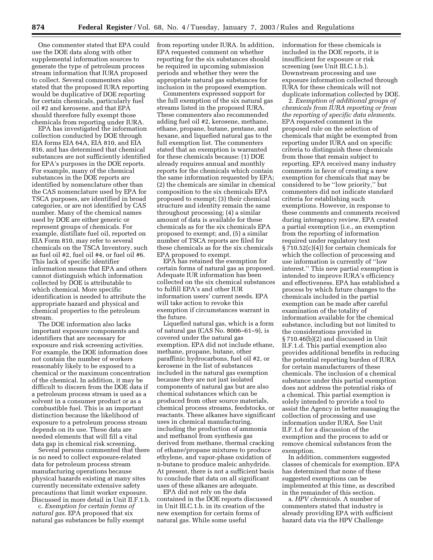One commenter stated that EPA could use the DOE data along with other supplemental information sources to generate the type of petroleum process stream information that IURA proposed to collect. Several commenters also stated that the proposed IURA reporting would be duplicative of DOE reporting for certain chemicals, particularly fuel oil #2 and kerosene, and that EPA should therefore fully exempt those chemicals from reporting under IURA.

EPA has investigated the information collection conducted by DOE through EIA forms EIA 64A, EIA 810, and EIA 816, and has determined that chemical substances are not sufficiently identified for EPA's purposes in the DOE reports. For example, many of the chemical substances in the DOE reports are identified by nomenclature other than the CAS nomenclature used by EPA for TSCA purposes, are identified in broad categories, or are not identified by CAS number. Many of the chemical names used by DOE are either generic or represent groups of chemicals. For example, distillate fuel oil, reported on EIA Form 810, may refer to several chemicals on the TSCA Inventory, such as fuel oil #2, fuel oil #4, or fuel oil #6. This lack of specific identifier information means that EPA and others cannot distinguish which information collected by DOE is attributable to which chemical. More specific identification is needed to attribute the appropriate hazard and physical and chemical properties to the petroleum stream.

The DOE information also lacks important exposure components and identifiers that are necessary for exposure and risk screening activities. For example, the DOE information does not contain the number of workers reasonably likely to be exposed to a chemical or the maximum concentration of the chemical. In addition, it may be difficult to discern from the DOE data if a petroleum process stream is used as a solvent in a consumer product or as a combustible fuel. This is an important distinction because the likelihood of exposure to a petroleum process stream depends on its use. These data are needed elements that will fill a vital data gap in chemical risk screening.

Several persons commented that there is no need to collect exposure-related data for petroleum process stream manufacturing operations because physical hazards existing at many sites currently necessitate extensive safety precautions that limit worker exposure. Discussed in more detail in Unit II.F.1.b.

c. *Exemption for certain forms of natural gas*. EPA proposed that six natural gas substances be fully exempt from reporting under IURA. In addition, EPA requested comment on whether reporting for the six substances should be required in upcoming submission periods and whether they were the appropriate natural gas substances for inclusion in the proposed exemption.

Commenters expressed support for the full exemption of the six natural gas streams listed in the proposed IURA. These commenters also recommended adding fuel oil #2, kerosene, methane, ethane, propane, butane, pentane, and hexane, and liquefied natural gas to the full exemption list. The commenters stated that an exemption is warranted for these chemicals because: (1) DOE already requires annual and monthly reports for the chemicals which contain the same information requested by EPA; (2) the chemicals are similar in chemical composition to the six chemicals EPA proposed to exempt; (3) their chemical structure and identity remain the same throughout processing; (4) a similar amount of data is available for these chemicals as for the six chemicals EPA proposed to exempt; and, (5) a similar number of TSCA reports are filed for these chemicals as for the six chemicals EPA proposed to exempt.

EPA has retained the exemption for certain forms of natural gas as proposed. Adequate IUR information has been collected on the six chemical substances to fulfill EPA's and other IUR information users' current needs. EPA will take action to revoke this exemption if circumstances warrant in the future.

Liquefied natural gas, which is a form of natural gas (CAS No. 8006–61–9), is covered under the natural gas exemption. EPA did not include ethane, methane, propane, butane, other paraffinic hydrocarbons, fuel oil #2, or kerosene in the list of substances included in the natural gas exemption because they are not just isolated components of natural gas but are also chemical substances which can be produced from other source materials, chemical process streams, feedstocks, or reactants. These alkanes have significant uses in chemical manufacturing, including the production of ammonia and methanol from synthesis gas derived from methane, thermal cracking of ethane/propane mixtures to produce ethylene, and vapor-phase oxidation of n-butane to produce maleic anhydride. At present, there is not a sufficient basis to conclude that data on all significant uses of these alkanes are adequate.

EPA did not rely on the data contained in the DOE reports discussed in Unit III.C.1.b. in its creation of the new exemption for certain forms of natural gas. While some useful

information for these chemicals is included in the DOE reports, it is insufficient for exposure or risk screening (see Unit III.C.1.b.). Downstream processing and use exposure information collected through IURA for these chemicals will not duplicate information collected by DOE.

2. *Exemption of additional groups of chemicals from IURA reporting or from the reporting of specific data elements*. EPA requested comment in the proposed rule on the selection of chemicals that might be exempted from reporting under IURA and on specific criteria to distinguish these chemicals from those that remain subject to reporting. EPA received many industry comments in favor of creating a new exemption for chemicals that may be considered to be ''low priority,'' but commenters did not indicate standard criteria for establishing such exemptions. However, in response to these comments and comments received during interagency review, EPA created a partial exemption (i.e., an exemption from the reporting of information required under regulatory text § 710.52(c)(4)) for certain chemicals for which the collection of processing and use information is currently of ''low interest.'' This new partial exemption is intended to improve IURA's efficiency and effectiveness. EPA has established a process by which future changes to the chemicals included in the partial exemption can be made after careful examination of the totality of information available for the chemical substance, including but not limited to the considerations provided in § 710.46(b)(2) and discussed in Unit II.F.1.d. This partial exemption also provides additional benefits in reducing the potential reporting burden of IURA for certain manufacturers of these chemicals. The inclusion of a chemical substance under this partial exemption does not address the potential risks of a chemical. This partial exemption is solely intended to provide a tool to assist the Agency in better managing the collection of processing and use information under IURA. See Unit II.F.1.d for a discussion of the exemption and the process to add or remove chemical substances from the exemption.

In addition, commenters suggested classes of chemicals for exemption. EPA has determined that none of these suggested exemptions can be implemented at this time, as described in the remainder of this section.

a. *HPV chemicals*. A number of commenters stated that industry is already providing EPA with sufficient hazard data via the HPV Challenge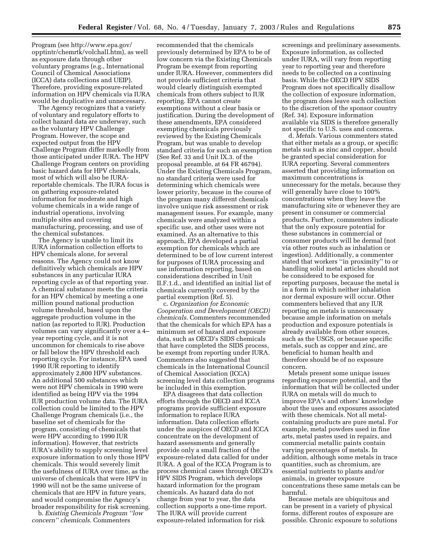Program (see http://www.epa.gov/ opptintr/chemrtk/volchall.htm), as well as exposure data through other voluntary programs (e.g., International Council of Chemical Associations (ICCA) data collections and UEIP). Therefore, providing exposure-related information on HPV chemicals via IURA would be duplicative and unnecessary.

The Agency recognizes that a variety of voluntary and regulatory efforts to collect hazard data are underway, such as the voluntary HPV Challenge Program. However, the scope and expected output from the HPV Challenge Program differ markedly from those anticipated under IURA. The HPV Challenge Program centers on providing basic hazard data for HPV chemicals, most of which will also be IURAreportable chemicals. The IURA focus is on gathering exposure-related information for moderate and high volume chemicals in a wide range of industrial operations, involving multiple sites and covering manufacturing, processing, and use of the chemical substances.

The Agency is unable to limit its IURA information collection efforts to HPV chemicals alone, for several reasons. The Agency could not know definitively which chemicals are HPV substances in any particular IURA reporting cycle as of that reporting year. A chemical substance meets the criteria for an HPV chemical by meeting a one million pound national production volume threshold, based upon the aggregate production volume in the nation (as reported to IUR). Production volumes can vary significantly over a 4– year reporting cycle, and it is not uncommon for chemicals to rise above or fall below the HPV threshold each reporting cycle. For instance, EPA used 1990 IUR reporting to identify approximately 2,800 HPV substances. An additional 500 substances which were not HPV chemicals in 1990 were identified as being HPV via the 1994 IUR production volume data. The IURA collection could be limited to the HPV Challenge Program chemicals (i.e., the baseline set of chemicals for the program, consisting of chemicals that were HPV according to 1990 IUR information). However, that restricts IURA's ability to supply screening level exposure information to only those HPV chemicals. This would severely limit the usefulness of IURA over time, as the universe of chemicals that were HPV in 1990 will not be the same universe of chemicals that are HPV in future years, and would compromise the Agency's broader responsibility for risk screening.

b. *Existing Chemicals Program ''low concern'' chemicals*. Commenters

recommended that the chemicals previously determined by EPA to be of low concern via the Existing Chemicals Program be exempt from reporting under IURA. However, commenters did not provide sufficient criteria that would clearly distinguish exempted chemicals from others subject to IUR reporting. EPA cannot create exemptions without a clear basis or justification. During the development of these amendments, EPA considered exempting chemicals previously reviewed by the Existing Chemicals Program, but was unable to develop standard criteria for such an exemption (See Ref. 33 and Unit IX.3. of the proposal preamble, at 64 FR 46794). Under the Existing Chemicals Program, no standard criteria were used for determining which chemicals were lower priority, because in the course of the program many different chemicals involve unique risk assessment or risk management issues. For example, many chemicals were analyzed within a specific use, and other uses were not examined. As an alternative to this approach, EPA developed a partial exemption for chemicals which are determined to be of low current interest for purposes of IURA processing and use information reporting, based on considerations described in Unit II.F.1.d., and identified an initial list of chemicals currently covered by the partial exemption (Ref. 5).

c. *Organization for Economic Cooperation and Development (OECD) chemicals*. Commenters recommended that the chemicals for which EPA has a minimum set of hazard and exposure data, such as OECD's SIDS chemicals that have completed the SIDS process, be exempt from reporting under IURA. Commenters also suggested that chemicals in the International Council of Chemical Association (ICCA) screening level data collection programs be included in this exemption.

EPA disagrees that data collection efforts through the OECD and ICCA programs provide sufficient exposure information to replace IURA information. Data collection efforts under the auspices of OECD and ICCA concentrate on the development of hazard assessments and generally provide only a small fraction of the exposure-related data called for under IURA. A goal of the ICCA Program is to process chemical cases through OECD's HPV SIDS Program, which develops hazard information for the program chemicals. As hazard data do not change from year to year, the data collection supports a one-time report. The IURA will provide current exposure-related information for risk

screenings and preliminary assessments. Exposure information, as collected under IURA, will vary from reporting year to reporting year and therefore needs to be collected on a continuing basis. While the OECD HPV SIDS Program does not specifically disallow the collection of exposure information, the program does leave such collection to the discretion of the sponsor country (Ref. 34). Exposure information available via SIDS is therefore generally not specific to U.S. uses and concerns.

d. *Metals*. Various commenters stated that either metals as a group, or specific metals such as zinc and copper, should be granted special consideration for IURA reporting. Several commenters asserted that providing information on maximum concentrations is unnecessary for the metals, because they will generally have close to 100% concentrations when they leave the manufacturing site or whenever they are present in consumer or commercial products. Further, commenters indicate that the only exposure potential for these substances in commercial or consumer products will be dermal (not via other routes such as inhalation or ingestion). Additionally, a commenter stated that workers ''in proximity'' to or handling solid metal articles should not be considered to be exposed for reporting purposes, because the metal is in a form in which neither inhalation nor dermal exposure will occur. Other commenters believed that any IUR reporting on metals is unnecessary because ample information on metals production and exposure potentials is already available from other sources, such as the USGS, or because specific metals, such as copper and zinc, are beneficial to human health and therefore should be of no exposure concern.

Metals present some unique issues regarding exposure potential, and the information that will be collected under IURA on metals will do much to improve EPA's and others' knowledge about the uses and exposures associated with these chemicals. Not all metalcontaining products are pure metal. For example, metal powders used in fine arts, metal pastes used in repairs, and commercial metallic paints contain varying percentages of metals. In addition, although some metals in trace quantities, such as chromium, are essential nutrients to plants and/or animals, in greater exposure concentrations these same metals can be harmful.

Because metals are ubiquitous and can be present in a variety of physical forms, different routes of exposure are possible. Chronic exposure to solutions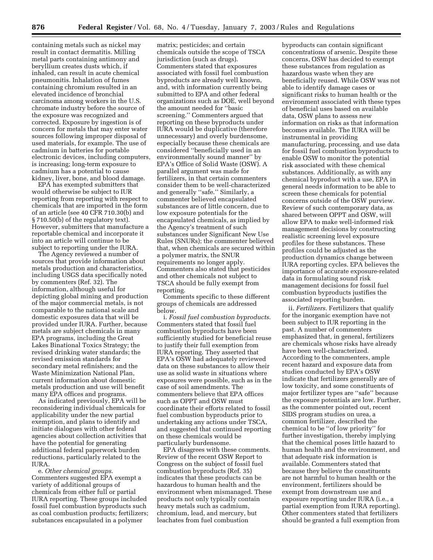containing metals such as nickel may result in contact dermatitis. Milling metal parts containing antimony and beryllium creates dusts which, if inhaled, can result in acute chemical pneumonitis. Inhalation of fumes containing chromium resulted in an elevated incidence of bronchial carcinoma among workers in the U.S. chromate industry before the source of the exposure was recognized and corrected. Exposure by ingestion is of concern for metals that may enter water sources following improper disposal of used materials, for example. The use of cadmium in batteries for portable electronic devices, including computers, is increasing; long-term exposure to cadmium has a potential to cause kidney, liver, bone, and blood damage.

EPA has exempted submitters that would otherwise be subject to IUR reporting from reporting with respect to chemicals that are imported in the form of an article (see 40 CFR 710.30(b) and § 710.50(b) of the regulatory text). However, submitters that manufacture a reportable chemical and incorporate it into an article will continue to be subject to reporting under the IURA.

The Agency reviewed a number of sources that provide information about metals production and characteristics, including USGS data specifically noted by commenters (Ref. 32). The information, although useful for depicting global mining and production of the major commercial metals, is not comparable to the national scale and domestic exposures data that will be provided under IURA. Further, because metals are subject chemicals in many EPA programs, including the Great Lakes Binational Toxics Strategy; the revised drinking water standards; the revised emission standards for secondary metal refinishers; and the Waste Minimization National Plan, current information about domestic metals production and use will benefit many EPA offices and programs.

As indicated previously, EPA will be reconsidering individual chemicals for applicability under the new partial exemption, and plans to identify and initiate dialogues with other federal agencies about collection activities that have the potential for generating additional federal paperwork burden reductions, particularly related to the IURA.

e. *Other chemical groups*. Commenters suggested EPA exempt a variety of additional groups of chemicals from either full or partial IURA reporting. These groups included fossil fuel combustion byproducts such as coal combustion products; fertilizers; substances encapsulated in a polymer

matrix; pesticides; and certain chemicals outside the scope of TSCA jurisdiction (such as drugs). Commenters stated that exposures associated with fossil fuel combustion byproducts are already well known, and, with information currently being submitted to EPA and other federal organizations such as DOE, well beyond the amount needed for ''basic screening.'' Commenters argued that reporting on these byproducts under IURA would be duplicative (therefore unnecessary) and overly burdensome, especially because these chemicals are considered ''beneficially used in an environmentally sound manner'' by EPA's Office of Solid Waste (OSW). A parallel argument was made for fertilizers, in that certain commenters consider them to be well-characterized and generally ''safe.'' Similarly, a commenter believed encapsulated substances are of little concern, due to low exposure potentials for the encapsulated chemicals, as implied by the Agency's treatment of such substances under Significant New Use Rules (SNURs); the commenter believed that, when chemicals are secured within a polymer matrix, the SNUR requirements no longer apply. Commenters also stated that pesticides and other chemicals not subject to TSCA should be fully exempt from reporting.

Comments specific to these different groups of chemicals are addressed below.

i. *Fossil fuel combustion byproducts*. Commenters stated that fossil fuel combustion byproducts have been sufficiently studied for beneficial reuse to justify their full exemption from IURA reporting. They asserted that EPA's OSW had adequately reviewed data on these substances to allow their use as solid waste in situations where exposures were possible, such as in the case of soil amendments. The commenters believe that EPA offices such as OPPT and OSW must coordinate their efforts related to fossil fuel combustion byproducts prior to undertaking any actions under TSCA, and suggested that continued reporting on these chemicals would be particularly burdensome.

EPA disagrees with these comments. Review of the recent OSW Report to Congress on the subject of fossil fuel combustion byproducts (Ref. 35) indicates that these products can be hazardous to human health and the environment when mismanaged. These products not only typically contain heavy metals such as cadmium, chromium, lead, and mercury, but leachates from fuel combustion

byproducts can contain significant concentrations of arsenic. Despite these concerns, OSW has decided to exempt these substances from regulation as hazardous waste when they are beneficially reused. While OSW was not able to identify damage cases or significant risks to human health or the environment associated with these types of beneficial uses based on available data, OSW plans to assess new information on risks as that information becomes available. The IURA will be instrumental in providing manufacturing, processing, and use data for fossil fuel combustion byproducts to enable OSW to monitor the potential risk associated with these chemical substances. Additionally, as with any chemical byproduct with a use, EPA in general needs information to be able to screen these chemicals for potential concerns outside of the OSW purview. Review of such contemporary data, as shared between OPPT and OSW, will allow EPA to make well-informed risk management decisions by constructing realistic screening level exposure profiles for these substances. These profiles could be adjusted as the production dynamics change between IURA reporting cycles. EPA believes the importance of accurate exposure-related data in formulating sound risk management decisions for fossil fuel combustion byproducts justifies the associated reporting burden.

ii. *Fertilizers*. Fertilizers that qualify for the inorganic exemption have not been subject to IUR reporting in the past. A number of commenters emphasized that, in general, fertilizers are chemicals whose risks have already have been well-characterized. According to the commenters, ample recent hazard and exposure data from studies conducted by EPA's OSW indicate that fertilizers generally are of low toxicity, and some constituents of major fertilizer types are ''safe'' because the exposure potentials are low. Further, as the commenter pointed out, recent SIDS program studies on urea, a common fertilizer, described the chemical to be ''of low priority'' for further investigation, thereby implying that the chemical poses little hazard to human health and the environment, and that adequate risk information is available. Commenters stated that because they believe the constituents are not harmful to human health or the environment, fertilizers should be exempt from downstream use and exposure reporting under IURA (i.e., a partial exemption from IURA reporting). Other commenters stated that fertilizers should be granted a full exemption from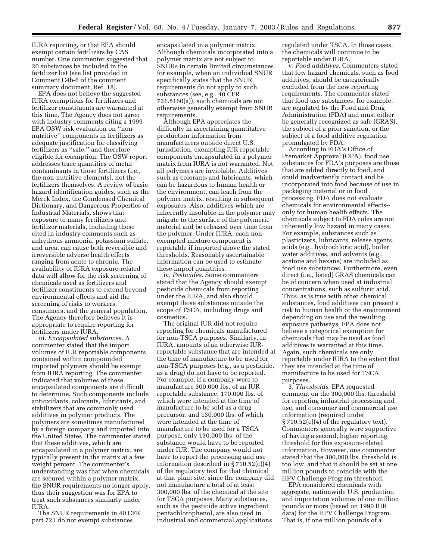IURA reporting, or that EPA should exempt certain fertilizers by CAS number. One commenter suggested that 20 substances be included in the fertilizer list (see list provided in Comment C4b-6 of the comment summary document, Ref. 18).

EPA does not believe the suggested IURA exemptions for fertilizers and fertilizer constituents are warranted at this time. The Agency does not agree with industry comments citing a 1999 EPA OSW risk evaluation on ''nonnutritive'' components in fertilizers as adequate justification for classifying fertilizers as ''safe,'' and therefore eligible for exemption. The OSW report addresses trace quantities of metal contaminants in those fertilizers (i.e., the non-nutritive elements), not the fertilizers themselves. A review of basic hazard identification guides, such as the Merck Index, the Condensed Chemical Dictionary, and Dangerous Properties of Industrial Materials, shows that exposure to many fertilizers and fertilizer materials, including those cited in industry comments such as anhydrous ammonia, potassium sulfate, and urea, can cause both reversible and irreversible adverse health effects ranging from acute to chronic. The availability of IURA exposure-related data will allow for the risk screening of chemicals used as fertilizers and fertilizer constituents to extend beyond environmental effects and aid the screening of risks to workers, consumers, and the general population. The Agency therefore believes it is appropriate to require reporting for fertilizers under IURA.

iii. *Encapsulated substances*. A commenter stated that the import volumes of IUR reportable components contained within compounded imported polymers should be exempt from IURA reporting. The commenter indicated that volumes of these encapsulated components are difficult to determine. Such components include antioxidants, colorants, lubricants, and stabilizers that are commonly used additives in polymer products. The polymers are sometimes manufactured by a foreign company and imported into the United States. The commenter stated that these additives, which are encapsulated in a polymer matrix, are typically present in the matrix at a few weight percent. The commenter's understanding was that when chemicals are secured within a polymer matrix, the SNUR requirements no longer apply, thus their suggestion was for EPA to treat such substances similarly under IURA.

The SNUR requirements in 40 CFR part 721 do not exempt substances

encapsulated in a polymer matrix. Although chemicals incorporated into a polymer matrix are not subject to SNURs in certain limited circumstances, for example, when an individual SNUR specifically states that the SNUR requirements do not apply to such substances (see, e.g., 40 CFR 721.8160(a)), such chemicals are not otherwise generally exempt from SNUR requirements.

Although EPA appreciates the difficulty in ascertaining quantitative production information from manufacturers outside direct U.S. jurisdiction, exempting IUR reportable components encapsulated in a polymer matrix from IURA is not warranted. Not all polymers are inviolable. Additives such as colorants and lubricants, which can be hazardous to human health or the environment, can leach from the polymer matrix, resulting in subsequent exposures. Also, additives which are inherently insoluble in the polymer may migrate to the surface of the polymeric material and be released over time from the polymer. Under IURA, each nonexempted mixture component is reportable if imported above the stated thresholds. Reasonably ascertainable information can be used to estimate these import quantities.

iv. *Pesticides*. Some commenters stated that the Agency should exempt pesticide chemicals from reporting under the IURA, and also should exempt those substances outside the scope of TSCA, including drugs and cosmetics.

The original IUR did not require reporting for chemicals manufactured for non-TSCA purposes. Similarly, in IURA, amounts of an otherwise IURreportable substance that are intended at the time of manufacture to be used for non-TSCA purposes (e.g., as a pesticide, as a drug) do not have to be reported. For example, if a company were to manufacture 300,000 lbs. of an IURreportable substance, 170,000 lbs. of which were intended at the time of manufacture to be sold as a drug precursor, and 130,000 lbs. of which were intended at the time of manufacture to be used for a TSCA purpose, only 130,000 lbs. of the substance would have to be reported under IUR. The company would not have to report the processing and use information described in § 710.52(c)(4) of the regulatory text for that chemical at that plant site, since the company did not manufacture a total of at least 300,000 lbs. of the chemical at the site for TSCA purposes. Many substances, such as the pesticide active ingredient pentachlorophenol, are also used in industrial and commercial applications

regulated under TSCA. In those cases, the chemicals will continue to be reportable under IURA.

v. *Food additives*. Commenters stated that low hazard chemicals, such as food additives, should be categorically excluded from the new reporting requirements. The commenter stated that food use substances, for example, are regulated by the Food and Drug Administration (FDA) and must either be generally recognized as safe (GRAS), the subject of a prior sanction, or the subject of a food additive regulation promulgated by FDA.

According to FDA's Office of Premarket Approval (OPA), food use substances for FDA's purposes are those that are added directly to food, and could inadvertently contact and be incorporated into food because of use in packaging material or in food processing. FDA does not evaluate chemicals for environmental effects- only for human health effects. The chemicals subject to FDA rules are not inherently low hazard in many cases. For example, substances such as plasticizers, lubricants, release agents, acids (e.g., hydrochloric acid), boiler water additives, and solvents (e.g., acetone and hexane) are included as food use substances. Furthermore, even direct (i.e., listed) GRAS chemicals can be of concern when used at industrial concentrations, such as sulfuric acid. Thus, as is true with other chemical substances, food additives can present a risk to human health or the environment depending on use and the resulting exposure pathways. EPA does not believe a categorical exemption for chemicals that may be used as food additives is warranted at this time. Again, such chemicals are only reportable under IURA to the extent that they are intended at the time of manufacture to be used for TSCA purposes.

3. *Thresholds*. EPA requested comment on the 300,000 lbs. threshold for reporting industrial processing and use, and consumer and commercial use information (required under  $\S 710.52(c)(4)$  of the regulatory text). Commenters generally were supportive of having a second, higher reporting threshold for this exposure-related information. However, one commenter stated that the 300,000 lbs. threshold is too low, and that it should be set at one million pounds to coincide with the HPV Challenge Program threshold.

EPA considered chemicals with aggregate, nationwide U.S. production and importation volumes of one million pounds or more (based on 1990 IUR data) for the HPV Challenge Program. That is, if one million pounds of a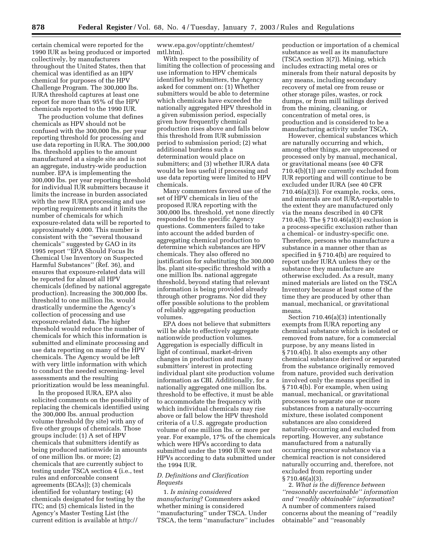certain chemical were reported for the 1990 IUR as being produced or imported collectively, by manufacturers throughout the United States, then that chemical was identified as an HPV chemical for purposes of the HPV Challenge Program. The 300,000 lbs. IURA threshold captures at least one report for more than 95% of the HPV chemicals reported to the 1990 IUR.

The production volume that defines chemicals as HPV should not be confused with the 300,000 lbs. per year reporting threshold for processing and use data reporting in IURA. The 300,000 lbs. threshold applies to the amount manufactured at a single site and is not an aggregate, industry-wide production number. EPA is implementing the 300,000 lbs. per year reporting threshold for individual IUR submitters because it limits the increase in burden associated with the new IURA processing and use reporting requirements and it limits the number of chemicals for which exposure-related data will be reported to approximately 4,000. This number is consistent with the ''several thousand chemicals'' suggested by GAO in its 1995 report ''EPA Should Focus Its Chemical Use Inventory on Suspected Harmful Substances'' (Ref. 36), and ensures that exposure-related data will be reported for almost all HPV chemicals (defined by national aggregate production). Increasing the 300,000 lbs. threshold to one million lbs. would drastically undermine the Agency's collection of processing and use exposure-related data. The higher threshold would reduce the number of chemicals for which this information is submitted and eliminate processing and use data reporting on many of the HPV chemicals. The Agency would be left with very little information with which to conduct the needed screening- level assessments and the resulting prioritization would be less meaningful.

In the proposed IURA, EPA also solicited comments on the possibility of replacing the chemicals identified using the 300,000 lbs. annual production volume threshold (by site) with any of five other groups of chemicals. Those groups include: (1) A set of HPV chemicals that submitters identify as being produced nationwide in amounts of one million lbs. or more; (2) chemicals that are currently subject to testing under TSCA section 4 (i.e., test rules and enforceable consent agreements (ECAs)); (3) chemicals identified for voluntary testing; (4) chemicals designated for testing by the ITC; and (5) chemicals listed in the Agency's Master Testing List (the current edition is available at http://

www.epa.gov/opptintr/chemtest/ mtl.htm).

With respect to the possibility of limiting the collection of processing and use information to HPV chemicals identified by submitters, the Agency asked for comment on: (1) Whether submitters would be able to determine which chemicals have exceeded the nationally aggregated HPV threshold in a given submission period, especially given how frequently chemical production rises above and falls below this threshold from IUR submission period to submission period; (2) what additional burdens such a determination would place on submitters; and (3) whether IURA data would be less useful if processing and use data reporting were limited to HPV chemicals.

Many commenters favored use of the set of HPV chemicals in lieu of the proposed IURA reporting with the 300,000 lbs. threshold, yet none directly responded to the specific Agency questions. Commenters failed to take into account the added burden of aggregating chemical production to determine which substances are HPV chemicals. They also offered no justification for substituting the 300,000 lbs. plant site-specific threshold with a one million lbs. national aggregate threshold, beyond stating that relevant information is being provided already through other programs. Nor did they offer possible solutions to the problem of reliably aggregating production volumes.

EPA does not believe that submitters will be able to effectively aggregate nationwide production volumes. Aggregation is especially difficult in light of continual, market-driven changes in production and many submitters' interest in protecting individual plant site production volume information as CBI. Additionally, for a nationally aggregated one million lbs. threshold to be effective, it must be able to accommodate the frequency with which individual chemicals may rise above or fall below the HPV threshold criteria of a U.S. aggregate production volume of one million lbs. or more per year. For example, 17% of the chemicals which were HPVs according to data submitted under the 1990 IUR were not HPVs according to data submitted under the 1994 IUR.

#### *D. Definitions and Clarification Requests*

1. *Is mining considered manufacturing*? Commenters asked whether mining is considered ''manufacturing'' under TSCA. Under TSCA, the term ''manufacture'' includes

production or importation of a chemical substance as well as its manufacture (TSCA section 3(7)). Mining, which includes extracting metal ores or minerals from their natural deposits by any means, including secondary recovery of metal ore from reuse or other storage piles, wastes, or rock dumps, or from mill tailings derived from the mining, cleaning, or concentration of metal ores, is production and is considered to be a manufacturing activity under TSCA.

However, chemical substances which are naturally occurring and which, among other things, are unprocessed or processed only by manual, mechanical, or gravitational means (see 40 CFR 710.4(b)(1)) are currently excluded from IUR reporting and will continue to be excluded under IURA (see 40 CFR 710.46(a)(3)). For example, rocks, ores, and minerals are not IURA-reportable to the extent they are manufactured only via the means described in 40 CFR 710.4(b). The § 710.46(a)(3) exclusion is a process-specific exclusion rather than a chemical- or industry-specific one. Therefore, persons who manufacture a substance in a manner other than as specified in § 710.4(b) are required to report under IURA unless they or the substance they manufacture are otherwise excluded. As a result, many mined materials are listed on the TSCA Inventory because at least some of the time they are produced by other than manual, mechanical, or gravitational means.

Section 710.46(a)(3) intentionally exempts from IURA reporting any chemical substance which is isolated or removed from nature, for a commercial purpose, by any means listed in § 710.4(b). It also exempts any other chemical substance derived or separated from the substance originally removed from nature, provided such derivation involved only the means specified in § 710.4(b). For example, when using manual, mechanical, or gravitational processes to separate one or more substances from a naturally-occurring mixture, these isolated component substances are also considered naturally-occurring and excluded from reporting. However, any substance manufactured from a naturally occurring precursor substance via a chemical reaction is not considered naturally occurring and, therefore, not excluded from reporting under § 710.46(a)(3).

2. *What is the difference between ''reasonably ascertainable'' information and ''readily obtainable'' information*? A number of commenters raised concerns about the meaning of ''readily obtainable'' and ''reasonably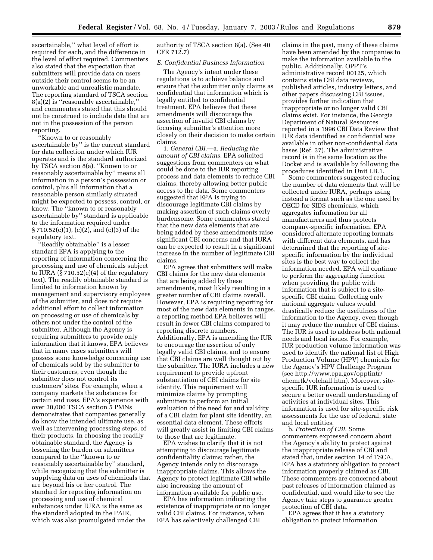ascertainable,'' what level of effort is required for each, and the difference in the level of effort required. Commenters also stated that the expectation that submitters will provide data on users outside their control seems to be an unworkable and unrealistic mandate. The reporting standard of TSCA section 8(a)(2) is ''reasonably ascertainable,'' and commenters stated that this should not be construed to include data that are not in the possession of the person reporting.

''Known to or reasonably ascertainable by'' is the current standard for data collection under which IUR operates and is the standard authorized by TSCA section 8(a). ''Known to or reasonably ascertainable by'' means all information in a person's possession or control, plus all information that a reasonable person similarly situated might be expected to possess, control, or know. The ''known to or reasonably ascertainable by'' standard is applicable to the information required under § 710.52(c)(1), (c)(2), and (c)(3) of the regulatory text.

''Readily obtainable'' is a lesser standard EPA is applying to the reporting of information concerning the processing and use of chemicals subject to IURA (§ 710.52(c)(4) of the regulatory text). The readily obtainable standard is limited to information known by management and supervisory employees of the submitter, and does not require additional effort to collect information on processing or use of chemicals by others not under the control of the submitter. Although the Agency is requiring submitters to provide only information that it knows, EPA believes that in many cases submitters will possess some knowledge concerning use of chemicals sold by the submitter to their customers, even though the submitter does not control its customers' sites. For example, when a company markets the substances for certain end uses. EPA's experience with over 30,000 TSCA section 5 PMNs demonstrates that companies generally do know the intended ultimate use, as well as intervening processing steps, of their products. In choosing the readily obtainable standard, the Agency is lessening the burden on submitters compared to the ''known to or reasonably ascertainable by'' standard, while recognizing that the submitter is supplying data on uses of chemicals that are beyond his or her control. The standard for reporting information on processing and use of chemical substances under IURA is the same as the standard adopted in the PAIR, which was also promulgated under the

authority of TSCA section 8(a). (See 40 CFR 712.7)

#### *E. Confidential Business Information*

The Agency's intent under these regulations is to achieve balance and ensure that the submitter only claims as confidential that information which is legally entitled to confidential treatment. EPA believes that these amendments will discourage the assertion of invalid CBI claims by focusing submitter's attention more closely on their decision to make certain claims.

1. *General CBI*.—a. *Reducing the amount of CBI claims*. EPA solicited suggestions from commenters on what could be done to the IUR reporting process and data elements to reduce CBI claims, thereby allowing better public access to the data. Some commenters suggested that EPA is trying to discourage legitimate CBI claims by making assertion of such claims overly burdensome. Some commenters stated that the new data elements that are being added by these amendments raise significant CBI concerns and that IURA can be expected to result in a significant increase in the number of legitimate CBI claims.

EPA agrees that submitters will make CBI claims for the new data elements that are being added by these amendments, most likely resulting in a greater number of CBI claims overall. However, EPA is requiring reporting for most of the new data elements in ranges, a reporting method EPA believes will result in fewer CBI claims compared to reporting discrete numbers. Additionally, EPA is amending the IUR to encourage the assertion of only legally valid CBI claims, and to ensure that CBI claims are well thought out by the submitter. The IURA includes a new requirement to provide upfront substantiation of CBI claims for site identity. This requirement will minimize claims by prompting submitters to perform an initial evaluation of the need for and validity of a CBI claim for plant site identity, an essential data element. These efforts will greatly assist in limiting CBI claims to those that are legitimate.

EPA wishes to clarify that it is not attempting to discourage legitimate confidentiality claims; rather, the Agency intends only to discourage inappropriate claims. This allows the Agency to protect legitimate CBI while also increasing the amount of information available for public use.

EPA has information indicating the existence of inappropriate or no longer valid CBI claims. For instance, when EPA has selectively challenged CBI

claims in the past, many of these claims have been amended by the companies to make the information available to the public. Additionally, OPPT's administrative record 00125, which contains state CBI data reviews, published articles, industry letters, and other papers discussing CBI issues, provides further indication that inappropriate or no longer valid CBI claims exist. For instance, the Georgia Department of Natural Resources reported in a 1996 CBI Data Review that IUR data identified as confidential was available in other non-confidential data bases (Ref. 37). The administrative record is in the same location as the Docket and is available by following the procedures identified in Unit I.B.1.

Some commenters suggested reducing the number of data elements that will be collected under IURA, perhaps using instead a format such as the one used by OECD for SIDS chemicals, which aggregates information for all manufacturers and thus protects company-specific information. EPA considered alternate reporting formats with different data elements, and has determined that the reporting of sitespecific information by the individual sites is the best way to collect the information needed. EPA will continue to perform the aggregating function when providing the public with information that is subject to a sitespecific CBI claim. Collecting only national aggregate values would drastically reduce the usefulness of the information to the Agency, even though it may reduce the number of CBI claims. The IUR is used to address both national needs and local issues. For example, IUR production volume information was used to identify the national list of High Production Volume (HPV) chemicals for the Agency's HPV Challenge Program (see http://www.epa.gov/opptintr/ chemrtk/volchall.htm). Moreover, sitespecific IUR information is used to secure a better overall understanding of activities at individual sites. This information is used for site-specific risk assessments for the use of federal, state and local entities.

b. *Protection of CBI*. Some commenters expressed concern about the Agency's ability to protect against the inappropriate release of CBI and stated that, under section 14 of TSCA, EPA has a statutory obligation to protect information properly claimed as CBI. These commenters are concerned about past releases of information claimed as confidential, and would like to see the Agency take steps to guarantee greater protection of CBI data.

EPA agrees that it has a statutory obligation to protect information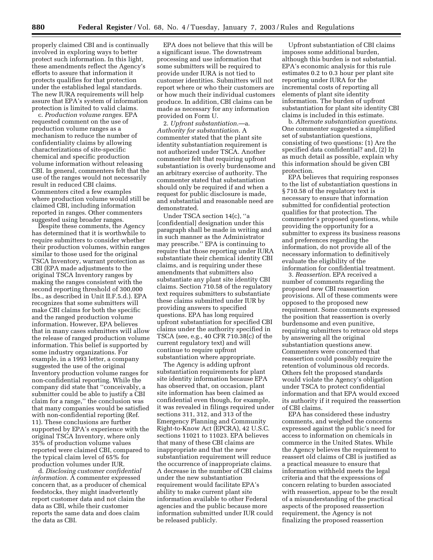properly claimed CBI and is continually involved in exploring ways to better protect such information. In this light, these amendments reflect the Agency's efforts to assure that information it protects qualifies for that protection under the established legal standards. The new IURA requirements will help assure that EPA's system of information protection is limited to valid claims.

c. *Production volume ranges*. EPA requested comment on the use of production volume ranges as a mechanism to reduce the number of confidentiality claims by allowing characterizations of site-specific chemical and specific production volume information without releasing CBI. In general, commenters felt that the use of the ranges would not necessarily result in reduced CBI claims. Commenters cited a few examples where production volume would still be claimed CBI, including information reported in ranges. Other commenters suggested using broader ranges.

Despite these comments, the Agency has determined that it is worthwhile to require submitters to consider whether their production volumes, within ranges similar to those used for the original TSCA Inventory, warrant protection as CBI (EPA made adjustments to the original TSCA Inventory ranges by making the ranges consistent with the second reporting threshold of 300,000 lbs., as described in Unit II.F.5.d.). EPA recognizes that some submitters will make CBI claims for both the specific and the ranged production volume information. However, EPA believes that in many cases submitters will allow the release of ranged production volume information. This belief is supported by some industry organizations. For example, in a 1993 letter, a company suggested the use of the original Inventory production volume ranges for non-confidential reporting. While the company did state that ''conceivably, a submitter could be able to justify a CBI claim for a range,'' the conclusion was that many companies would be satisfied with non-confidential reporting (Ref. 11). These conclusions are further supported by EPA's experience with the original TSCA Inventory, where only 35% of production volume values reported were claimed CBI, compared to the typical claim level of 65% for production volumes under IUR.

d. *Disclosing customer confidential information*. A commenter expressed concern that, as a producer of chemical feedstocks, they might inadvertently report customer data and not claim the data as CBI, while their customer reports the same data and does claim the data as CBI.

EPA does not believe that this will be a significant issue. The downstream processing and use information that some submitters will be required to provide under IURA is not tied to customer identities. Submitters will not report where or who their customers are or how much their individual customers produce. In addition, CBI claims can be made as necessary for any information provided on Form U.

2. *Upfront substantiation*.—a. *Authority for substantiation*. A commenter stated that the plant site identity substantiation requirement is not authorized under TSCA. Another commenter felt that requiring upfront substantiation is overly burdensome and an arbitrary exercise of authority. The commenter stated that substantiation should only be required if and when a request for public disclosure is made, and substantial and reasonable need are demonstrated.

Under TSCA section 14(c), ''a [confidential] designation under this paragraph shall be made in writing and in such manner as the Administrator may prescribe.'' EPA is continuing to require that those reporting under IURA substantiate their chemical identity CBI claims, and is requiring under these amendments that submitters also substantiate any plant site identity CBI claims. Section 710.58 of the regulatory text requires submitters to substantiate these claims submitted under IUR by providing answers to specified questions. EPA has long required upfront substantiation for specified CBI claims under the authority specified in TSCA (see, e.g., 40 CFR 710.38(c) of the current regulatory text) and will continue to require upfront substantiation where appropriate.

The Agency is adding upfront substantiation requirements for plant site identity information because EPA has observed that, on occasion, plant site information has been claimed as confidential even though, for example, it was revealed in filings required under sections 311, 312, and 313 of the Emergency Planning and Community Right-to-Know Act (EPCRA), 42 U.S.C. sections 11021 to 11023. EPA believes that many of these CBI claims are inappropriate and that the new substantiation requirement will reduce the occurrence of inappropriate claims. A decrease in the number of CBI claims under the new substantiation requirement would facilitate EPA's ability to make current plant site information available to other Federal agencies and the public because more information submitted under IUR could be released publicly.

Upfront substantiation of CBI claims imposes some additional burden, although this burden is not substantial. EPA's economic analysis for this rule estimates 0.2 to 0.3 hour per plant site reporting under IURA for the incremental costs of reporting all elements of plant site identity information. The burden of upfront substantiation for plant site identity CBI claims is included in this estimate.

b. *Alternate substantiation questions*. One commenter suggested a simplified set of substantiation questions, consisting of two questions: (1) Are the specified data confidential? and, (2) In as much detail as possible, explain why this information should be given CBI protection.

EPA believes that requiring responses to the list of substantiation questions in § 710.58 of the regulatory text is necessary to ensure that information submitted for confidential protection qualifies for that protection. The commenter's proposed questions, while providing the opportunity for a submitter to express its business reasons and preferences regarding the information, do not provide all of the necessary information to definitively evaluate the eligibility of the information for confidential treatment.

3. *Reassertion*. EPA received a number of comments regarding the proposed new CBI reassertion provisions. All of these comments were opposed to the proposed new requirement. Some comments expressed the position that reassertion is overly burdensome and even punitive, requiring submitters to retrace old steps by answering all the original substantiation questions anew. Commenters were concerned that reassertion could possibly require the retention of voluminous old records. Others felt the proposed standards would violate the Agency's obligation under TSCA to protect confidential information and that EPA would exceed its authority if it required the reassertion of CBI claims.

EPA has considered these industry comments, and weighed the concerns expressed against the public's need for access to information on chemicals in commerce in the United States. While the Agency believes the requirement to reassert old claims of CBI is justified as a practical measure to ensure that information withheld meets the legal criteria and that the expressions of concern relating to burden associated with reassertion, appear to be the result of a misunderstanding of the practical aspects of the proposed reassertion requirement, the Agency is not finalizing the proposed reassertion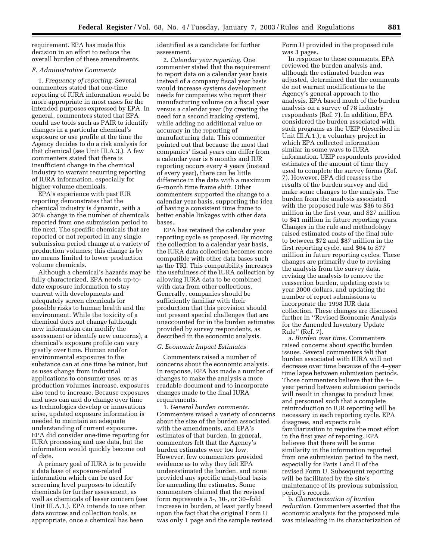requirement. EPA has made this decision in an effort to reduce the overall burden of these amendments.

#### *F. Administrative Comments*

1. *Frequency of reporting*. Several commenters stated that one-time reporting of IURA information would be more appropriate in most cases for the intended purposes expressed by EPA. In general, commenters stated that EPA could use tools such as PAIR to identify changes in a particular chemical's exposure or use profile at the time the Agency decides to do a risk analysis for that chemical (see Unit III.A.3.). A few commenters stated that there is insufficient change in the chemical industry to warrant recurring reporting of IURA information, especially for higher volume chemicals.

EPA's experience with past IUR reporting demonstrates that the chemical industry is dynamic, with a 30% change in the number of chemicals reported from one submission period to the next. The specific chemicals that are reported or not reported in any single submission period change at a variety of production volumes; this change is by no means limited to lower production volume chemicals.

Although a chemical's hazards may be fully characterized, EPA needs up-todate exposure information to stay current with developments and adequately screen chemicals for possible risks to human health and the environment. While the toxicity of a chemical does not change (although new information can modify the assessment or identify new concerns), a chemical's exposure profile can vary greatly over time. Human and/or environmental exposures to the substance can at one time be minor, but as uses change from industrial applications to consumer uses, or as production volumes increase, exposures also tend to increase. Because exposures and uses can and do change over time as technologies develop or innovations arise, updated exposure information is needed to maintain an adequate understanding of current exposures. EPA did consider one-time reporting for IURA processing and use data, but the information would quickly become out of date.

A primary goal of IURA is to provide a data base of exposure-related information which can be used for screening level purposes to identify chemicals for further assessment, as well as chemicals of lesser concern (see Unit III.A.1.). EPA intends to use other data sources and collection tools, as appropriate, once a chemical has been

identified as a candidate for further assessment.

2. *Calendar year reporting*. One commenter stated that the requirement to report data on a calendar year basis instead of a company fiscal year basis would increase systems development needs for companies who report their manufacturing volume on a fiscal year versus a calendar year (by creating the need for a second tracking system), while adding no additional value or accuracy in the reporting of manufacturing data. This commenter pointed out that because the most that companies' fiscal years can differ from a calendar year is 6 months and IUR reporting occurs every 4 years (instead of every year), there can be little difference in the data with a maximum 6–month time frame shift. Other commenters supported the change to a calendar year basis, supporting the idea of having a consistent time frame to better enable linkages with other data bases.

EPA has retained the calendar year reporting cycle as proposed. By moving the collection to a calendar year basis, the IURA data collection becomes more compatible with other data bases such as the TRI. This compatibility increases the usefulness of the IURA collection by allowing IURA data to be combined with data from other collections. Generally, companies should be sufficiently familiar with their production that this provision should not present special challenges that are unaccounted for in the burden estimates provided by survey respondents, as described in the economic analysis.

#### *G. Economic Impact Estimates*

Commenters raised a number of concerns about the economic analysis. In response, EPA has made a number of changes to make the analysis a more readable document and to incorporate changes made to the final IURA requirements.

1. *General burden comments*. Commenters raised a variety of concerns about the size of the burden associated with the amendments, and EPA's estimates of that burden. In general, commenters felt that the Agency's burden estimates were too low. However, few commenters provided evidence as to why they felt EPA underestimated the burden, and none provided any specific analytical basis for amending the estimates. Some commenters claimed that the revised form represents a 5-, 10-, or 30–fold increase in burden, at least partly based upon the fact that the original Form U was only 1 page and the sample revised

Form U provided in the proposed rule was 3 pages.

In response to these comments, EPA reviewed the burden analysis and, although the estimated burden was adjusted, determined that the comments do not warrant modifications to the Agency's general approach to the analysis. EPA based much of the burden analysis on a survey of 78 industry respondents (Ref. 7). In addition, EPA considered the burden associated with such programs as the UEIP (described in Unit III.A.1.), a voluntary project in which EPA collected information similar in some ways to IURA information. UEIP respondents provided estimates of the amount of time they used to complete the survey forms (Ref. 7). However, EPA did reassess the results of the burden survey and did make some changes to the analysis. The burden from the analysis associated with the proposed rule was \$36 to \$51 million in the first year, and \$27 million to \$41 million in future reporting years. Changes in the rule and methodology raised estimated costs of the final rule to between \$72 and \$87 million in the first reporting cycle, and \$64 to \$77 million in future reporting cycles. These changes are primarily due to revising the analysis from the survey data, revising the analysis to remove the reassertion burden, updating costs to year 2000 dollars, and updating the number of report submissions to incorporate the 1998 IUR data collection. These changes are discussed further in ''Revised Economic Analysis for the Amended Inventory Update Rule'' (Ref. 7).

a. *Burden over time*. Commenters raised concerns about specific burden issues. Several commenters felt that burden associated with IURA will not decrease over time because of the 4–year time lapse between submission periods. Those commenters believe that the 4– year period between submission periods will result in changes to product lines and personnel such that a complete reintroduction to IUR reporting will be necessary in each reporting cycle. EPA disagrees, and expects rule familiarization to require the most effort in the first year of reporting. EPA believes that there will be some similarity in the information reported from one submission period to the next, especially for Parts I and II of the revised Form U. Subsequent reporting will be facilitated by the site's maintenance of its previous submission period's records.

b. *Characterization of burden reduction*. Commenters asserted that the economic analysis for the proposed rule was misleading in its characterization of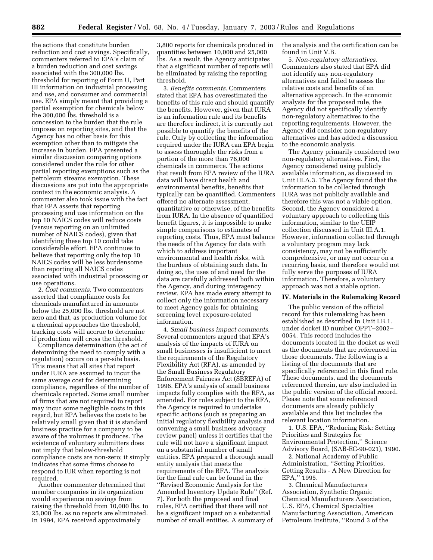the actions that constitute burden reduction and cost savings. Specifically, commenters referred to EPA's claim of a burden reduction and cost savings associated with the 300,000 lbs. threshold for reporting of Form U, Part III information on industrial processing and use, and consumer and commercial use. EPA simply meant that providing a partial exemption for chemicals below the 300,000 lbs. threshold is a concession to the burden that the rule imposes on reporting sites, and that the Agency has no other basis for this exemption other than to mitigate the increase in burden. EPA presented a similar discussion comparing options considered under the rule for other partial reporting exemptions such as the petroleum streams exemption. These discussions are put into the appropriate context in the economic analysis. A commenter also took issue with the fact that EPA asserts that reporting processing and use information on the top 10 NAICS codes will reduce costs (versus reporting on an unlimited number of NAICS codes), given that identifying these top 10 could take considerable effort. EPA continues to believe that reporting only the top 10 NAICS codes will be less burdensome than reporting all NAICS codes associated with industrial processing or use operations.

2. *Cost comments*. Two commenters asserted that compliance costs for chemicals manufactured in amounts below the 25,000 lbs. threshold are not zero and that, as production volume for a chemical approaches the threshold, tracking costs will accrue to determine if production will cross the threshold.

Compliance determination (the act of determining the need to comply with a regulation) occurs on a per-site basis. This means that all sites that report under IURA are assumed to incur the same average cost for determining compliance, regardless of the number of chemicals reported. Some small number of firms that are not required to report may incur some negligible costs in this regard, but EPA believes the costs to be relatively small given that it is standard business practice for a company to be aware of the volumes it produces. The existence of voluntary submitters does not imply that below-threshold compliance costs are non-zero; it simply indicates that some firms choose to respond to IUR when reporting is not required.

Another commenter determined that member companies in its organization would experience no savings from raising the threshold from 10,000 lbs. to 25,000 lbs. as no reports are eliminated. In 1994, EPA received approximately

3,800 reports for chemicals produced in quantities between 10,000 and 25,000 lbs. As a result, the Agency anticipates that a significant number of reports will be eliminated by raising the reporting threshold.

3. *Benefits comments*. Commenters stated that EPA has overestimated the benefits of this rule and should quantify the benefits. However, given that IURA is an information rule and its benefits are therefore indirect, it is currently not possible to quantify the benefits of the rule. Only by collecting the information required under the IURA can EPA begin to assess thoroughly the risks from a portion of the more than 76,000 chemicals in commerce. The actions that result from EPA review of the IURA data will have direct health and environmental benefits, benefits that typically can be quantified. Commenters offered no alternate assessment, quantitative or otherwise, of the benefits from IURA. In the absence of quantified benefit figures, it is impossible to make simple comparisons to estimates of reporting costs. Thus, EPA must balance the needs of the Agency for data with which to address important environmental and health risks, with the burdens of obtaining such data. In doing so, the uses of and need for the data are carefully addressed both within the Agency, and during interagency review. EPA has made every attempt to collect only the information necessary to meet Agency goals for obtaining screening level exposure-related information.

4. *Small business impact comments*. Several commenters argued that EPA's analysis of the impacts of IURA on small businesses is insufficient to meet the requirements of the Regulatory Flexibility Act (RFA), as amended by the Small Business Regulatory Enforcement Fairness Act (SBREFA) of 1996. EPA's analysis of small business impacts fully complies with the RFA, as amended. For rules subject to the RFA, the Agency is required to undertake specific actions (such as preparing an initial regulatory flexibility analysis and convening a small business advocacy review panel) unless it certifies that the rule will not have a significant impact on a substantial number of small entities. EPA prepared a thorough small entity analysis that meets the requirements of the RFA. The analysis for the final rule can be found in the ''Revised Economic Analysis for the Amended Inventory Update Rule'' (Ref. 7). For both the proposed and final rules, EPA certified that there will not be a significant impact on a substantial number of small entities. A summary of

the analysis and the certification can be found in Unit V.B.

5. *Non-regulatory alternatives*. Commenters also stated that EPA did not identify any non-regulatory alternatives and failed to assess the relative costs and benefits of an alternative approach. In the economic analysis for the proposed rule, the Agency did not specifically identify non-regulatory alternatives to the reporting requirements. However, the Agency did consider non-regulatory alternatives and has added a discussion to the economic analysis.

The Agency primarily considered two non-regulatory alternatives. First, the Agency considered using publicly available information, as discussed in Unit III.A.3. The Agency found that the information to be collected through IURA was not publicly available and therefore this was not a viable option. Second, the Agency considered a voluntary approach to collecting this information, similar to the UEIP collection discussed in Unit III.A.1. However, information collected through a voluntary program may lack consistency, may not be sufficiently comprehensive, or may not occur on a recurring basis, and therefore would not fully serve the purposes of IURA information. Therefore, a voluntary approach was not a viable option.

#### **IV. Materials in the Rulemaking Record**

The public version of the official record for this rulemaking has been established as described in Unit I.B.1. under docket ID number OPPT–2002– 0054. This record includes the documents located in the docket as well as the documents that are referenced in those documents. The following is a listing of the documents that are specifically referenced in this final rule. These documents, and the documents referenced therein, are also included in the public version of the official record. Please note that some referenced documents are already publicly available and this list includes the relevant location information.

1. U.S. EPA, ''Reducing Risk: Setting Priorities and Strategies for Environmental Protection,'' Science Advisory Board, (SAB-EC-90-021), 1990.

2. National Academy of Public Administration, ''Setting Priorities, Getting Results - A New Direction for EPA,'' 1995.

3. Chemical Manufacturers Association, Synthetic Organic Chemical Manufacturers Association, U.S. EPA, Chemical Specialties Manufacturing Association, American Petroleum Institute, ''Round 3 of the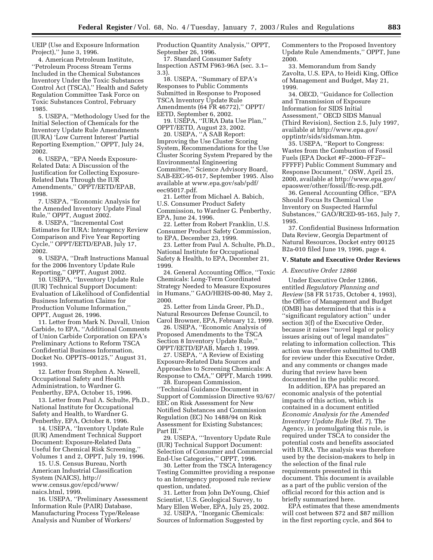UEIP (Use and Exposure Information Project),'' June 3, 1996.

4. American Petroleum Institute, ''Petroleum Process Stream Terms Included in the Chemical Substances Inventory Under the Toxic Substances Control Act (TSCA),'' Health and Safety Regulation Committee Task Force on Toxic Substances Control, February 1985.

5. USEPA, ''Methodology Used for the Initial Selection of Chemicals for the Inventory Update Rule Amendments (IURA) 'Low Current Interest' Partial Reporting Exemption,'' OPPT, July 24, 2002.

6. USEPA, ''EPA Needs Exposure-Related Data: A Discussion of the Justification for Collecting Exposure-Related Data Through the IUR Amendments,'' OPPT/EETD/EPAB, 1998.

7. USEPA, ''Economic Analysis for the Amended Inventory Update Final Rule,'' OPPT, August 2002.

8. USEPA, ''Incremental Cost Estimates for IURA: Interagency Review Comparison and Five Year Reporting Cycle,'' OPPT/EETD/EPAB, July 17, 2002.

9. USEPA, ''Draft Instructions Manual for the 2006 Inventory Update Rule Reporting,'' OPPT, August 2002.

10. USEPA, ''Inventory Update Rule (IUR) Technical Support Document: Evaluation of Likelihood of Confidential Business Information Claims for Production Volume Information,'' OPPT, August 26, 1996.

11. Letter from Mark N. Duvall, Union Carbide, to EPA, ''Additional Comments of Union Carbide Corporation on EPA's Preliminary Actions to Reform TSCA Confidential Business Information, Docket No. OPPTS–00125,'' August 31, 1993.

12. Letter from Stephen A. Newell, Occupational Safety and Health Administration, to Wardner G. Penberthy, EPA, October 15, 1996.

13. Letter from Paul A. Schulte, Ph.D., National Institute for Occupational Safety and Health, to Wardner G. Penberthy, EPA, October 8, 1996.

14. USEPA, ''Inventory Update Rule (IUR) Amendment Technical Support Document: Exposure-Related Data Useful for Chemical Risk Screening,'' Volumes 1 and 2, OPPT, July 19, 1996.

15. U.S. Census Bureau, North American Industrial Classification System (NAICS), http:// www.census.gov/epcd/www/ naics.html, 1999.

16. USEPA, ''Preliminary Assessment Information Rule (PAIR) Database, Manufacturing Process Type/Release Analysis and Number of Workers/

Production Quantity Analysis,'' OPPT, September 26, 1996.

17. Standard Consumer Safety Inspection ASTM F963-96A (sec. 3.1– 3.3).

18. USEPA, ''Summary of EPA's Responses to Public Comments Submitted in Response to Proposed TSCA Inventory Update Rule Amendments (64 FR 46772),'' OPPT/ EETD, September 6, 2002.

19. USEPA, ''IURA Data Use Plan,'' OPPT/EETD, August 23, 2002.

20. USEPA, ''A SAB Report: Improving the Use Cluster Scoring System, Recommendations for the Use Cluster Scoring System Prepared by the Environmental Engineering Committee,'' Science Advisory Board, SAB-EEC-95-017, September 1995. Also available at www.epa.gov/sab/pdf/ eec95017.pdf.

21. Letter from Michael A. Babich, U.S. Consumer Product Safety Commission, to Wardner G. Penberthy, EPA, June 24, 1996.

22. Letter from Robert Franklin, U.S. Consumer Product Safety Commission, to EPA, December 23, 1999.

23. Letter from Paul A. Schulte, Ph.D., National Institute for Occupational Safety & Health, to EPA, December 21, 1999.

24. General Accounting Office, ''Toxic Chemicals: Long-Term Coordinated Strategy Needed to Measure Exposures in Humans,'' GAO/HEHS-00-80, May 2, 2000.

25. Letter from Linda Greer, Ph.D., Natural Resources Defense Council, to Carol Browner, EPA, February 12, 1999.

26. USEPA, ''Economic Analysis of Proposed Amendments to the TSCA Section 8 Inventory Update Rule,'' OPPT/EETD/EPAB, March 1, 1999.

27. USEPA, ''A Review of Existing Exposure-Related Data Sources and Approaches to Screening Chemicals: A Response to CMA," OPPT, March 1999.

28. European Commission, ''Technical Guidance Document in Support of Commission Directive 93/67/ EEC on Risk Assessment for New Notified Substances and Commission Regulation (EC) No 1488/94 on Risk Assessment for Existing Substances; Part III.''

29. USEPA, '''Inventory Update Rule (IUR) Technical Support Document: Selection of Consumer and Commercial End-Use Categories,'' OPPT, 1996.

30. Letter from the TSCA Interagency Testing Committee providing a response to an Interagency proposed rule review question, undated.

31. Letter from John DeYoung, Chief Scientist, U.S. Geological Survey, to Mary Ellen Weber, EPA, July 25, 2002.

32. USEPA, ''Inorganic Chemicals: Sources of Information Suggested by

Commenters to the Proposed Inventory Update Rule Amendments,'' OPPT, June 2000.

33. Memorandum from Sandy Zavolta, U.S. EPA, to Heidi King, Office of Management and Budget, May 21, 1999.

34. OECD, ''Guidance for Collection and Transmission of Exposure Information for SIDS Initial Assessment,'' OECD SIDS Manual (Third Revision), Section 2.5, July 1997, available at http://www.epa.gov/ opptintr/sids/sidsman.htm.

35. USEPA, ''Report to Congress: Wastes from the Combustion of Fossil Fuels (EPA Docket #F–2000–FF2F– FFFFF) Public Comment Summary and Response Document,'' OSW, April 25, 2000, available at http://www.epa.gov/ epaoswer/other/fossil/ffc-resp.pdf.

36. General Accounting Office, ''EPA Should Focus Its Chemical Use Inventory on Suspected Harmful Substances,'' GAO/RCED-95-165, July 7, 1995.

37. Confidential Business Information Data Review, Georgia Department of Natural Resources, Docket entry 00125 B2a-010 filed June 19, 1996, page 4.

#### **V. Statute and Executive Order Reviews**

#### *A. Executive Order 12866*

Under Executive Order 12866, entitled *Regulatory Planning and Review* (58 FR 51735, October 4, 1993), the Office of Management and Budget (OMB) has determined that this is a ''significant regulatory action'' under section 3(f) of the Executive Order, because it raises ''novel legal or policy issues arising out of legal mandates'' relating to information collection. This action was therefore submitted to OMB for review under this Executive Order, and any comments or changes made during that review have been documented in the public record.

In addition, EPA has prepared an economic analysis of the potential impacts of this action, which is contained in a document entitled *Economic Analysis for the Amended Inventory Update Rule* (Ref. 7). The Agency, in promulgating this rule, is required under TSCA to consider the potential costs and benefits associated with IURA. The analysis was therefore used by the decision-makers to help in the selection of the final rule requirements presented in this document. This document is available as a part of the public version of the official record for this action and is briefly summarized here.

EPA estimates that these amendments will cost between \$72 and \$87 million in the first reporting cycle, and \$64 to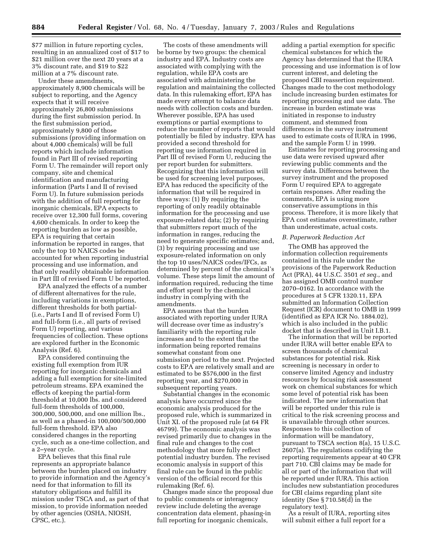\$77 million in future reporting cycles, resulting in an annualized cost of \$17 to \$21 million over the next 20 years at a 3% discount rate, and \$19 to \$22 million at a 7% discount rate.

Under these amendments, approximately 8,900 chemicals will be subject to reporting, and the Agency expects that it will receive approximately 26,800 submissions during the first submission period. In the first submission period, approximately 9,800 of those submissions (providing information on about 4,000 chemicals) will be full reports which include information found in Part III of revised reporting Form U. The remainder will report only company, site and chemical identification and manufacturing information (Parts I and II of revised Form U). In future submission periods with the addition of full reporting for inorganic chemicals, EPA expects to receive over 12,300 full forms, covering 4,600 chemicals. In order to keep the reporting burden as low as possible, EPA is requiring that certain information be reported in ranges, that only the top 10 NAICS codes be accounted for when reporting industrial processing and use information, and that only readily obtainable information in Part III of revised Form U be reported.

EPA analyzed the effects of a number of different alternatives for the rule, including variations in exemptions, different thresholds for both partial- (i.e., Parts I and II of revised Form U) and full-form (i.e., all parts of revised Form U) reporting, and various frequencies of collection. These options are explored further in the Economic Analysis (Ref. 6).

EPA considered continuing the existing full exemption from IUR reporting for inorganic chemicals and adding a full exemption for site-limited petroleum streams. EPA examined the effects of keeping the partial-form threshold at 10,000 lbs. and considered full-form thresholds of 100,000, 300,000, 500,000, and one million lbs., as well as a phased-in 100,000/500,000 full-form threshold. EPA also considered changes in the reporting cycle, such as a one-time collection, and a 2–year cycle.

EPA believes that this final rule represents an appropriate balance between the burden placed on industry to provide information and the Agency's need for that information to fill its statutory obligations and fulfill its mission under TSCA and, as part of that mission, to provide information needed by other agencies (OSHA, NIOSH, CPSC, etc.).

The costs of these amendments will be borne by two groups: the chemical industry and EPA. Industry costs are associated with complying with the regulation, while EPA costs are associated with administering the regulation and maintaining the collected data. In this rulemaking effort, EPA has made every attempt to balance data needs with collection costs and burden. Wherever possible, EPA has used exemptions or partial exemptions to reduce the number of reports that would potentially be filed by industry. EPA has provided a second threshold for reporting use information required in Part III of revised Form U, reducing the per report burden for submitters. Recognizing that this information will be used for screening level purposes, EPA has reduced the specificity of the information that will be required in three ways: (1) By requiring the reporting of only readily obtainable information for the processing and use exposure-related data; (2) by requiring that submitters report much of the information in ranges, reducing the need to generate specific estimates; and, (3) by requiring processing and use exposure-related information on only the top 10 uses/NAICS codes/IFCs, as determined by percent of the chemical's volume. These steps limit the amount of information required, reducing the time and effort spent by the chemical industry in complying with the amendments.

EPA assumes that the burden associated with reporting under IURA will decrease over time as industry's familiarity with the reporting rule increases and to the extent that the information being reported remains somewhat constant from one submission period to the next. Projected costs to EPA are relatively small and are estimated to be \$576,000 in the first reporting year, and \$270,000 in subsequent reporting years.

Substantial changes in the economic analysis have occurred since the economic analysis produced for the proposed rule, which is summarized in Unit XI. of the proposed rule (at 64 FR 46799). The economic analysis was revised primarily due to changes in the final rule and changes to the cost methodology that more fully reflect potential industry burden. The revised economic analysis in support of this final rule can be found in the public version of the official record for this rulemaking (Ref. 6).

Changes made since the proposal due to public comments or interagency review include deleting the average concentration data element, phasing-in full reporting for inorganic chemicals,

adding a partial exemption for specific chemical substances for which the Agency has determined that the IURA processing and use information is of low current interest, and deleting the proposed CBI reassertion requirement. Changes made to the cost methodology include increasing burden estimates for reporting processing and use data. The increase in burden estimate was initiated in response to industry comment, and stemmed from differences in the survey instrument used to estimate costs of IURA in 1996, and the sample Form U in 1999.

Estimates for reporting processing and use data were revised upward after reviewing public comments and the survey data. Differences between the survey instrument and the proposed Form U required EPA to aggregate certain responses. After reading the comments, EPA is using more conservative assumptions in this process. Therefore, it is more likely that EPA cost estimates overestimate, rather than underestimate, actual costs.

#### *B. Paperwork Reduction Act*

The OMB has approved the information collection requirements contained in this rule under the provisions of the Paperwork Reduction Act (PRA), 44 U.S.C. 3501 *et seq*., and has assigned OMB control number 2070–0162. In accordance with the procedures at 5 CFR 1320.11, EPA submitted an Information Collection Request (ICR) document to OMB in 1999 (identified as EPA ICR No. 1884.02), which is also included in the public docket that is described in Unit I.B.1.

The information that will be reported under IURA will better enable EPA to screen thousands of chemical substances for potential risk. Risk screening is necessary in order to conserve limited Agency and industry resources by focusing risk assessment work on chemical substances for which some level of potential risk has been indicated. The new information that will be reported under this rule is critical to the risk screening process and is unavailable through other sources. Responses to this collection of information will be mandatory, pursuant to TSCA section 8(a), 15 U.S.C. 2607(a). The regulations codifying the reporting requirements appear at 40 CFR part 710. CBI claims may be made for all or part of the information that will be reported under IURA. This action includes new substantiation procedures for CBI claims regarding plant site identity (See § 710.58(d) in the regulatory text).

As a result of IURA, reporting sites will submit either a full report for a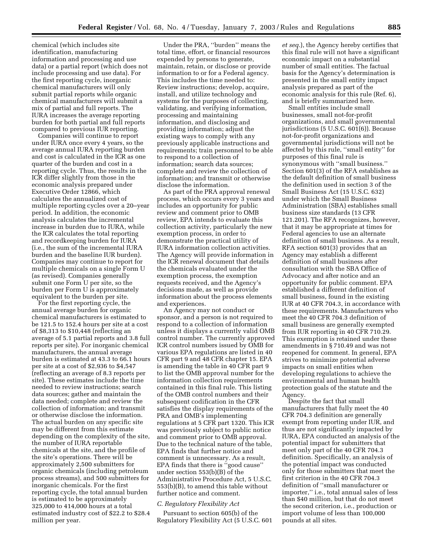chemical (which includes site identification, manufacturing information and processing and use data) or a partial report (which does not include processing and use data). For the first reporting cycle, inorganic chemical manufacturers will only submit partial reports while organic chemical manufacturers will submit a mix of partial and full reports. The IURA increases the average reporting burden for both partial and full reports compared to previous IUR reporting.

Companies will continue to report under IURA once every 4 years, so the average annual IURA reporting burden and cost is calculated in the ICR as one quarter of the burden and cost in a reporting cycle. Thus, the results in the ICR differ slightly from those in the economic analysis prepared under Executive Order 12866, which calculates the annualized cost of multiple reporting cycles over a 20–year period. In addition, the economic analysis calculates the incremental increase in burden due to IURA, while the ICR calculates the total reporting and recordkeeping burden for IURA (i.e., the sum of the incremental IURA burden and the baseline IUR burden). Companies may continue to report for multiple chemicals on a single Form U (as revised). Companies generally submit one Form U per site, so the burden per Form U is approximately equivalent to the burden per site.

For the first reporting cycle, the annual average burden for organic chemical manufacturers is estimated to be 121.5 to 152.4 hours per site at a cost of \$8,313 to \$10,448 (reflecting an average of 5.1 partial reports and 3.8 full reports per site). For inorganic chemical manufacturers, the annual average burden is estimated at 43.3 to 66.1 hours per site at a cost of \$2,936 to \$4,547 (reflecting an average of 8.3 reports per site). These estimates include the time needed to review instructions; search data sources; gather and maintain the data needed; complete and review the collection of information; and transmit or otherwise disclose the information. The actual burden on any specific site may be different from this estimate depending on the complexity of the site, the number of IURA reportable chemicals at the site, and the profile of the site's operations. There will be approximately 2,500 submitters for organic chemicals (including petroleum process streams), and 500 submitters for inorganic chemicals. For the first reporting cycle, the total annual burden is estimated to be approximately 325,000 to 414,000 hours at a total estimated industry cost of \$22.2 to \$28.4 million per year.

Under the PRA, ''burden'' means the total time, effort, or financial resources expended by persons to generate, maintain, retain, or disclose or provide information to or for a Federal agency. This includes the time needed to: Review instructions; develop, acquire, install, and utilize technology and systems for the purposes of collecting, validating, and verifying information, processing and maintaining information, and disclosing and providing information; adjust the existing ways to comply with any previously applicable instructions and requirements; train personnel to be able to respond to a collection of information; search data sources; complete and review the collection of information; and transmit or otherwise disclose the information.

As part of the PRA approval renewal process, which occurs every 3 years and includes an opportunity for public review and comment prior to OMB review, EPA intends to evaluate this collection activity, particularly the new exemption process, in order to demonstrate the practical utility of IURA information collection activities. The Agency will provide information in the ICR renewal document that details the chemicals evaluated under the exemption process, the exemption requests received, and the Agency's decisions made, as well as provide information about the process elements and experiences.

An Agency may not conduct or sponsor, and a person is not required to respond to a collection of information unless it displays a currently valid OMB control number. The currently approved ICR control numbers issued by OMB for various EPA regulations are listed in 40 CFR part 9 and 48 CFR chapter 15. EPA is amending the table in 40 CFR part 9 to list the OMB approval number for the information collection requirements contained in this final rule. This listing of the OMB control numbers and their subsequent codification in the CFR satisfies the display requirements of the PRA and OMB's implementing regulations at 5 CFR part 1320. This ICR was previously subject to public notice and comment prior to OMB approval. Due to the technical nature of the table, EPA finds that further notice and comment is unnecessary. As a result, EPA finds that there is ''good cause'' under section 553(b)(B) of the Administrative Procedure Act, 5 U.S.C. 553(b)(B), to amend this table without further notice and comment.

#### *C. Regulatory Flexibility Act*

Pursuant to section 605(b) of the Regulatory Flexibility Act (5 U.S.C. 601

*et seq.*), the Agency hereby certifies that this final rule will not have a significant economic impact on a substantial number of small entities. The factual basis for the Agency's determination is presented in the small entity impact analysis prepared as part of the economic analysis for this rule (Ref. 6), and is briefly summarized here.

Small entities include small businesses, small not-for-profit organizations, and small governmental jurisdictions (5 U.S.C. 601(6)). Because not-for-profit organizations and governmental jurisdictions will not be affected by this rule, ''small entity'' for purposes of this final rule is synonymous with ''small business.'' Section 601(3) of the RFA establishes as the default definition of small business the definition used in section 3 of the Small Business Act (15 U.S.C. 632) under which the Small Business Administration (SBA) establishes small business size standards (13 CFR 121.201). The RFA recognizes, however, that it may be appropriate at times for Federal agencies to use an alternate definition of small business. As a result, RFA section 601(3) provides that an Agency may establish a different definition of small business after consultation with the SBA Office of Advocacy and after notice and an opportunity for public comment. EPA established a different definition of small business, found in the existing IUR at 40 CFR 704.3, in accordance with these requirements. Manufacturers who meet the 40 CFR 704.3 definition of small business are generally exempted from IUR reporting in 40 CFR 710.29. This exemption is retained under these amendments in § 710.49 and was not reopened for comment. In general, EPA strives to minimize potential adverse impacts on small entities when developing regulations to achieve the environmental and human health protection goals of the statute and the Agency.

Despite the fact that small manufacturers that fully meet the 40 CFR 704.3 definition are generally exempt from reporting under IUR, and thus are not significantly impacted by IURA, EPA conducted an analysis of the potential impact for submitters that meet only part of the 40 CFR 704.3 definition. Specifically, an analysis of the potential impact was conducted only for those submitters that meet the first criterion in the 40 CFR 704.3 definition of ''small manufacturer or importer,'' i.e., total annual sales of less than \$40 million, but that do not meet the second criterion, i.e., production or import volume of less than 100,000 pounds at all sites.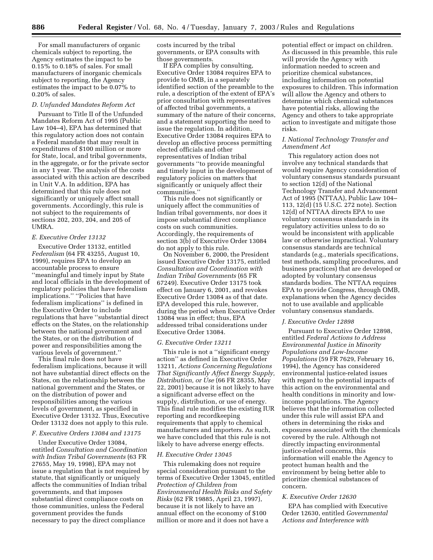For small manufacturers of organic chemicals subject to reporting, the Agency estimates the impact to be 0.15% to 0.18% of sales. For small manufacturers of inorganic chemicals subject to reporting, the Agency estimates the impact to be 0.07% to 0.20% of sales.

#### *D. Unfunded Mandates Reform Act*

Pursuant to Title II of the Unfunded Mandates Reform Act of 1995 (Public Law 104–4), EPA has determined that this regulatory action does not contain a Federal mandate that may result in expenditures of \$100 million or more for State, local, and tribal governments, in the aggregate, or for the private sector in any 1 year. The analysis of the costs associated with this action are described in Unit V.A. In addition, EPA has determined that this rule does not significantly or uniquely affect small governments. Accordingly, this rule is not subject to the requirements of sections 202, 203, 204, and 205 of UMRA.

#### *E. Executive Order 13132*

Executive Order 13132, entitled *Federalism* (64 FR 43255, August 10, 1999), requires EPA to develop an accountable process to ensure ''meaningful and timely input by State and local officials in the development of regulatory policies that have federalism implications.'' ''Policies that have federalism implications'' is defined in the Executive Order to include regulations that have ''substantial direct effects on the States, on the relationship between the national government and the States, or on the distribution of power and responsibilities among the various levels of government.''

This final rule does not have federalism implications, because it will not have substantial direct effects on the States, on the relationship between the national government and the States, or on the distribution of power and responsibilities among the various levels of government, as specified in Executive Order 13132. Thus, Executive Order 13132 does not apply to this rule.

#### *F. Executive Orders 13084 and 13175*

Under Executive Order 13084, entitled *Consultation and Coordination with Indian Tribal Governments* (63 FR 27655, May 19, 1998), EPA may not issue a regulation that is not required by statute, that significantly or uniquely affects the communities of Indian tribal governments, and that imposes substantial direct compliance costs on those communities, unless the Federal government provides the funds necessary to pay the direct compliance

costs incurred by the tribal governments, or EPA consults with those governments.

If EPA complies by consulting, Executive Order 13084 requires EPA to provide to OMB, in a separately identified section of the preamble to the rule, a description of the extent of EPA's prior consultation with representatives of affected tribal governments, a summary of the nature of their concerns, and a statement supporting the need to issue the regulation. In addition, Executive Order 13084 requires EPA to develop an effective process permitting elected officials and other representatives of Indian tribal governments ''to provide meaningful and timely input in the development of regulatory policies on matters that significantly or uniquely affect their communities.''

This rule does not significantly or uniquely affect the communities of Indian tribal governments, nor does it impose substantial direct compliance costs on such communities. Accordingly, the requirements of section 3(b) of Executive Order 13084 do not apply to this rule.

On November 6, 2000, the President issued Executive Order 13175, entitled *Consultation and Coordination with Indian Tribal Governments* (65 FR 67249). Executive Order 13175 took effect on January 6, 2001, and revokes Executive Order 13084 as of that date. EPA developed this rule, however, during the period when Executive Order 13084 was in effect; thus, EPA addressed tribal considerations under Executive Order 13084.

#### *G. Executive Order 13211*

This rule is not a ''significant energy action'' as defined in Executive Order 13211, *Actions Concerning Regulations That Significantly Affect Energy Supply, Distribution, or Use* (66 FR 28355, May 22, 2001) because it is not likely to have a significant adverse effect on the supply, distribution, or use of energy. This final rule modifies the existing IUR reporting and recordkeeping requirements that apply to chemical manufacturers and importers. As such, we have concluded that this rule is not likely to have adverse energy effects.

#### *H. Executive Order 13045*

This rulemaking does not require special consideration pursuant to the terms of Executive Order 13045, entitled *Protection of Children from Environmental Health Risks and Safety Risks* (62 FR 19885, April 23, 1997), because it is not likely to have an annual effect on the economy of \$100 million or more and it does not have a

potential effect or impact on children. As discussed in this preamble, this rule will provide the Agency with information needed to screen and prioritize chemical substances, including information on potential exposures to children. This information will allow the Agency and others to determine which chemical substances have potential risks, allowing the Agency and others to take appropriate action to investigate and mitigate those risks.

#### *I. National Technology Transfer and Amendment Act*

This regulatory action does not involve any technical standards that would require Agency consideration of voluntary consensus standards pursuant to section 12(d) of the National Technology Transfer and Advancement Act of 1995 (NTTAA), Public Law 104– 113, 12(d) (15 U.S.C. 272 note). Section 12(d) of NTTAA directs EPA to use voluntary consensus standards in its regulatory activities unless to do so would be inconsistent with applicable law or otherwise impractical. Voluntary consensus standards are technical standards (e.g., materials specifications, test methods, sampling procedures, and business practices) that are developed or adopted by voluntary consensus standards bodies. The NTTAA requires EPA to provide Congress, through OMB, explanations when the Agency decides not to use available and applicable voluntary consensus standards.

#### *J. Executive Order 12898*

Pursuant to Executive Order 12898, entitled *Federal Actions to Address Environmental Justice in Minority Populations and Low-Income Populations* (59 FR 7629, February 16, 1994), the Agency has considered environmental justice-related issues with regard to the potential impacts of this action on the environmental and health conditions in minority and lowincome populations. The Agency believes that the information collected under this rule will assist EPA and others in determining the risks and exposures associated with the chemicals covered by the rule. Although not directly impacting environmental justice-related concerns, this information will enable the Agency to protect human health and the environment by being better able to prioritize chemical substances of concern.

#### *K. Executive Order 12630*

EPA has complied with Executive Order 12630, entitled *Governmental Actions and Interference with*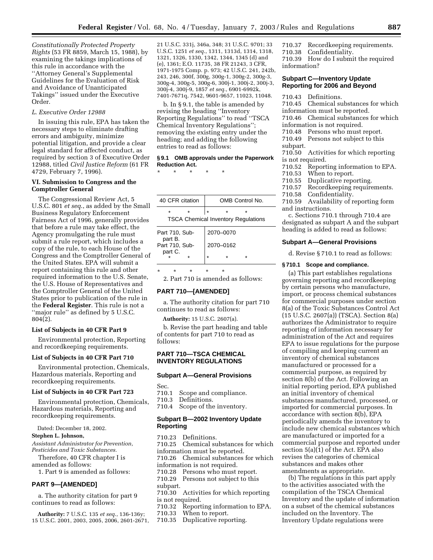*Constitutionally Protected Property Rights* (53 FR 8859, March 15, 1988), by examining the takings implications of this rule in accordance with the ''Attorney General's Supplemental Guidelines for the Evaluation of Risk and Avoidance of Unanticipated Takings'' issued under the Executive Order.

#### *L. Executive Order 12988*

In issuing this rule, EPA has taken the necessary steps to eliminate drafting errors and ambiguity, minimize potential litigation, and provide a clear legal standard for affected conduct, as required by section 3 of Executive Order 12988, titled *Civil Justice Reform* (61 FR 4729, February 7, 1996).

#### **VI. Submission to Congress and the Comptroller General**

The Congressional Review Act, 5 U.S.C. 801 *et seq*., as added by the Small Business Regulatory Enforcement Fairness Act of 1996, generally provides that before a rule may take effect, the Agency promulgating the rule must submit a rule report, which includes a copy of the rule, to each House of the Congress and the Comptroller General of the United States. EPA will submit a report containing this rule and other required information to the U.S. Senate, the U.S. House of Representatives and the Comptroller General of the United States prior to publication of the rule in the **Federal Register**. This rule is not a ''major rule'' as defined by 5 U.S.C. 804(2).

#### **List of Subjects in 40 CFR Part 9**

Environmental protection, Reporting and recordkeeping requirements.

#### **List of Subjects in 40 CFR Part 710**

Environmental protection, Chemicals, Hazardous materials, Reporting and recordkeeping requirements.

#### **List of Subjects in 40 CFR Part 723**

Environmental protection, Chemicals, Hazardous materials, Reporting and recordkeeping requirements.

Dated: December 18, 2002.

#### **Stephen L. Johnson,**

*Assistant Administrator for Prevention, Pesticides and Toxic Substances.*

Therefore, 40 CFR chapter I is amended as follows:

1. Part 9 is amended as follows:

#### **PART 9—[AMENDED]**

a. The authority citation for part 9 continues to read as follows:

**Authority:** 7 U.S.C. 135 *et seq*., 136-136y; 15 U.S.C. 2001, 2003, 2005, 2006, 2601-2671, 21 U.S.C. 331j, 346a, 348; 31 U.S.C. 9701; 33 U.S.C. 1251 *et seq*., 1311, 1313d, 1314, 1318, 1321, 1326, 1330, 1342, 1344, 1345 (d) and (e), 1361; E.O. 11735, 38 FR 21243, 3 CFR, 1971-1975 Comp. p. 973; 42 U.S.C. 241, 242b, 243, 246, 300f, 300g, 300g-1, 300g-2, 300g-3, 300g-4, 300g-5, 300g-6, 300j-1, 300j-2, 300j-3, 300j-4, 300j-9, 1857 *et seq*., 6901-6992k, 7401-7671q, 7542, 9601-9657, 11023, 11048.

b. In § 9.1, the table is amended by revising the heading ''Inventory Reporting Regulations'' to read ''TSCA Chemical Inventory Regulations''; removing the existing entry under the heading; and adding the following entries to read as follows:

#### **§ 9.1 OMB approvals under the Paperwork Reduction Act.**

\* \* \* \* \*

| 40 CFR citation                            |  |  |  | OMB Control No. |  |
|--------------------------------------------|--|--|--|-----------------|--|
|                                            |  |  |  |                 |  |
| <b>TSCA Chemical Inventory Regulations</b> |  |  |  |                 |  |

| Part 710, Sub-            | 2070-0070 |  |
|---------------------------|-----------|--|
| part B.<br>Part 710, Sub- | 2070-0162 |  |
| part C.                   | $\star$   |  |
|                           |           |  |

\* \* \* \* \*

2. Part 710 is amended as follows:

#### **PART 710—[AMENDED]**

a. The authority citation for part 710 continues to read as follows:

**Authority:** 15 U.S.C. 2607(a).

b. Revise the part heading and table of contents for part 710 to read as follows:

#### **PART 710—TSCA CHEMICAL INVENTORY REGULATIONS**

#### **Subpart A—General Provisions**

Sec.

- 710.1 Scope and compliance.<br>710.3 Definitions.
- 710.3 Definitions.<br>710.4 Scope of the
- Scope of the inventory.

#### **Subpart B—2002 Inventory Update Reporting**

710.23 Definitions. 710.25 Chemical substances for which information must be reported. 710.26 Chemical substances for which information is not required. 710.28 Persons who must report. 710.29 Persons not subject to this subpart. 710.30 Activities for which reporting is not required. 710.32 Reporting information to EPA.<br>710.33 When to report. When to report. 710.35 Duplicative reporting.

710.37 Recordkeeping requirements. 710.38 Confidentiality.

710.39 How do I submit the required information?

#### **Subpart C—Inventory Update Reporting for 2006 and Beyond**

710.43 Definitions.

- 710.45 Chemical substances for which information must be reported.
- 710.46 Chemical substances for which information is not required.
- 710.48 Persons who must report.
- 710.49 Persons not subject to this subpart.
- 710.50 Activities for which reporting is not required.
- 710.52 Reporting information to EPA.
- 710.53 When to report.
- 710.55 Duplicative reporting.
- 710.57 Recordkeeping requirements.
- 710.58 Confidentiality.
- 710.59 Availability of reporting form and instructions.

c. Sections 710.1 through 710.4 are designated as subpart A and the subpart heading is added to read as follows:

#### **Subpart A—General Provisions**

d. Revise § 710.1 to read as follows:

#### **§ 710.1 Scope and compliance.**

(a) This part establishes regulations governing reporting and recordkeeping by certain persons who manufacture, import, or process chemical substances for commercial purposes under section 8(a) of the Toxic Substances Control Act (15 U.S.C. 2607(a)) (TSCA). Section 8(a) authorizes the Administrator to require reporting of information necessary for administration of the Act and requires EPA to issue regulations for the purpose of compiling and keeping current an inventory of chemical substances manufactured or processed for a commercial purpose, as required by section 8(b) of the Act. Following an initial reporting period, EPA published an initial inventory of chemical substances manufactured, processed, or imported for commercial purposes. In accordance with section 8(b), EPA periodically amends the inventory to include new chemical substances which are manufactured or imported for a commercial purpose and reported under section 5(a)(1) of the Act. EPA also revises the categories of chemical substances and makes other amendments as appropriate.

(b) The regulations in this part apply to the activities associated with the compilation of the TSCA Chemical Inventory and the update of information on a subset of the chemical substances included on the Inventory. The Inventory Update regulations were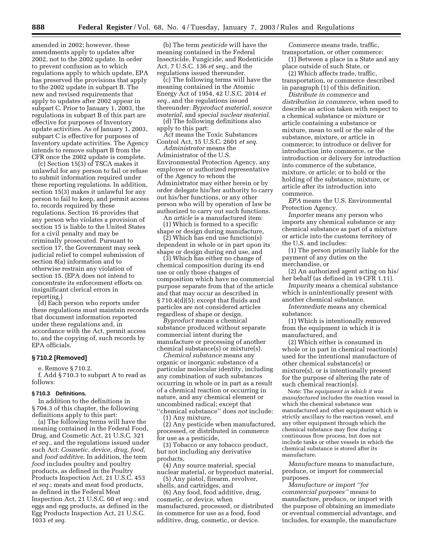amended in 2002; however, these amendments apply to updates after 2002, not to the 2002 update. In order to prevent confusion as to which regulations apply to which update, EPA has preserved the provisions that apply to the 2002 update in subpart B. The new and revised requirements that apply to updates after 2002 appear in subpart C. Prior to January 1, 2003, the regulations in subpart B of this part are effective for purposes of Inventory update activities. As of January 1, 2003, subpart C is effective for purposes of Inventory update activities. The Agency intends to remove subpart B from the CFR once the 2002 update is complete.

(c) Section 15(3) of TSCA makes it unlawful for any person to fail or refuse to submit information required under these reporting regulations. In addition, section 15(3) makes it unlawful for any person to fail to keep, and permit access to, records required by these regulations. Section 16 provides that any person who violates a provision of section 15 is liable to the United States for a civil penalty and may be criminally prosecuted. Pursuant to section 17, the Government may seek judicial relief to compel submission of section 8(a) information and to otherwise restrain any violation of section 15. (EPA does not intend to concentrate its enforcement efforts on insignificant clerical errors in reporting.)

(d) Each person who reports under these regulations must maintain records that document information reported under these regulations and, in accordance with the Act, permit access to, and the copying of, such records by EPA officials.

#### **§ 710.2 [Removed]**

e. Remove § 710.2.

f. Add § 710.3 to subpart A to read as follows:

#### **§ 710.3 Definitions.**

In addition to the definitions in § 704.3 of this chapter, the following definitions apply to this part:

(a) The following terms will have the meaning contained in the Federal Food, Drug, and Cosmetic Act, 21 U.S.C. 321 *et seq.*, and the regulations issued under such Act: *Cosmetic*, *device*, *drug*, *food*, and *food additive*. In addition, the term *food* includes poultry and poultry products, as defined in the Poultry Products Inspection Act, 21 U.S.C. 453 *et seq.*; meats and meat food products, as defined in the Federal Meat Inspection Act, 21 U.S.C. 60 *et seq.*; and eggs and egg products, as defined in the Egg Products Inspection Act, 21 U.S.C. 1033 *et seq*.

(b) The term *pesticide* will have the meaning contained in the Federal Insecticide, Fungicide, and Rodenticide Act, 7 U.S.C. 136 *et seq*., and the regulations issued thereunder.

(c) The following terms will have the meaning contained in the Atomic Energy Act of 1954, 42 U.S.C. 2014 *et seq*., and the regulations issued thereunder: *Byproduct material*, *source material*, and *special nuclear material*.

(d) The following definitions also apply to this part:

*Act* means the Toxic Substances Control Act, 15 U.S.C. 2601 *et seq*.

*Administrator* means the Administrator of the U.S. Environmental Protection Agency, any employee or authorized representative of the Agency to whom the Administrator may either herein or by order delegate his/her authority to carry out his/her functions, or any other person who will by operation of law be authorized to carry out such functions.

An *article* is a manufactured item: (1) Which is formed to a specific shape or design during manufacture,

 $(2)$  Which has end use function(s) dependent in whole or in part upon its shape or design during end use, and

(3) Which has either no change of chemical composition during its end use or only those changes of composition which have no commercial purpose separate from that of the article and that may occur as described in § 710.4(d)(5); except that fluids and particles are not considered articles regardless of shape or design.

*Byproduct* means a chemical substance produced without separate commercial intent during the manufacture or processing of another chemical substance(s) or mixture(s).

*Chemical substance* means any organic or inorganic substance of a particular molecular identity, including any combination of such substances occurring in whole or in part as a result of a chemical reaction or occurring in nature, and any chemical element or uncombined radical; except that ''chemical substance'' does *not* include:

(1) Any mixture,

(2) Any pesticide when manufactured, processed, or distributed in commerce for use as a pesticide,

(3) Tobacco or any tobacco product, but not including any derivative products,

(4) Any source material, special nuclear material, or byproduct material,

(5) Any pistol, firearm, revolver, shells, and cartridges, and

(6) Any food, food additive, drug, cosmetic, or device, when manufactured, processed, or distributed in commerce for use as a food, food additive, drug, cosmetic, or device.

*Commerce* means trade, traffic, transportation, or other commerce:

(1) Between a place in a State and any place outside of such State, or

(2) Which affects trade, traffic, transportation, or commerce described in paragraph (1) of this definition.

*Distribute in commerce* and *distribution in commerce*, when used to describe an action taken with respect to a chemical substance or mixture or article containing a substance or mixture, mean to sell or the sale of the substance, mixture, or article in commerce; to introduce or deliver for introduction into commerce, or the introduction or delivery for introduction into commerce of the substance, mixture, or article; or to hold or the holding of the substance, mixture, or article after its introduction into commerce.

*EPA* means the U.S. Environmental Protection Agency.

*Importer* means any person who imports any chemical substance or any chemical substance as part of a mixture or article into the customs territory of the U.S. and includes:

(1) The person primarily liable for the payment of any duties on the merchandise, or

(2) An authorized agent acting on his/ her behalf (as defined in 19 CFR 1.11).

*Impurity* means a chemical substance which is unintentionally present with another chemical substance.

*Intermediate* means any chemical substance:

(1) Which is intentionally removed from the equipment in which it is manufactured, and

(2) Which either is consumed in whole or in part in chemical reaction(s) used for the intentional manufacture of other chemical substance(s) or mixture(s), or is intentionally present for the purpose of altering the rate of such chemical reaction(s).

Note: The *equipment in which it was manufactured* includes the reaction vessel in which the chemical substance was manufactured and other equipment which is strictly ancillary to the reaction vessel, and any other equipment through which the chemical substance may flow during a continuous flow process, but does not include tanks or other vessels in which the chemical substance is stored after its manufacture.

*Manufacture* means to manufacture, produce, or import for commercial purposes.

*Manufacture or import ''for commercial purposes''* means to manufacture, produce, or import with the purpose of obtaining an immediate or eventual commercial advantage, and includes, for example, the manufacture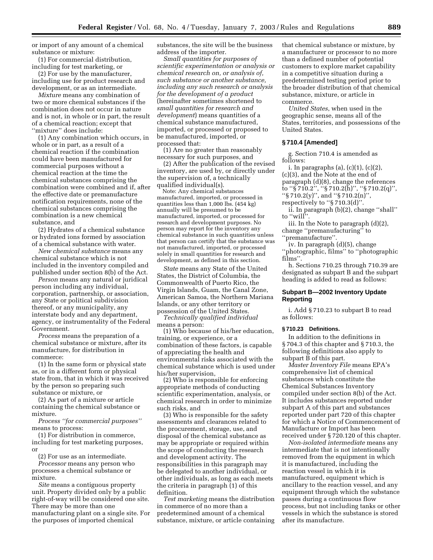or import of any amount of a chemical substance or mixture:

(1) For commercial distribution, including for test marketing, or

(2) For use by the manufacturer, including use for product research and development, or as an intermediate.

*Mixture* means any combination of two or more chemical substances if the combination does not occur in nature and is not, in whole or in part, the result of a chemical reaction; except that ''mixture'' does include:

(1) Any combination which occurs, in whole or in part, as a result of a chemical reaction if the combination could have been manufactured for commercial purposes without a chemical reaction at the time the chemical substances comprising the combination were combined and if, after the effective date or premanufacture notification requirements, none of the chemical substances comprising the combination is a new chemical substance, and

(2) Hydrates of a chemical substance or hydrated ions formed by association of a chemical substance with water.

*New chemical substance* means any chemical substance which is not included in the inventory compiled and published under section 8(b) of the Act.

*Person* means any natural or juridical person including any individual, corporation, partnership, or association, any State or political subdivision thereof, or any municipality, any interstate body and any department, agency, or instrumentality of the Federal Government.

*Process* means the preparation of a chemical substance or mixture, after its manufacture, for distribution in commerce:

(1) In the same form or physical state as, or in a different form or physical state from, that in which it was received by the person so preparing such substance or mixture, or

(2) As part of a mixture or article containing the chemical substance or mixture.

*Process ''for commercial purposes''* means to process:

(1) For distribution in commerce, including for test marketing purposes, or

(2) For use as an intermediate.

*Processor* means any person who processes a chemical substance or mixture.

*Site* means a contiguous property unit. Property divided only by a public right-of-way will be considered one site. There may be more than one manufacturing plant on a single site. For the purposes of imported chemical

substances, the site will be the business address of the importer.

*Small quantities for purposes of scientific experimentation or analysis or chemical research on, or analysis of, such substance or another substance, including any such research or analysis for the development of a product* (hereinafter sometimes shortened to *small quantities for research and development*) means quantities of a chemical substance manufactured, imported, or processed or proposed to be manufactured, imported, or processed that:

(1) Are no greater than reasonably necessary for such purposes, and

(2) After the publication of the revised inventory, are used by, or directly under the supervision of, a technically qualified individual(s).

Note: Any chemical substances manufactured, imported, or processed in quantities less than  $1,000$  lbs.  $(454 \text{ kg})$ annually will be presumed to be manufactured, imported, or processed for research and development purposes. No person may report for the inventory any chemical substance in such quantities unless that person can certify that the substance was not manufactured, imported, or processed solely in small quantities for research and development, as defined in this section.

*State* means any State of the United States, the District of Columbia, the Commonwealth of Puerto Rico, the Virgin Islands, Guam, the Canal Zone, American Samoa, the Northern Mariana Islands, or any other territory or possession of the United States.

*Technically qualified individual* means a person:

(1) Who because of his/her education, training, or experience, or a combination of these factors, is capable of appreciating the health and environmental risks associated with the chemical substance which is used under his/her supervision,

(2) Who is responsible for enforcing appropriate methods of conducting scientific experimentation, analysis, or chemical research in order to minimize such risks, and

(3) Who is responsible for the safety assessments and clearances related to the procurement, storage, use, and disposal of the chemical substance as may be appropriate or required within the scope of conducting the research and development activity. The responsibilities in this paragraph may be delegated to another individual, or other individuals, as long as each meets the criteria in paragraph (1) of this definition.

*Test marketing* means the distribution in commerce of no more than a predetermined amount of a chemical substance, mixture, or article containing

that chemical substance or mixture, by a manufacturer or processor to no more than a defined number of potential customers to explore market capability in a competitive situation during a predetermined testing period prior to the broader distribution of that chemical substance, mixture, or article in commerce.

*United States*, when used in the geographic sense, means all of the States, territories, and possessions of the United States.

#### **§ 710.4 [Amended]**

g. Section 710.4 is amended as follows:

i. In paragraphs (a), (c)(1), (c)(2), (c)(3), and the Note at the end of paragraph (d)(8), change the references to ''§ 710.2'', ''§ 710.2(h)'', ''§ 710.2(q)'', ''§ 710.2(y)'', and ''§ 710.2(n)'',

respectively to ''§ 710.3(d)''.

ii. In paragraph (b)(2), change ''shall'' to ''will''.

iii. In the Note to paragraph (d)(2), change ''premanufacturing'' to ''premanufacture''.

iv. In paragraph (d)(5), change ''photographic, films'' to ''photographic films''.

h. Sections 710.25 through 710.39 are designated as subpart B and the subpart heading is added to read as follows:

#### **Subpart B—2002 Inventory Update Reporting**

i. Add § 710.23 to subpart B to read as follows:

#### **§ 710.23 Definitions.**

In addition to the definitions in § 704.3 of this chapter and § 710.3, the following definitions also apply to subpart B of this part.

*Master Inventory File* means EPA's comprehensive list of chemical substances which constitute the Chemical Substances Inventory compiled under section 8(b) of the Act. It includes substances reported under subpart A of this part and substances reported under part 720 of this chapter for which a Notice of Commencement of Manufacture or Import has been received under § 720.120 of this chapter.

*Non-isolated intermediate* means any intermediate that is not intentionally removed from the equipment in which it is manufactured, including the reaction vessel in which it is manufactured, equipment which is ancillary to the reaction vessel, and any equipment through which the substance passes during a continuous flow process, but not including tanks or other vessels in which the substance is stored after its manufacture.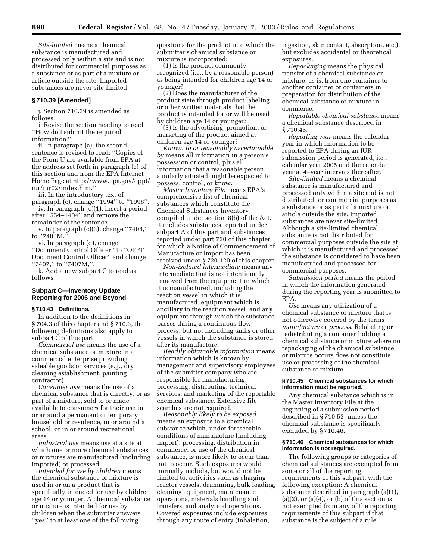*Site-limited* means a chemical substance is manufactured and processed only within a site and is not distributed for commercial purposes as a substance or as part of a mixture or article outside the site. Imported substances are never site-limited.

#### **§ 710.39 [Amended]**

j. Section 710.39 is amended as follows:

i. Revise the section heading to read ''How do I submit the required information?''

ii. In paragraph (a), the second sentence is revised to read: ''Copies of the Form U are available from EPA at the address set forth in paragraph (c) of this section and from the EPA Internet Home Page at http://www.epa.gov/oppt/ iur/iur02/index.htm.''

iii. In the introductory text of paragraph (c), change "1994" to "1998". iv. In paragraph (c)(1), insert a period after ''554–1404'' and remove the

remainder of the sentence. v. In paragraph (c)(3), change ''7408,'' to ''7408M,''.

vi. In paragraph (d), change ''Document Control Officer'' to ''OPPT Document Control Officer'' and change ''7407,'' to ''7407M,''.

k. Add a new subpart C to read as follows:

#### **Subpart C—Inventory Update Reporting for 2006 and Beyond**

#### **§ 710.43 Definitions.**

In addition to the definitions in § 704.3 of this chapter and § 710.3, the following definitions also apply to subpart  $\overline{C}$  of this part:

*Commercial use* means the use of a chemical substance or mixture in a commercial enterprise providing saleable goods or services (e.g., dry cleaning establishment, painting contractor).

*Consumer use* means the use of a chemical substance that is directly, or as part of a mixture, sold to or made available to consumers for their use in or around a permanent or temporary household or residence, in or around a school, or in or around recreational areas.

*Industrial use* means use at a site at which one or more chemical substances or mixtures are manufactured (including imported) or processed.

*Intended for use by children* means the chemical substance or mixture is used in or on a product that is specifically intended for use by children age 14 or younger. A chemical substance or mixture is intended for use by children when the submitter answers ''yes'' to at least one of the following

questions for the product into which the submitter's chemical substance or mixture is incorporated:

(1) Is the product commonly recognized (i.e., by a reasonable person) as being intended for children age 14 or younger?

(2) Does the manufacturer of the product state through product labeling or other written materials that the product is intended for or will be used by children age 14 or younger?

(3) Is the advertising, promotion, or marketing of the product aimed at children age 14 or younger?

*Known to or reasonably ascertainable by* means all information in a person's possession or control, plus all information that a reasonable person similarly situated might be expected to possess, control, or know.

*Master Inventory File* means EPA's comprehensive list of chemical substances which constitute the Chemical Substances Inventory compiled under section 8(b) of the Act. It includes substances reported under subpart A of this part and substances reported under part 720 of this chapter for which a Notice of Commencement of Manufacture or Import has been received under § 720.120 of this chapter.

*Non-isolated intermediate* means any intermediate that is not intentionally removed from the equipment in which it is manufactured, including the reaction vessel in which it is manufactured, equipment which is ancillary to the reaction vessel, and any equipment through which the substance passes during a continuous flow process, but not including tanks or other vessels in which the substance is stored after its manufacture.

*Readily obtainable information* means information which is known by management and supervisory employees of the submitter company who are responsible for manufacturing, processing, distributing, technical services, and marketing of the reportable chemical substance. Extensive file searches are not required.

*Reasonably likely to be exposed* means an exposure to a chemical substance which, under foreseeable conditions of manufacture (including import), processing, distribution in commerce, or use of the chemical substance, is more likely to occur than not to occur. Such exposures would normally include, but would not be limited to, activities such as charging reactor vessels, drumming, bulk loading, cleaning equipment, maintenance operations, materials handling and transfers, and analytical operations. Covered exposures include exposures through any route of entry (inhalation,

ingestion, skin contact, absorption, etc.), but excludes accidental or theoretical exposures.

*Repackaging* means the physical transfer of a chemical substance or mixture, as is, from one container to another container or containers in preparation for distribution of the chemical substance or mixture in commerce.

*Reportable chemical substance* means a chemical substance described in § 710.45.

*Reporting year* means the calendar year in which information to be reported to EPA during an IUR submission period is generated, i.e., calendar year 2005 and the calendar year at 4–year intervals thereafter.

*Site-limited* means a chemical substance is manufactured and processed only within a site and is not distributed for commercial purposes as a substance or as part of a mixture or article outside the site. Imported substances are never site-limited. Although a site-limited chemical substance is not distributed for commercial purposes outside the site at which it is manufactured and processed, the substance is considered to have been manufactured and processed for commercial purposes.

*Submission period* means the period in which the information generated during the reporting year is submitted to EPA.

*Use* means any utilization of a chemical substance or mixture that is not otherwise covered by the terms *manufacture* or *process*. Relabeling or redistributing a container holding a chemical substance or mixture where no repackaging of the chemical substance or mixture occurs does not constitute use or processing of the chemical substance or mixture.

#### **§ 710.45 Chemical substances for which information must be reported.**

Any chemical substance which is in the Master Inventory File at the beginning of a submission period described in § 710.53, unless the chemical substance is specifically excluded by § 710.46.

#### **§ 710.46 Chemical substances for which information is not required.**

The following groups or categories of chemical substances are exempted from some or all of the reporting requirements of this subpart, with the following exception: A chemical substance described in paragraph (a)(1),  $(a)(2)$ , or  $(a)(4)$ , or  $(b)$  of this section is not exempted from any of the reporting requirements of this subpart if that substance is the subject of a rule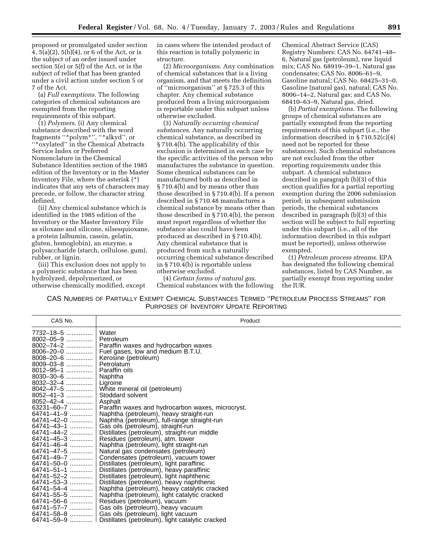proposed or promulgated under section 4, 5(a)(2), 5(b)(4), or 6 of the Act, or is the subject of an order issued under section 5(e) or 5(f) of the Act, or is the subject of relief that has been granted under a civil action under section 5 or 7 of the Act.

(a) *Full exemptions*. The following categories of chemical substances are exempted from the reporting requirements of this subpart.

(1) *Polymers*. (i) Any chemical substance described with the word fragments ''\*polym\*'', ''\*alkyd'', or ''\*oxylated'' in the Chemical Abstracts Service Index or Preferred Nomenclature in the Chemical Substance Identities section of the 1985 edition of the Inventory or in the Master Inventory File, where the asterisk (\*) indicates that any sets of characters may precede, or follow, the character string defined.

(ii) Any chemical substance which is identified in the 1985 edition of the Inventory or the Master Inventory File as siloxane and silicone, silsesquioxane, a protein (albumin, casein, gelatin, gluten, hemoglobin), an enzyme, a polysaccharide (starch, cellulose, gum), rubber, or lignin.

(iii) This exclusion does not apply to a polymeric substance that has been hydrolyzed, depolymerized, or otherwise chemically modified, except

in cases where the intended product of this reaction is totally polymeric in structure.

(2) *Microorganisms*. Any combination of chemical substances that is a living organism, and that meets the definition of ''microorganism'' at § 725.3 of this chapter. Any chemical substance produced from a living microorganism is reportable under this subpart unless otherwise excluded.

(3) *Naturally occurring chemical substances*. Any naturally occurring chemical substance, as described in § 710.4(b). The applicability of this exclusion is determined in each case by the specific activities of the person who manufactures the substance in question. Some chemical substances can be manufactured both as described in § 710.4(b) and by means other than those described in § 710.4(b). If a person described in § 710.48 manufactures a chemical substance by means other than those described in § 710.4(b), the person must report regardless of whether the substance also could have been produced as described in § 710.4(b). Any chemical substance that is produced from such a naturally occurring chemical substance described in § 710.4(b) is reportable unless otherwise excluded.

(4) *Certain forms of natural gas*. Chemical substances with the following

Chemical Abstract Service (CAS) Registry Numbers: CAS No. 64741–48– 6, Natural gas (petroleum), raw liquid mix; CAS No. 68919–39–1, Natural gas condensates; CAS No. 8006–61–9, Gasoline natural; CAS No. 68425–31–0, Gasoline (natural gas), natural; CAS No. 8006–14–2, Natural gas; and CAS No. 68410–63–9, Natural gas, dried.

(b) *Partial exemptions*. The following groups of chemical substances are partially exempted from the reporting requirements of this subpart (i.e., the information described in § 710.52(c)(4) need not be reported for these substances). Such chemical substances are not excluded from the other reporting requirements under this subpart. A chemical substance described in paragraph (b)(3) of this section qualifies for a partial reporting exemption during the 2006 submission period; in subsequent submission periods, the chemical substances described in paragraph (b)(3) of this section will be subject to full reporting under this subpart (i.e., all of the information described in this subpart must be reported), unless otherwise exempted.

(1) *Petroleum process streams*. EPA has designated the following chemical substances, listed by CAS Number, as partially exempt from reporting under the IUR.

| CAS No.           | Product                                           |
|-------------------|---------------------------------------------------|
| 7732-18-5         | Water                                             |
| $8002 - 05 - 9$   | Petroleum                                         |
| 8002-74-2         | Paraffin waxes and hydrocarbon waxes              |
| 8006-20-0         | Fuel gases, low and medium B.T.U.                 |
| $8008 - 20 - 6$   | Kerosine (petroleum)                              |
| 8009-03-8         | Petrolatum                                        |
| 8012-95-1         | Paraffin oils                                     |
| $8030 - 30 - 6$   | Naphtha                                           |
| 8032-32-4         | Ligroine                                          |
| 8042-47-5         | White mineral oil (petroleum)                     |
| 8052-41-3         | Stoddard solvent                                  |
| 8052-42-4         | Asphalt                                           |
| 63231-60-7        | Paraffin waxes and hydrocarbon waxes, microcryst. |
| 64741-41-9        | Naphtha (petroleum), heavy straight-run           |
| 64741-42-0        | Naphtha (petroleum), full-range straight-run      |
| 64741-43-1        | Gas oils (petroleum), straight-run                |
| 64741-44-2        | Distillates (petroleum), straight-run middle      |
| 64741-45-3        | Residues (petroleum), atm. tower                  |
| 64741-46-4        | Naphtha (petroleum), light straight-run           |
| 64741-47-5        | Natural gas condensates (petroleum)               |
| 64741-49-7        | Condensates (petroleum), vacuum tower             |
| 64741-50-0        | Distillates (petroleum), light paraffinic         |
| 64741-51-1        | Distillates (petroleum), heavy paraffinic         |
| 64741-52-2        | Distillates (petroleum), light naphthenic         |
| 64741-53-3        | Distillates (petroleum), heavy naphthenic         |
| 64741-54-4        | Naphtha (petroleum), heavy catalytic cracked      |
| 64741-55-5        | Naphtha (petroleum), light catalytic cracked      |
| 64741–56–6        | Residues (petroleum), vacuum                      |
| 64741-57-7        | Gas oils (petroleum), heavy vacuum                |
| 64741-58-8        | Gas oils (petroleum), light vacuum                |
| 64741–59–9 ………… । | Distillates (petroleum), light catalytic cracked  |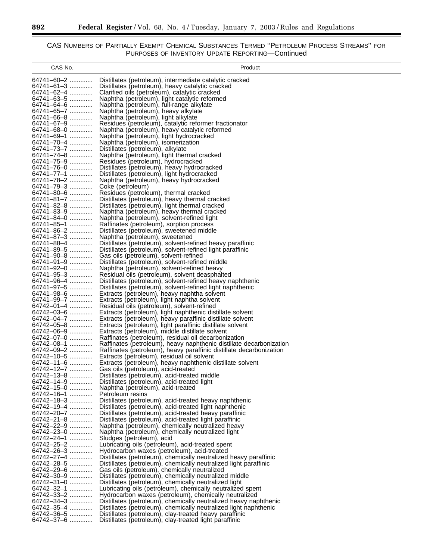۰

| CAS No.                        | Product                                                                                                                   |
|--------------------------------|---------------------------------------------------------------------------------------------------------------------------|
| 64741-60-2                     |                                                                                                                           |
|                                | Distillates (petroleum), intermediate catalytic cracked                                                                   |
| 64741-61-3                     | Distillates (petroleum), heavy catalytic cracked                                                                          |
| 64741–62–4 ………….               | Clarified oils (petroleum), catalytic cracked                                                                             |
| 64741–63–5                     | Naphtha (petroleum), light catalytic reformed                                                                             |
| 64741-64-6                     | Naphtha (petroleum), full-range alkylate                                                                                  |
| 64741–65–7                     | Naphtha (petroleum), heavy alkylate                                                                                       |
| 64741–66–8                     | Naphtha (petroleum), light alkylate                                                                                       |
| 64741-67-9                     | Residues (petroleum), catalytic reformer fractionator                                                                     |
| 64741-68-0                     | Naphtha (petroleum), heavy catalytic reformed                                                                             |
| 64741-69-1                     | Naphtha (petroleum), light hydrocracked                                                                                   |
| 64741-70-4                     | Naphtha (petroleum), isomerization                                                                                        |
| 64741–73–7                     | Distillates (petroleum), alkylate                                                                                         |
| 64741–74–8                     | Naphtha (petroleum), light thermal cracked                                                                                |
| 64741-75-9                     | Residues (petroleum), hydrocracked                                                                                        |
| 64741-76-0                     | Distillates (petroleum), heavy hydrocracked                                                                               |
| 64741-77-1                     | Distillates (petroleum), light hydrocracked                                                                               |
| 64741-78-2                     | Naphtha (petroleum), heavy hydrocracked                                                                                   |
| 64741–79–3                     | Coke (petroleum)                                                                                                          |
| 64741-80-6                     | Residues (petroleum), thermal cracked                                                                                     |
| 64741-81-7                     | Distillates (petroleum), heavy thermal cracked                                                                            |
| 64741-82-8                     | Distillates (petroleum), light thermal cracked                                                                            |
| 64741-83-9                     | Naphtha (petroleum), heavy thermal cracked                                                                                |
| 64741-84-0                     | Naphtha (petroleum), solvent-refined light                                                                                |
| 64741-85-1                     | Raffinates (petroleum), sorption process                                                                                  |
| 64741-86-2                     | Distillates (petroleum), sweetened middle                                                                                 |
| 64741–87–3                     | Naphtha (petroleum), sweetened                                                                                            |
| 64741-88-4                     | Distillates (petroleum), solvent-refined heavy paraffinic                                                                 |
| 64741-89-5                     | Distillates (petroleum), solvent-refined light paraffinic                                                                 |
| 64741-90-8                     | Gas oils (petroleum), solvent-refined                                                                                     |
| 64741-91-9                     | Distillates (petroleum), solvent-refined middle                                                                           |
| 64741-92-0                     | Naphtha (petroleum), solvent-refined heavy                                                                                |
| 64741-95-3                     | Residual oils (petroleum), solvent deasphalted                                                                            |
| 64741-96-4                     | Distillates (petroleum), solvent-refined heavy naphthenic                                                                 |
| 64741-97-5                     | Distillates (petroleum), solvent-refined light naphthenic                                                                 |
| 64741-98-6                     | Extracts (petroleum), heavy naphtha solvent                                                                               |
| 64741-99-7                     | Extracts (petroleum), light naphtha solvent                                                                               |
| 64742-01-4                     | Residual oils (petroleum), solvent-refined                                                                                |
| 64742-03-6                     | Extracts (petroleum), light naphthenic distillate solvent                                                                 |
| 64742-04-7                     | Extracts (petroleum), heavy paraffinic distillate solvent                                                                 |
| 64742-05-8                     | Extracts (petroleum), light paraffinic distillate solvent                                                                 |
| 64742-06-9                     | Extracts (petroleum), middle distillate solvent                                                                           |
| 64742-07-0                     | Raffinates (petroleum), residual oil decarbonization                                                                      |
| 64742-08-1                     | Raffinates (petroleum), heavy naphthenic distillate decarbonization                                                       |
| 64742–09–2 …………                | Raffinates (petroleum), heavy paraffinic distillate decarbonization                                                       |
| 64742-10-5                     | Extracts (petroleum), residual oil solvent                                                                                |
| 64742-11-6                     | Extracts (petroleum), heavy naphthenic distillate solvent                                                                 |
| 64742–12–7 …………                | Gas oils (petroleum), acid-treated                                                                                        |
| 64742-13-8                     | Distillates (petroleum), acid-treated middle                                                                              |
| 64742-14-9                     | Distillates (petroleum), acid-treated light                                                                               |
| 64742–15–0 ………….               | Naphtha (petroleum), acid-treated                                                                                         |
| 64742–16–1 …………                | Petroleum resins                                                                                                          |
| 64742–18–3 ………….               | Distillates (petroleum), acid-treated heavy naphthenic                                                                    |
| 64742-19-4                     | Distillates (petroleum), acid-treated light naphthenic                                                                    |
| 64742–20–7 …………                | Distillates (petroleum), acid-treated heavy paraffinic                                                                    |
| 64742-21-8                     | Distillates (petroleum), acid-treated light paraffinic                                                                    |
| 64742-22-9                     | Naphtha (petroleum), chemically neutralized heavy                                                                         |
| 64742-23-0                     | Naphtha (petroleum), chemically neutralized light                                                                         |
| 64742–24–1                     | Sludges (petroleum), acid                                                                                                 |
| 64742-25-2                     | Lubricating oils (petroleum), acid-treated spent                                                                          |
| 64742-26-3                     | Hydrocarbon waxes (petroleum), acid-treated                                                                               |
| 64742–27–4 ………….               | Distillates (petroleum), chemically neutralized heavy paraffinic                                                          |
| 64742–28–5                     | Distillates (petroleum), chemically neutralized light paraffinic                                                          |
| 64742–29–6                     | Gas oils (petroleum), chemically neutralized                                                                              |
| 64742-30-9<br>64742–31–0       | Distillates (petroleum), chemically neutralized middle                                                                    |
|                                | Distillates (petroleum), chemically neutralized light                                                                     |
| 64742–32–1 ………….<br>64742-33-2 | Lubricating oils (petroleum), chemically neutralized spent                                                                |
| 64742–34–3                     | Hydrocarbon waxes (petroleum), chemically neutralized<br>Distillates (petroleum), chemically neutralized heavy naphthenic |
| 64742-35-4                     | Distillates (petroleum), chemically neutralized light naphthenic                                                          |
| 64742–36–5 …………                | Distillates (petroleum), clay-treated heavy paraffinic                                                                    |
| 64742–37–6 …………  │             | Distillates (petroleum), clay-treated light paraffinic                                                                    |
|                                |                                                                                                                           |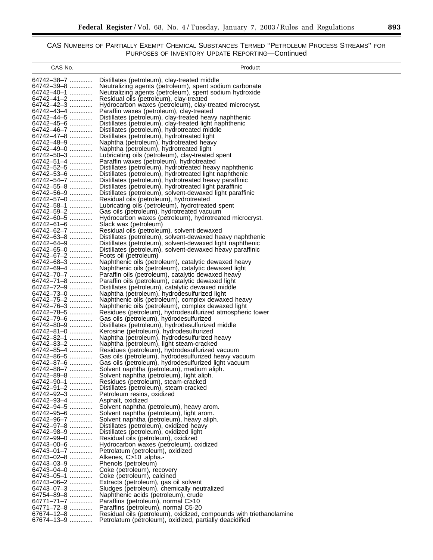### $\equiv$

| CAS No.                  | Product                                                                                                                |
|--------------------------|------------------------------------------------------------------------------------------------------------------------|
| 64742–38–7               | Distillates (petroleum), clay-treated middle                                                                           |
| 64742-39-8               | Neutralizing agents (petroleum), spent sodium carbonate                                                                |
| 64742-40-1               | Neutralizing agents (petroleum), spent sodium hydroxide                                                                |
| 64742-41-2               | Residual oils (petroleum), clay-treated                                                                                |
| 64742-42-3               | Hydrocarbon waxes (petroleum), clay-treated microcryst.                                                                |
| 64742-43-4<br>64742-44-5 | Paraffin waxes (petroleum), clay-treated                                                                               |
| 64742-45-6               | Distillates (petroleum), clay-treated heavy naphthenic<br>Distillates (petroleum), clay-treated light naphthenic       |
| 64742-46-7               | Distillates (petroleum), hydrotreated middle                                                                           |
| 64742–47–8               | Distillates (petroleum), hydrotreated light                                                                            |
| 64742-48-9               | Naphtha (petroleum), hydrotreated heavy                                                                                |
| 64742-49-0<br>64742-50-3 | Naphtha (petroleum), hydrotreated light                                                                                |
| 64742-51-4               | Lubricating oils (petroleum), clay-treated spent<br>Paraffin waxes (petroleum), hydrotreated                           |
| 64742-52-5               | Distillates (petroleum), hydrotreated heavy naphthenic                                                                 |
| 64742-53-6               | Distillates (petroleum), hydrotreated light naphthenic                                                                 |
| 64742-54-7               | Distillates (petroleum), hydrotreated heavy paraffinic                                                                 |
| 64742-55-8               | Distillates (petroleum), hydrotreated light paraffinic                                                                 |
| 64742-56-9<br>64742-57-0 | Distillates (petroleum), solvent-dewaxed light paraffinic<br>Residual oils (petroleum), hydrotreated                   |
| 64742-58-1               | Lubricating oils (petroleum), hydrotreated spent                                                                       |
| 64742-59-2               | Gas oils (petroleum), hydrotreated vacuum                                                                              |
| 64742–60–5               | Hydrocarbon waxes (petroleum), hydrotreated microcryst.                                                                |
| 64742-61-6               | Slack wax (petroleum)                                                                                                  |
| 64742-62-7<br>64742–63–8 | Residual oils (petroleum), solvent-dewaxed                                                                             |
| 64742-64-9               | Distillates (petroleum), solvent-dewaxed heavy naphthenic<br>Distillates (petroleum), solvent-dewaxed light naphthenic |
| 64742-65-0               | Distillates (petroleum), solvent-dewaxed heavy paraffinic                                                              |
| 64742–67–2               | Foots oil (petroleum)                                                                                                  |
| 64742-68-3               | Naphthenic oils (petroleum), catalytic dewaxed heavy                                                                   |
| 64742-69-4<br>64742-70-7 | Naphthenic oils (petroleum), catalytic dewaxed light                                                                   |
| 64742-71-8               | Paraffin oils (petroleum), catalytic dewaxed heavy<br>Paraffin oils (petroleum), catalytic dewaxed light               |
| 64742-72-9               | Distillates (petroleum), catalytic dewaxed middle                                                                      |
| 64742-73-0               | Naphtha (petroleum), hydrodesulfurized light                                                                           |
| 64742-75-2               | Naphthenic oils (petroleum), complex dewaxed heavy                                                                     |
| 64742-76-3<br>64742-78-5 | Naphthenic oils (petroleum), complex dewaxed light                                                                     |
| 64742-79-6               | Residues (petroleum), hydrodesulfurized atmospheric tower<br>Gas oils (petroleum), hydrodesulfurized                   |
| 64742-80-9               | Distillates (petroleum), hydrodesulfurized middle                                                                      |
| 64742-81-0               | Kerosine (petroleum), hydrodesulfurized                                                                                |
| 64742-82-1               | Naphtha (petroleum), hydrodesulfurized heavy                                                                           |
| 64742-83-2               | Naphtha (petroleum), light steam-cracked                                                                               |
| 64742-85-4<br>64742-86-5 | Residues (petroleum), hydrodesulfurized vacuum<br>Gas oils (petroleum), hydrodesulfurized heavy vacuum                 |
| 64742-87-6               | Gas oils (petroleum), hydrodesulfurized light vacuum                                                                   |
| 64742-88-7               | Solvent naphtha (petroleum), medium aliph.                                                                             |
| 64742-89-8               | Solvent naphtha (petroleum), light aliph.                                                                              |
| 64742-90-1               | Residues (petroleum), steam-cracked                                                                                    |
| 64742-91-2<br>64742-92-3 | Distillates (petroleum), steam-cracked<br>Petroleum resins, oxidized                                                   |
| 64742-93-4               | Asphalt, oxidized                                                                                                      |
| 64742-94-5               | Solvent naphtha (petroleum), heavy arom.                                                                               |
| 64742–95–6               | Solvent naphtha (petroleum), light arom.                                                                               |
| 64742-96-7               | Solvent naphtha (petroleum), heavy aliph.                                                                              |
| 64742-97-8<br>64742-98-9 | Distillates (petroleum), oxidized heavy<br>Distillates (petroleum), oxidized light                                     |
| 64742-99-0               | Residual oils (petroleum), oxidized                                                                                    |
| 64743–00–6               | Hydrocarbon waxes (petroleum), oxidized                                                                                |
| 64743-01-7               | Petrolatum (petroleum), oxidized                                                                                       |
| 64743-02-8               | Alkenes, C>10 .alpha.-                                                                                                 |
| 64743-03-9<br>64743-04-0 | Phenols (petroleum)                                                                                                    |
| 64743-05-1               | Coke (petroleum), recovery<br>Coke (petroleum), calcined                                                               |
| 64743-06-2               | Extracts (petroleum), gas oil solvent                                                                                  |
| 64743-07-3               | Sludges (petroleum), chemically neutralized                                                                            |
| 64754-89-8               | Naphthenic acids (petroleum), crude                                                                                    |
| 64771-71-7<br>64771-72-8 | Paraffins (petroleum), normal C>10                                                                                     |
| 67674-12-8               | Paraffins (petroleum), normal C5-20<br>Residual oils (petroleum), oxidized, compounds with triethanolamine             |
| 67674-13-9               | Petrolatum (petroleum), oxidized, partially deacidified                                                                |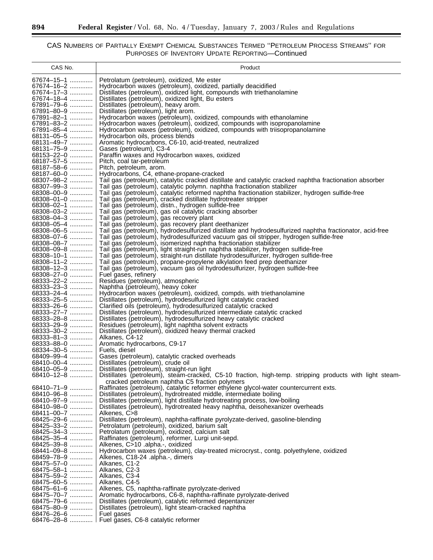٠

| CAS No.                  | Product                                                                                                                                                                             |
|--------------------------|-------------------------------------------------------------------------------------------------------------------------------------------------------------------------------------|
| 67674-15-1               | Petrolatum (petroleum), oxidized, Me ester                                                                                                                                          |
| 67674–16–2               | Hydrocarbon waxes (petroleum), oxidized, partially deacidified                                                                                                                      |
| 67674-17-3               | Distillates (petroleum), oxidized light, compounds with triethanolamine                                                                                                             |
| 67674–18–4               | Distillates (petroleum), oxidized light, Bu esters                                                                                                                                  |
| 67891-79-6<br>67891-80-9 | Distillates (petroleum), heavy arom.<br>Distillates (petroleum), light arom.                                                                                                        |
| 67891-82-1               | Hydrocarbon waxes (petroleum), oxidized, compounds with ethanolamine                                                                                                                |
| 67891-83-2               | Hydrocarbon waxes (petroleum), oxidized, compounds with isopropanolamine                                                                                                            |
| 67891-85-4               | Hydrocarbon waxes (petroleum), oxidized, compounds with triisopropanolamine                                                                                                         |
| 68131-05-5               | Hydrocarbon oils, process blends                                                                                                                                                    |
| 68131-49-7<br>68131-75-9 | Aromatic hydrocarbons, C6-10, acid-treated, neutralized<br>Gases (petroleum), C3-4                                                                                                  |
| 68153-22-0               | Paraffin waxes and Hydrocarbon waxes, oxidized                                                                                                                                      |
| 68187-57-5               | Pitch, coal tar-petroleum                                                                                                                                                           |
| 68187-58-6               | Pitch, petroleum, arom.                                                                                                                                                             |
| 68187-60-0               | Hydrocarbons, C4, ethane-propane-cracked                                                                                                                                            |
| 68307-98-2<br>68307-99-3 | Tail gas (petroleum), catalytic cracked distillate and catalytic cracked naphtha fractionation absorber<br>Tail gas (petroleum), catalytic polymn. naphtha fractionation stabilizer |
| 68308-00-9               | Tail gas (petroleum), catalytic reformed naphtha fractionation stabilizer, hydrogen sulfide-free                                                                                    |
| 68308-01-0               | Tail gas (petroleum), cracked distillate hydrotreater stripper                                                                                                                      |
| 68308-02-1               | Tail gas (petroleum), distn., hydrogen sulfide-free                                                                                                                                 |
| 68308-03-2               | Tail gas (petroleum), gas oil catalytic cracking absorber                                                                                                                           |
| 68308-04-3<br>68308-05-4 | Tail gas (petroleum), gas recovery plant                                                                                                                                            |
| 68308-06-5               | Tail gas (petroleum), gas recovery plant deethanizer<br>Tail gas (petroleum), hydrodesulfurized distillate and hydrodesulfurized naphtha fractionator, acid-free                    |
| 68308-07-6               | Tail gas (petroleum), hydrodesulfurized vacuum gas oil stripper, hydrogen sulfide-free                                                                                              |
| 68308-08-7               | Tail gas (petroleum), isomerized naphtha fractionation stabilizer                                                                                                                   |
| 68308-09-8               | Tail gas (petroleum), light straight-run naphtha stabilizer, hydrogen sulfide-free                                                                                                  |
| 68308-10-1               | Tail gas (petroleum), straight-run distillate hydrodesulfurizer, hydrogen sulfide-free                                                                                              |
| 68308-11-2<br>68308-12-3 | Tail gas (petroleum), propane-propylene alkylation feed prep deethanizer<br>Tail gas (petroleum), vacuum gas oil hydrodesulfurizer, hydrogen sulfide-free                           |
| 68308-27-0               | Fuel gases, refinery                                                                                                                                                                |
| 68333-22-2               | Residues (petroleum), atmospheric                                                                                                                                                   |
| 68333-23-3               | Naphtha (petroleum), heavy coker                                                                                                                                                    |
| 68333-24-4               | Hydrocarbon waxes (petroleum), oxidized, compds. with triethanolamine                                                                                                               |
| 68333-25-5<br>68333-26-6 | Distillates (petroleum), hydrodesulfurized light catalytic cracked<br>Clarified oils (petroleum), hydrodesulfurized catalytic cracked                                               |
| 68333-27-7               | Distillates (petroleum), hydrodesulfurized intermediate catalytic cracked                                                                                                           |
| 68333-28-8               | Distillates (petroleum), hydrodesulfurized heavy catalytic cracked                                                                                                                  |
| 68333-29-9               | Residues (petroleum), light naphtha solvent extracts                                                                                                                                |
| 68333-30-2               | Distillates (petroleum), oxidized heavy thermal cracked                                                                                                                             |
| 68333-81-3<br>68333–88–0 | Alkanes, C4-12<br>Aromatic hydrocarbons, C9-17                                                                                                                                      |
| 68334-30-5               | Fuels, diesel                                                                                                                                                                       |
| 68409-99-4               | Gases (petroleum), catalytic cracked overheads                                                                                                                                      |
| 68410-00-4               | Distillates (petroleum), crude oil                                                                                                                                                  |
| 68410-05-9               | Distillates (petroleum), straight-run light                                                                                                                                         |
| 68410–12–8               | Distillates (petroleum), steam-cracked, C5-10 fraction, high-temp. stripping products with light steam-<br>cracked petroleum naphtha C5 fraction polymers                           |
| 68410-71-9               | Raffinates (petroleum), catalytic reformer ethylene glycol-water countercurrent exts.                                                                                               |
| 68410-96-8               | Distillates (petroleum), hydrotreated middle, intermediate boiling                                                                                                                  |
| 68410-97-9               | Distillates (petroleum), light distillate hydrotreating process, low-boiling                                                                                                        |
| 68410-98-0               | Distillates (petroleum), hydrotreated heavy naphtha, deisohexanizer overheads                                                                                                       |
| 68411-00-7<br>68425-29-6 | Alkenes, C>8<br>Distillates (petroleum), naphtha-raffinate pyrolyzate-derived, gasoline-blending                                                                                    |
| 68425-33-2               | Petrolatum (petroleum), oxidized, barium salt                                                                                                                                       |
| 68425-34-3               | Petrolatum (petroleum), oxidized, calcium salt                                                                                                                                      |
| 68425-35-4               | Raffinates (petroleum), reformer, Lurgi unit-sepd.                                                                                                                                  |
| 68425-39-8               | Alkenes, C>10 .alpha.-, oxidized                                                                                                                                                    |
| 68441-09-8<br>68459-78-9 | Hydrocarbon waxes (petroleum), clay-treated microcryst., contg. polyethylene, oxidized<br>Alkenes, C18-24 .alpha.-, dimers                                                          |
| 68475-57-0               | Alkanes, C1-2                                                                                                                                                                       |
| 68475-58-1               | Alkanes, C2-3                                                                                                                                                                       |
| 68475-59-2               | Alkanes, C3-4                                                                                                                                                                       |
| 68475-60-5               | Alkanes, C4-5                                                                                                                                                                       |
| 68475-61-6<br>68475-70-7 | Alkenes, C5, naphtha-raffinate pyrolyzate-derived<br>Aromatic hydrocarbons, C6-8, naphtha-raffinate pyrolyzate-derived                                                              |
| 68475-79-6               | Distillates (petroleum), catalytic reformed depentanizer                                                                                                                            |
| 68475-80-9               | Distillates (petroleum), light steam-cracked naphtha                                                                                                                                |
| 68476-26-6               | Fuel gases                                                                                                                                                                          |
|                          | 68476-28-8  Fuel gases, C6-8 catalytic reformer                                                                                                                                     |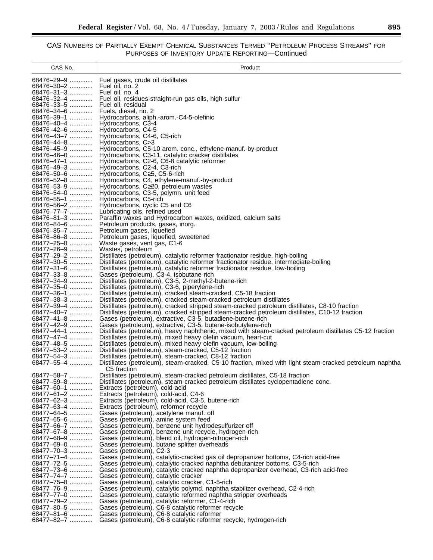| CAS No.                     | Product                                                                                                                                                                 |
|-----------------------------|-------------------------------------------------------------------------------------------------------------------------------------------------------------------------|
| 68476-29-9                  | Fuel gases, crude oil distillates                                                                                                                                       |
| 68476-30-2                  | Fuel oil, no. 2                                                                                                                                                         |
| 68476-31-3                  | Fuel oil, no. 4                                                                                                                                                         |
| 68476-32-4                  | Fuel oil, residues-straight-run gas oils, high-sulfur                                                                                                                   |
| 68476-33-5<br>68476-34-6    | Fuel oil, residual<br>Fuels, diesel, no. 2                                                                                                                              |
| 68476-39-1                  | Hydrocarbons, aliph.-arom.-C4-5-olefinic                                                                                                                                |
| 68476-40-4                  | Hydrocarbons, C3-4                                                                                                                                                      |
| 68476-42-6                  | Hydrocarbons, C4-5                                                                                                                                                      |
| 68476-43-7                  | Hydrocarbons, C4-6, C5-rich                                                                                                                                             |
| 68476-44-8                  | Hydrocarbons, C>3                                                                                                                                                       |
| 68476-45-9<br>68476-46-0    | Hydrocarbons, C5-10 arom. conc., ethylene-manuf.-by-product<br>Hydrocarbons, C3-11, catalytic cracker distillates                                                       |
| 68476-47-1                  | Hydrocarbons, C2-6, C6-8 catalytic reformer                                                                                                                             |
| 68476-49-3                  | Hydrocarbons, C2-4, C3-rich                                                                                                                                             |
| 68476-50-6                  | Hydrocarbons, C≥5, C5-6-rich                                                                                                                                            |
| 68476-52-8                  | Hydrocarbons, C4, ethylene-manuf.-by-product                                                                                                                            |
| 68476-53-9<br>68476-54-0    | Hydrocarbons, C $\geq$ 20, petroleum wastes<br>Hydrocarbons, C3-5, polymn. unit feed                                                                                    |
| 68476-55-1                  | Hydrocarbons, C5-rich                                                                                                                                                   |
| 68476-56-2                  | Hydrocarbons, cyclic C5 and C6                                                                                                                                          |
| 68476-77-7                  | Lubricating oils, refined used                                                                                                                                          |
| 68476-81-3                  | Paraffin waxes and Hydrocarbon waxes, oxidized, calcium salts                                                                                                           |
| 68476-84-6<br>68476-85-7    | Petroleum products, gases, inorg.<br>Petroleum gases, liquefied                                                                                                         |
| 68476-86-8                  | Petroleum gases, liquefied, sweetened                                                                                                                                   |
| 68477-25-8                  | Waste gases, vent gas, C1-6                                                                                                                                             |
| 68477-26-9                  | Wastes, petroleum                                                                                                                                                       |
| 68477-29-2                  | Distillates (petroleum), catalytic reformer fractionator residue, high-boiling                                                                                          |
| 68477-30-5<br>68477-31-6    | Distillates (petroleum), catalytic reformer fractionator residue, intermediate-boiling<br>Distillates (petroleum), catalytic reformer fractionator residue, low-boiling |
| 68477-33-8                  | Gases (petroleum), C3-4, isobutane-rich                                                                                                                                 |
| 68477-34-9                  | Distillates (petroleum), C3-5, 2-methyl-2-butene-rich                                                                                                                   |
| 68477-35-0                  | Distillates (petroleum), C3-6, piperylene-rich                                                                                                                          |
| 68477-36-1                  | Distillates (petroleum), cracked steam-cracked, C5-18 fraction                                                                                                          |
| 68477-38-3<br>68477-39-4    | Distillates (petroleum), cracked steam-cracked petroleum distillates<br>Distillates (petroleum), cracked stripped steam-cracked petroleum distillates, C8-10 fraction   |
| 68477-40-7                  | Distillates (petroleum), cracked stripped steam-cracked petroleum distillates, C10-12 fraction                                                                          |
| 68477-41-8                  | Gases (petroleum), extractive, C3-5, butadiene-butene-rich                                                                                                              |
| 68477-42-9                  | Gases (petroleum), extractive, C3-5, butene-isobutylene-rich                                                                                                            |
| 68477-44-1                  | Distillates (petroleum), heavy naphthenic, mixed with steam-cracked petroleum distillates C5-12 fraction                                                                |
| 68477-47-4<br>68477-48-5    | Distillates (petroleum), mixed heavy olefin vacuum, heart-cut<br>Distillates (petroleum), mixed heavy olefin vacuum, low-boiling                                        |
| 68477-53-2                  | Distillates (petroleum), steam-cracked, C5-12 fraction                                                                                                                  |
| 68477-54-3                  | Distillates (petroleum), steam-cracked, C8-12 fraction                                                                                                                  |
| 68477-55-4                  | Distillates (petroleum), steam-cracked, C5-10 fraction, mixed with light steam-cracked petroleum naphtha                                                                |
|                             | C5 fraction                                                                                                                                                             |
| 68477–58–7   <br>68477-59-8 | Distillates (petroleum), steam-cracked petroleum distillates, C5-18 fraction<br>Distillates (petroleum), steam-cracked petroleum distillates cyclopentadiene conc.      |
| 68477-60-1                  | Extracts (petroleum), cold-acid                                                                                                                                         |
| 68477-61-2                  | Extracts (petroleum), cold-acid, C4-6                                                                                                                                   |
| 68477-62-3                  | Extracts (petroleum), cold-acid, C3-5, butene-rich                                                                                                                      |
| 68477-63-4                  | Extracts (petroleum), reformer recycle                                                                                                                                  |
| 68477-64-5<br>68477–65–6    | Gases (petroleum), acetylene manuf. off<br>Gases (petroleum), amine system feed                                                                                         |
| 68477-66-7                  | Gases (petroleum), benzene unit hydrodesulfurizer off                                                                                                                   |
| 68477–67–8                  | Gases (petroleum), benzene unit recycle, hydrogen-rich                                                                                                                  |
| 68477-68-9                  | Gases (petroleum), blend oil, hydrogen-nitrogen-rich                                                                                                                    |
| 68477-69-0                  | Gases (petroleum), butane splitter overheads                                                                                                                            |
| 68477-70-3<br>68477-71-4    | Gases (petroleum), C2-3<br>Gases (petroleum), catalytic-cracked gas oil depropanizer bottoms, C4-rich acid-free                                                         |
| 68477–72–5                  | Gases (petroleum), catalytic-cracked naphtha debutanizer bottoms, C3-5-rich                                                                                             |
| 68477-73-6                  | Gases (petroleum), catalytic cracked naphtha depropanizer overhead, C3-rich acid-free                                                                                   |
| 68477-74-7                  | Gases (petroleum), catalytic cracker                                                                                                                                    |
| 68477-75-8                  | Gases (petroleum), catalytic cracker, C1-5-rich                                                                                                                         |
| 68477-76-9                  | Gases (petroleum), catalytic polymd. naphtha stabilizer overhead, C2-4-rich                                                                                             |
| 68477-77-0<br>68477-79-2    | Gases (petroleum), catalytic reformed naphtha stripper overheads<br>Gases (petroleum), catalytic reformer, C1-4-rich                                                    |
| 68477-80-5                  | Gases (petroleum), C6-8 catalytic reformer recycle                                                                                                                      |
| 68477–81–6                  | Gases (petroleum), C6-8 catalytic reformer                                                                                                                              |
| 68477-82-7                  | Gases (petroleum), C6-8 catalytic reformer recycle, hydrogen-rich                                                                                                       |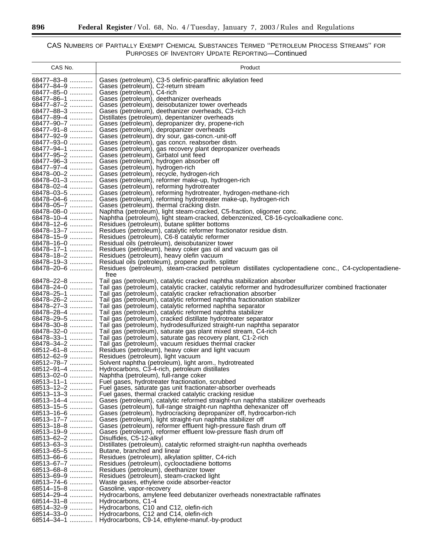٦

| CAS No.                  | Product                                                                                                                                               |
|--------------------------|-------------------------------------------------------------------------------------------------------------------------------------------------------|
| 68477-83-8               | Gases (petroleum), C3-5 olefinic-paraffinic alkylation feed                                                                                           |
| 68477-84-9               | Gases (petroleum), C2-return stream                                                                                                                   |
| 68477-85-0               | Gases (petroleum), C4-rich                                                                                                                            |
| 68477-86-1               | Gases (petroleum), deethanizer overheads                                                                                                              |
| 68477-87-2<br>68477-88-3 | Gases (petroleum), deisobutanizer tower overheads<br>Gases (petroleum), deethanizer overheads, C3-rich                                                |
| 68477-89-4               | Distillates (petroleum), depentanizer overheads                                                                                                       |
| 68477-90-7               | Gases (petroleum), depropanizer dry, propene-rich                                                                                                     |
| 68477-91-8               | Gases (petroleum), depropanizer overheads                                                                                                             |
| 68477-92-9<br>68477-93-0 | Gases (petroleum), dry sour, gas-concn.-unit-off<br>Gases (petroleum), gas concn. reabsorber distn.                                                   |
| 68477-94-1               | Gases (petroleum), gas recovery plant depropanizer overheads                                                                                          |
| 68477-95-2               | Gases (petroleum), Girbatol unit feed                                                                                                                 |
| 68477-96-3               | Gases (petroleum), hydrogen absorber off                                                                                                              |
| 68477-97-4<br>68478-00-2 | Gases (petroleum), hydrogen-rich                                                                                                                      |
| 68478-01-3               | Gases (petroleum), recycle, hydrogen-rich<br>Gases (petroleum), reformer make-up, hydrogen-rich                                                       |
| 68478-02-4               | Gases (petroleum), reforming hydrotreater                                                                                                             |
| 68478-03-5               | Gases (petroleum), reforming hydrotreater, hydrogen-methane-rich                                                                                      |
| 68478-04-6               | Gases (petroleum), reforming hydrotreater make-up, hydrogen-rich                                                                                      |
| 68478-05-7<br>68478-08-0 | Gases (petroleum), thermal cracking distn.<br>Naphtha (petroleum), light steam-cracked, C5-fraction, oligomer conc.                                   |
| 68478-10-4               | Naphtha (petroleum), light steam-cracked, debenzenized, C8-16-cycloalkadiene conc.                                                                    |
| 68478-12-6               | Residues (petroleum), butane splitter bottoms                                                                                                         |
| 68478-13-7               | Residues (petroleum), catalytic reformer fractionator residue distn.                                                                                  |
| 68478-15-9               | Residues (petroleum), C6-8 catalytic reformer                                                                                                         |
| 68478-16-0<br>68478-17-1 | Residual oils (petroleum), deisobutanizer tower<br>Residues (petroleum), heavy coker gas oil and vacuum gas oil                                       |
| 68478-18-2               | Residues (petroleum), heavy olefin vacuum                                                                                                             |
| 68478-19-3               | Residual oils (petroleum), propene purifn. splitter                                                                                                   |
| 68478-20-6               | Residues (petroleum), steam-cracked petroleum distillates cyclopentadiene conc., C4-cyclopentadiene-                                                  |
| 68478-22-8               | free<br>Tail gas (petroleum), catalytic cracked naphtha stabilization absorber                                                                        |
| 68478-24-0               | Tail gas (petroleum), catalytic cracker, catalytic reformer and hydrodesulfurizer combined fractionater                                               |
| 68478-25-1               | Tail gas (petroleum), catalytic cracker refractionation absorber                                                                                      |
| 68478-26-2<br>68478-27-3 | Tail gas (petroleum), catalytic reformed naphtha fractionation stabilizer                                                                             |
| 68478-28-4               | Tail gas (petroleum), catalytic reformed naphtha separator<br>Tail gas (petroleum), catalytic reformed naphtha stabilizer                             |
| 68478-29-5               | Tail gas (petroleum), cracked distillate hydrotreater separator                                                                                       |
| 68478-30-8               | Tail gas (petroleum), hydrodesulfurized straight-run naphtha separator                                                                                |
| 68478-32-0               | Tail gas (petroleum), saturate gas plant mixed stream, C4-rich                                                                                        |
| 68478-33-1<br>68478-34-2 | Tail gas (petroleum), saturate gas recovery plant, C1-2-rich<br>Tail gas (petroleum), vacuum residues thermal cracker                                 |
| 68512-61-8               | Residues (petroleum), heavy coker and light vacuum                                                                                                    |
| 68512-62-9               | Residues (petroleum), light vacuum                                                                                                                    |
| 68512-78-7               | Solvent naphtha (petroleum), light arom., hydrotreated                                                                                                |
| 68512-91-4<br>68513-02-0 | Hydrocarbons, C3-4-rich, petroleum distillates<br>Naphtha (petroleum), full-range coker                                                               |
| 68513-11-1               | Fuel gases, hydrotreater fractionation, scrubbed                                                                                                      |
| 68513-12-2               | Fuel gases, saturate gas unit fractionater-absorber overheads                                                                                         |
| 68513-13-3               | Fuel gases, thermal cracked catalytic cracking residue                                                                                                |
| 68513-14-4<br>68513-15-5 | Gases (petroleum), catalytic reformed straight-run naphtha stabilizer overheads<br>Gases (petroleum), full-range straight-run naphtha dehexanizer off |
| 68513-16-6               | Gases (petroleum), hydrocracking depropanizer off, hydrocarbon-rich                                                                                   |
| 68513-17-7               | Gases (petroleum), light straight-run naphtha stabilizer off                                                                                          |
| 68513-18-8               | Gases (petroleum), reformer effluent high-pressure flash drum off                                                                                     |
| 68513-19-9<br>68513-62-2 | Gases (petroleum), reformer effluent low-pressure flash drum off                                                                                      |
| 68513-63-3               | Disulfides, C5-12-alkyl<br>Distillates (petroleum), catalytic reformed straight-run naphtha overheads                                                 |
| 68513-65-5               | Butane, branched and linear                                                                                                                           |
| 68513–66–6               | Residues (petroleum), alkylation splitter, C4-rich                                                                                                    |
| 68513-67-7               | Residues (petroleum), cyclooctadiene bottoms                                                                                                          |
| 68513-68-8<br>68513-69-9 | Residues (petroleum), deethanizer tower<br>Residues (petroleum), steam-cracked light                                                                  |
| 68513-74-6               | Waste gases, ethylene oxide absorber-reactor                                                                                                          |
| 68514–15–8               | Gasoline, vapor-recovery                                                                                                                              |
| 68514-29-4               | Hydrocarbons, amylene feed debutanizer overheads nonextractable raffinates                                                                            |
| 68514-31-8<br>68514-32-9 | Hydrocarbons, C1-4<br>Hydrocarbons, C10 and C12, olefin-rich                                                                                          |
| 68514-33-0               | Hydrocarbons, C12 and C14, olefin-rich                                                                                                                |
| $68514 - 34 - 1$         | Hydrocarbons, C9-14, ethylene-manuf.-by-product                                                                                                       |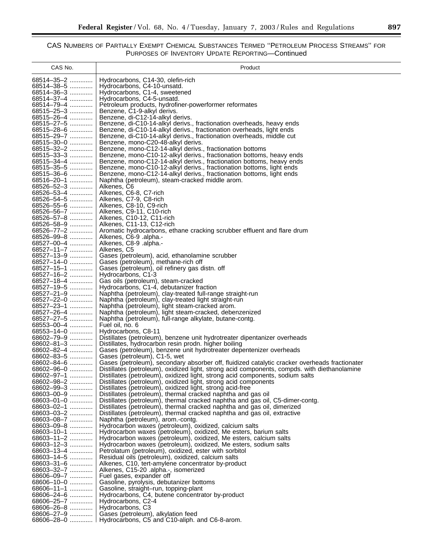| CAS No.                        | Product                                                                                                                                                                                       |
|--------------------------------|-----------------------------------------------------------------------------------------------------------------------------------------------------------------------------------------------|
| 68514-35-2                     | Hydrocarbons, C14-30, olefin-rich                                                                                                                                                             |
| 68514-38-5                     | Hydrocarbons, C4-10-unsatd.                                                                                                                                                                   |
| 68514-36-3<br>68514-37-4       | Hydrocarbons, C1-4, sweetened<br>Hydrocarbons, C4-5-unsatd.                                                                                                                                   |
| 68514–79–4                     | Petroleum products, hydrofiner-powerformer reformates                                                                                                                                         |
| 68515-25-3                     | Benzene, C1-9-alkyl derivs.                                                                                                                                                                   |
| 68515-26-4<br>68515-27-5       | Benzene, di-C12-14-alkyl derivs.<br>Benzene, di-C10-14-alkyl derivs., fractionation overheads, heavy ends                                                                                     |
| 68515-28-6                     | Benzene, di-C10-14-alkyl derivs., fractionation overheads, light ends                                                                                                                         |
| 68515-29-7                     | Benzene, di-C10-14-alkyl derivs., fractionation overheads, middle cut                                                                                                                         |
| 68515-30-0<br>68515-32-2       | Benzene, mono-C20-48-alkyl derivs.<br>Benzene, mono-C12-14-alkyl derivs., fractionation bottoms                                                                                               |
| 68515-33-3                     | Benzene, mono-C10-12-alkyl derivs., fractionation bottoms, heavy ends                                                                                                                         |
| 68515-34-4                     | Benzene, mono-C12-14-alkyl derivs., fractionation bottoms, heavy ends                                                                                                                         |
| 68515-35-5<br>68515-36-6       | Benzene, mono-C10-12-alkyl derivs., fractionation bottoms, light ends<br>Benzene, mono-C12-14-alkyl derivs., fractionation bottoms, light ends                                                |
| 68516-20-1                     | Naphtha (petroleum), steam-cracked middle arom.                                                                                                                                               |
| 68526-52-3                     | Alkenes, C6                                                                                                                                                                                   |
| 68526-53-4<br>68526-54-5       | Alkenes, C6-8, C7-rich<br>Alkenes, C7-9, C8-rich                                                                                                                                              |
| 68526-55-6                     | Alkenes, C8-10, C9-rich                                                                                                                                                                       |
| 68526-56-7                     | Alkenes, C9-11, C10-rich                                                                                                                                                                      |
| 68526-57-8<br>68526-58-9       | Alkenes, C10-12, C11-rich<br>Alkenes, C11-13, C12-rich                                                                                                                                        |
| 68526-77-2                     | Aromatic hydrocarbons, ethane cracking scrubber effluent and flare drum                                                                                                                       |
| 68526-99-8                     | Alkenes, C6-9 .alpha.-                                                                                                                                                                        |
| 68527-00-4<br>68527-11-7       | Alkenes, C8-9 .alpha.-<br>Alkenes, C5                                                                                                                                                         |
| 68527-13-9                     | Gases (petroleum), acid, ethanolamine scrubber                                                                                                                                                |
| 68527-14-0                     | Gases (petroleum), methane-rich off                                                                                                                                                           |
| 68527-15-1<br>68527-16-2       | Gases (petroleum), oil refinery gas distn. off<br>Hydrocarbons, C1-3                                                                                                                          |
| 68527-18-4                     | Gas oils (petroleum), steam-cracked                                                                                                                                                           |
| 68527-19-5                     | Hydrocarbons, C1-4, debutanizer fraction                                                                                                                                                      |
| 68527-21-9<br>68527-22-0       | Naphtha (petroleum), clay-treated full-range straight-run<br>Naphtha (petroleum), clay-treated light straight-run                                                                             |
| 68527-23-1                     | Naphtha (petroleum), light steam-cracked arom.                                                                                                                                                |
| 68527-26-4                     | Naphtha (petroleum), light steam-cracked, debenzenized                                                                                                                                        |
| 68527-27-5<br>68553-00-4       | Naphtha (petroleum), full-range alkylate, butane-contg.<br>Fuel oil, no. 6                                                                                                                    |
| 68553-14-0                     | Hydrocarbons, C8-11                                                                                                                                                                           |
| 68602-79-9<br>68602-81-3       | Distillates (petroleum), benzene unit hydrotreater dipentanizer overheads                                                                                                                     |
| 68602-82-4                     | Distillates, hydrocarbon resin prodn. higher boiling<br>Gases (petroleum), benzene unit hydrotreater depentenizer overheads                                                                   |
| 68602-83-5                     | Gases (petroleum), C1-5, wet                                                                                                                                                                  |
| 68602-84-6<br>68602-96-0       | Gases (petroleum), secondary absorber off, fluidized catalytic cracker overheads fractionater<br>Distillates (petroleum), oxidized light, strong acid components, compds, with diethanolamine |
| 68602-97-1                     | Distillates (petroleum), oxidized light, strong acid components, sodium salts                                                                                                                 |
| 68602-98-2                     | Distillates (petroleum), oxidized light, strong acid components                                                                                                                               |
| 68602-99-3<br>68603-00-9       | Distillates (petroleum), oxidized light, strong acid-free<br>Distillates (petroleum), thermal cracked naphtha and gas oil                                                                     |
| 68603-01-0                     | Distillates (petroleum), thermal cracked naphtha and gas oil, C5-dimer-contg.                                                                                                                 |
| 68603-02-1                     | Distillates (petroleum), thermal cracked naphtha and gas oil, dimerized                                                                                                                       |
| 68603-03-2<br>68603-08-7       | Distillates (petroleum), thermal cracked naphtha and gas oil, extractive<br>Naphtha (petroleum), arom.-contg.                                                                                 |
| 68603-09-8                     | Hydrocarbon waxes (petroleum), oxidized, calcium salts                                                                                                                                        |
| 68603-10-1                     | Hydrocarbon waxes (petroleum), oxidized, Me esters, barium salts                                                                                                                              |
| 68603-11-2<br>68603-12-3       | Hydrocarbon waxes (petroleum), oxidized, Me esters, calcium salts<br>Hydrocarbon waxes (petroleum), oxidized, Me esters, sodium salts                                                         |
| 68603-13-4                     | Petrolatum (petroleum), oxidized, ester with sorbitol                                                                                                                                         |
| 68603-14-5                     | Residual oils (petroleum), oxidized, calcium salts                                                                                                                                            |
| $68603 - 31 - 6$<br>68603-32-7 | Alkenes, C10, tert-amylene concentrator by-product<br>Alkenes, C15-20 .alpha.-, isomerized                                                                                                    |
| 68606-09-7                     | Fuel gases, expander off                                                                                                                                                                      |
| 68606-10-0                     | Gasoline, pyrolysis, debutanizer bottoms                                                                                                                                                      |
| $68606 - 11 - 1$<br>68606-24-6 | Gasoline, straight-run, topping-plant<br>Hydrocarbons, C4, butene concentrator by-product                                                                                                     |
| $68606 - 25 - 7$               | Hydrocarbons, C2-4                                                                                                                                                                            |
| 68606-26-8                     | Hydrocarbons, C3                                                                                                                                                                              |
| 68606-27-9<br>68606-28-0       | Gases (petroleum), alkylation feed<br>Hydrocarbons, C5 and C10-aliph. and C6-8-arom.                                                                                                          |
|                                |                                                                                                                                                                                               |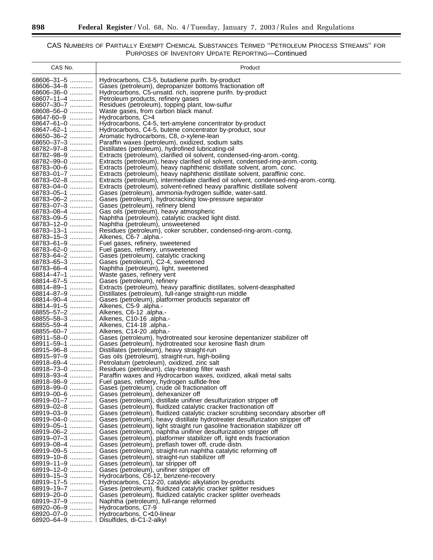$\equiv$ 

| CAS No.                        | Product                                                                                                                                                            |
|--------------------------------|--------------------------------------------------------------------------------------------------------------------------------------------------------------------|
| 68606-31-5                     | Hydrocarbons, C3-5, butadiene purifn. by-product                                                                                                                   |
| 68606-34-8                     | Gases (petroleum), depropanizer bottoms fractionation off                                                                                                          |
| 68606-36-0                     | Hydrocarbons, C5-unsatd. rich, isoprene purifn. by-product                                                                                                         |
| 68607-11-4                     | Petroleum products, refinery gases                                                                                                                                 |
| 68607-30-7                     | Residues (petroleum), topping plant, low-sulfur                                                                                                                    |
| $68608 - 56 - 0$               | Waste gases, from carbon black manuf.                                                                                                                              |
| 68647-60-9                     | Hydrocarbons, C>4                                                                                                                                                  |
| 68647-61-0<br>68647-62-1       | Hydrocarbons, C4-5, tert-amylene concentrator by-product<br>Hydrocarbons, C4-5, butene concentrator by-product, sour                                               |
| 68650-36-2                     | Aromatic hydrocarbons, C8, o-xylene-lean                                                                                                                           |
| 68650-37-3                     | Paraffin waxes (petroleum), oxidized, sodium salts                                                                                                                 |
| 68782-97-8                     | Distillates (petroleum), hydrofined lubricating-oil                                                                                                                |
| 68782-98-9                     | Extracts (petroleum), clarified oil solvent, condensed-ring-arom.-contg.                                                                                           |
| 68782-99-0                     | Extracts (petroleum), heavy clarified oil solvent, condensed-ring-arom.-contg.                                                                                     |
| 68783-00-6                     | Extracts (petroleum), heavy naphthenic distillate solvent, arom. conc.                                                                                             |
| 68783-01-7                     | Extracts (petroleum), heavy naphthenic distillate solvent, paraffinic conc.                                                                                        |
| 68783-02-8<br>68783-04-0       | Extracts (petroleum), intermediate clarified oil solvent, condensed-ring-arom.-contg.<br>Extracts (petroleum), solvent-refined heavy paraffinic distillate solvent |
| 68783-05-1                     | Gases (petroleum), ammonia-hydrogen sulfide, water-satd.                                                                                                           |
| 68783-06-2                     | Gases (petroleum), hydrocracking low-pressure separator                                                                                                            |
| 68783-07-3                     | Gases (petroleum), refinery blend                                                                                                                                  |
| 68783-08-4                     | Gas oils (petroleum), heavy atmospheric                                                                                                                            |
| 68783-09-5                     | Naphtha (petroleum), catalytic cracked light distd.                                                                                                                |
| 68783-12-0                     | Naphtha (petroleum), unsweetened                                                                                                                                   |
| 68783-13-1<br>68783-15-3       | Residues (petroleum), coker scrubber, condensed-ring-arom.-contg.                                                                                                  |
| 68783-61-9                     | Alkenes, C6-7 .alpha.-<br>Fuel gases, refinery, sweetened                                                                                                          |
| 68783-62-0                     | Fuel gases, refinery, unsweetened                                                                                                                                  |
| 68783-64-2                     | Gases (petroleum), catalytic cracking                                                                                                                              |
| 68783-65-3                     | Gases (petroleum), C2-4, sweetened                                                                                                                                 |
| 68783-66-4                     | Naphtha (petroleum), light, sweetened                                                                                                                              |
| 68814-47-1                     | Waste gases, refinery vent                                                                                                                                         |
| 68814-67-5<br>68814-89-1       | Gases (petroleum), refinery                                                                                                                                        |
| 68814-87-9                     | Extracts (petroleum), heavy paraffinic distillates, solvent-deasphalted<br>Distillates (petroleum), full-range straight-run middle                                 |
| 68814-90-4                     | Gases (petroleum), platformer products separator off                                                                                                               |
| 68814-91-5                     | Alkenes, C5-9 .alpha.-                                                                                                                                             |
| 68855-57-2                     | -.Alkenes, C6-12.alpha.                                                                                                                                            |
| 68855-58-3                     | Alkenes, C10-16 .alpha.-                                                                                                                                           |
| 68855-59-4                     | Alkenes, C14-18 .alpha.-                                                                                                                                           |
| 68855-60-7<br>68911-58-0       | Alkenes, C14-20 .alpha.-                                                                                                                                           |
| 68911-59-1                     | Gases (petroleum), hydrotreated sour kerosine depentanizer stabilizer off<br>Gases (petroleum), hydrotreated sour kerosine flash drum                              |
| 68915-96-8                     | Distillates (petroleum), heavy straight-run                                                                                                                        |
| 68915-97-9                     | Gas oils (petroleum), straight-run, high-boiling                                                                                                                   |
| 68918-69-4                     | Petrolatum (petroleum), oxidized, zinc salt                                                                                                                        |
| 68918-73-0                     | Residues (petroleum), clay-treating filter wash                                                                                                                    |
| $68918 - 93 - 4$               | Paraffin waxes and Hydrocarbon waxes, oxidized, alkali metal salts                                                                                                 |
| $68918 - 98 - 9$<br>68918-99-0 | Fuel gases, refinery, hydrogen sulfide-free                                                                                                                        |
| $68919 - 00 - 6$               | Gases (petroleum), crude oil fractionation off<br>Gases (petroleum), dehexanizer off                                                                               |
| 68919-01-7                     | Gases (petroleum), distillate unifiner desulfurization stripper off                                                                                                |
| 68919-02-8                     | Gases (petroleum), fluidized catalytic cracker fractionation off                                                                                                   |
| 68919-03-9                     | Gases (petroleum), fluidized catalytic cracker scrubbing secondary absorber off                                                                                    |
| 68919-04-0                     | Gases (petroleum), heavy distillate hydrotreater desulfurization stripper off                                                                                      |
| 68919-05-1                     | Gases (petroleum), light straight run gasoline fractionation stabilizer off                                                                                        |
| $68919 - 06 - 2$<br>68919-07-3 | Gases (petroleum), naphtha unifiner desulfurization stripper off<br>Gases (petroleum), platformer stabilizer off, light ends fractionation                         |
| 68919-08-4                     | Gases (petroleum), preflash tower off, crude distn.                                                                                                                |
| 68919-09-5                     | Gases (petroleum), straight-run naphtha catalytic reforming off                                                                                                    |
| $68919 - 10 - 8$               | Gases (petroleum), straight-run stabilizer off                                                                                                                     |
| 68919-11-9                     | Gases (petroleum), tar stripper off                                                                                                                                |
| 68919-12-0                     | Gases (petroleum), unifiner stripper off                                                                                                                           |
| 68919-15-3                     | Hydrocarbons, C6-12, benzene-recovery                                                                                                                              |
| 68919-17-5<br>68919-19-7       | Hydrocarbons, C12-20, catalytic alkylation by-products<br>Gases (petroleum), fluidized catalytic cracker splitter residues                                         |
| 68919-20-0                     | Gases (petroleum), fluidized catalytic cracker splitter overheads                                                                                                  |
| 68919-37-9                     | Naphtha (petroleum), full-range reformed                                                                                                                           |
| $68920 - 06 - 9$               | Hydrocarbons, C7-9                                                                                                                                                 |
| 68920-07-0                     | Hydrocarbons, C<10-linear                                                                                                                                          |
|                                | 68920-64-9    Disulfides, di-C1-2-alkyl                                                                                                                            |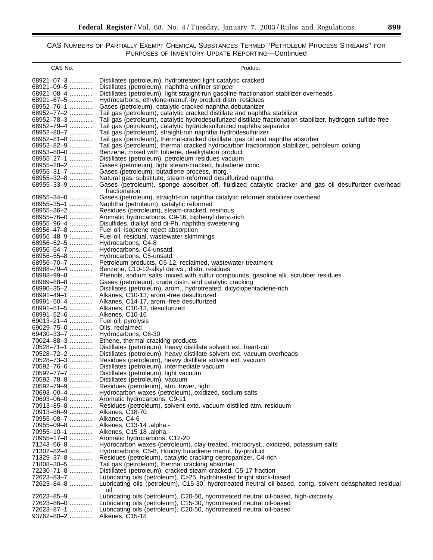| CAS No.                        | Product                                                                                                                  |
|--------------------------------|--------------------------------------------------------------------------------------------------------------------------|
| 68921-07-3                     | Distillates (petroleum), hydrotreated light catalytic cracked                                                            |
| $68921 - 09 - 5$               | Distillates (petroleum), naphtha unifiner stripper                                                                       |
| 68921-08-4                     | Distillates (petroleum), light straight-run gasoline fractionation stabilizer overheads                                  |
| $68921 - 67 - 5$               | Hydrocarbons, ethylene-manuf.-by-product distn. residues                                                                 |
| 68952-76-1                     | Gases (petroleum), catalytic cracked naphtha debutanizer                                                                 |
| 68952-77-2                     | Tail gas (petroleum), catalytic cracked distillate and naphtha stabilizer                                                |
| 68952-78-3                     | Tail gas (petroleum), catalytic hydrodesulfurized distillate fractionation stabilizer, hydrogen sulfide-free             |
| 68952-79-4                     | Tail gas (petroleum), catalytic hydrodesulfurized naphtha separator                                                      |
| 68952-80-7                     | Tail gas (petroleum), straight-run naphtha hydrodesulfurizer                                                             |
| 68952-81-8                     | Tail gas (petroleum), thermal-cracked distillate, gas oil and naphtha absorber                                           |
| 68952-82-9<br>68953-80-0       | Tail gas (petroleum), thermal cracked hydrocarbon fractionation stabilizer, petroleum coking                             |
| 68955-27-1                     | Benzene, mixed with toluene, dealkylation product<br>Distillates (petroleum), petroleum residues vacuum                  |
| 68955-28-2                     | Gases (petroleum), light steam-cracked, butadiene conc.                                                                  |
| 68955-31-7                     | Gases (petroleum), butadiene process, inorg.                                                                             |
| 68955-32-8                     | Natural gas, substitute, steam-reformed desulfurized naphtha                                                             |
| 68955-33-9                     | Gases (petroleum), sponge absorber off, fluidized catalytic cracker and gas oil desulfurizer overhead                    |
|                                | fractionation                                                                                                            |
| 68955-34-0                     | Gases (petroleum), straight-run naphtha catalytic reformer stabilizer overhead                                           |
| 68955-35-1                     | Naphtha (petroleum), catalytic reformed                                                                                  |
| 68955-36-2                     | Residues (petroleum), steam-cracked, resinous                                                                            |
| 68955-76-0                     | Aromatic hydrocarbons, C9-16, biphenyl deriv.-rich                                                                       |
| 68955-96-4                     | Disulfides, dialkyl and di-Ph, naphtha sweetening                                                                        |
| 68956-47-8<br>$68956 - 48 - 9$ | Fuel oil, isoprene reject absorption                                                                                     |
| 68956-52-5                     | Fuel oil, residual, wastewater skimmings<br>Hydrocarbons, C4-8                                                           |
| 68956-54-7                     | Hydrocarbons, C4-unsatd.                                                                                                 |
| 68956-55-8                     | Hydrocarbons, C5-unsatd.                                                                                                 |
| 68956-70-7                     | Petroleum products, C5-12, reclaimed, wastewater treatment                                                               |
| 68988-79-4                     | Benzene, C10-12-alkyl derivs., distn. residues                                                                           |
| 68988-99-8                     | Phenols, sodium salts, mixed with sulfur compounds, gasoline alk. scrubber residues                                      |
| $68989 - 88 - 8$               | Gases (petroleum), crude distn. and catalytic cracking                                                                   |
| 68990-35-2                     | Distillates (petroleum), arom., hydrotreated, dicyclopentadiene-rich                                                     |
| 68991-49-1                     | Alkanes, C10-13, arom.-free desulfurized                                                                                 |
| 68991-50-4                     | Alkanes, C14-17, arom.-free desulfurized                                                                                 |
| 68991-51-5<br>68991-52-6       | Alkanes, C10-13, desulfurized<br>Alkenes, C10-16                                                                         |
| $69013 - 21 - 4$               | Fuel oil, pyrolysis                                                                                                      |
| 69029-75-0                     | Oils, reclaimed                                                                                                          |
| 69430-33-7                     | Hydrocarbons, C6-30                                                                                                      |
| 70024-88-3                     | Ethene, thermal cracking products                                                                                        |
| 70528-71-1                     | Distillates (petroleum), heavy distillate solvent ext. heart-cut                                                         |
| 70528-72-2                     | Distillates (petroleum), heavy distillate solvent ext. vacuum overheads                                                  |
| 70528-73-3                     | Residues (petroleum), heavy distillate solvent ext. vacuum                                                               |
| 70592-76-6                     | Distillates (petroleum), intermediate vacuum                                                                             |
| 70592-77-7                     | Distillates (petroleum), light vacuum                                                                                    |
| 70592-78-8                     | Distillates (petroleum), vacuum                                                                                          |
| 70592-79-9<br>70693-00-4       | Residues (petroleum), atm. tower, light<br>Hydrocarbon waxes (petroleum), oxidized, sodium salts                         |
| 70693-06-0                     | Aromatic hydrocarbons, C9-11                                                                                             |
| 70913-85-8                     | Residues (petroleum), solvent-extd. vacuum distilled atm. residuum                                                       |
| 70913-86-9                     | Alkanes, C18-70                                                                                                          |
| 70955-08-7                     | Alkanes, C4-6                                                                                                            |
| 70955-09-8                     | Alkenes, C13-14 .alpha.-                                                                                                 |
| 70955-10-1                     | Alkenes, C15-18 .alpha.-                                                                                                 |
| 70955-17-8                     | Aromatic hydrocarbons, C12-20                                                                                            |
| 71243-66-8                     | Hydrocarbon waxes (petroleum), clay-treated, microcryst., oxidized, potassium salts                                      |
| 71302-82-4<br>71329-37-8       | Hydrocarbons, C5-8, Houdry butadiene manuf. by-product<br>Residues (petroleum), catalytic cracking depropanizer, C4-rich |
| 71808-30-5                     | Tail gas (petroleum), thermal cracking absorber                                                                          |
| 72230-71-8                     | Distillates (petroleum), cracked steam-cracked, C5-17 fraction                                                           |
| 72623–83–7                     | Lubricating oils (petroleum), C>25, hydrotreated bright stock-based                                                      |
| 72623-84-8                     | Lubricating oils (petroleum), C15-30, hydrotreated neutral oil-based, contg. solvent deasphalted residual                |
|                                | oil                                                                                                                      |
| 72623-85-9                     | Lubricating oils (petroleum), C20-50, hydrotreated neutral oil-based, high-viscosity                                     |
| 72623-86-0                     | Lubricating oils (petroleum), C15-30, hydrotreated neutral oil-based                                                     |
| 72623-87-1                     | Lubricating oils (petroleum), C20-50, hydrotreated neutral oil-based                                                     |
| $93762 - 80 - 2$               | Alkenes, C15-18                                                                                                          |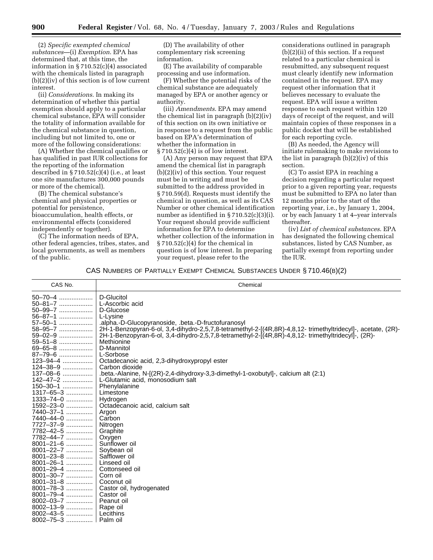(2) *Specific exempted chemical substances*—(i) *Exemption*. EPA has determined that, at this time, the information in § 710.52(c)(4) associated with the chemicals listed in paragraph (b)(2)(iv) of this section is of low current interest.

(ii) *Considerations*. In making its determination of whether this partial exemption should apply to a particular chemical substance, EPA will consider the totality of information available for the chemical substance in question, including but not limited to, one or more of the following considerations:

(A) Whether the chemical qualifies or has qualified in past IUR collections for the reporting of the information described in § 710.52(c)(4) (i.e., at least one site manufactures 300,000 pounds or more of the chemical).

(B) The chemical substance's chemical and physical properties or potential for persistence, bioaccumulation, health effects, or environmental effects (considered independently or together).

(C) The information needs of EPA, other federal agencies, tribes, states, and local governments, as well as members of the public.

(D) The availability of other complementary risk screening information.

(E) The availability of comparable processing and use information.

(F) Whether the potential risks of the chemical substance are adequately managed by EPA or another agency or authority.

(iii) *Amendments*. EPA may amend the chemical list in paragraph (b)(2)(iv) of this section on its own initiative or in response to a request from the public based on EPA's determination of whether the information in  $\S 710.52(c)(4)$  is of low interest.

(A) Any person may request that EPA amend the chemical list in paragraph (b)(2)(iv) of this section. Your request must be in writing and must be submitted to the address provided in § 710.59(d). Requests must identify the chemical in question, as well as its CAS Number or other chemical identification number as identified in § 710.52(c)(3)(i). Your request should provide sufficient information for EPA to determine whether collection of the information in § 710.52(c)(4) for the chemical in question is of low interest. In preparing your request, please refer to the

considerations outlined in paragraph (b)(2)(ii) of this section. If a request related to a particular chemical is resubmitted, any subsequent request must clearly identify new information contained in the request. EPA may request other information that it believes necessary to evaluate the request. EPA will issue a written response to each request within 120 days of receipt of the request, and will maintain copies of these responses in a public docket that will be established for each reporting cycle.

(B) As needed, the Agency will initiate rulemaking to make revisions to the list in paragraph (b)(2)(iv) of this section.

(C) To assist EPA in reaching a decision regarding a particular request prior to a given reporting year, requests must be submitted to EPA no later than 12 months prior to the start of the reporting year, i.e., by January 1, 2004, or by each January 1 at 4–year intervals thereafter.

(iv) *List of chemical substances*. EPA has designated the following chemical substances, listed by CAS Number, as partially exempt from reporting under the IUR.

#### CAS NUMBERS OF PARTIALLY EXEMPT CHEMICAL SUBSTANCES UNDER § 710.46(B)(2)

| CAS No.         | Chemical                                                                                                     |
|-----------------|--------------------------------------------------------------------------------------------------------------|
| 50-70-4         | D-Glucitol                                                                                                   |
| $50 - 81 - 7$   | L-Ascorbic acid                                                                                              |
| $50 - 99 - 7$   | D-Glucose                                                                                                    |
| $56 - 87 - 1$   | L-Lysine                                                                                                     |
| 57-50-1         | .alpha.-D-Glucopyranoside, .beta.-D-fructofuranosyl                                                          |
| 58-95-7         | 2H-1-Benzopyran-6-ol, 3,4-dihydro-2,5,7,8-tetramethyl-2-[(4R,8R)-4,8,12- trimethyltridecyl]-, acetate, (2R)- |
| 59-02-9         | 2H-1-Benzopyran-6-ol, 3,4-dihydro-2,5,7,8-tetramethyl-2-[(4R,8R)-4,8,12-trimethyltridecyl]-, (2R)-           |
| 59-51-8         | Methionine                                                                                                   |
| 69-65-8         | D-Mannitol                                                                                                   |
| 87-79-6         | L-Sorbose                                                                                                    |
| 123-94-4        | Octadecanoic acid, 2,3-dihydroxypropyl ester                                                                 |
| 124-38-9        | Carbon dioxide                                                                                               |
| $137 - 08 - 6$  | .beta.-Alanine, N- $(2R)$ -2,4-dihydroxy-3,3-dimethyl-1-oxobutyl]-, calcium alt $(2:1)$                      |
| 142-47-2        | L-Glutamic acid, monosodium salt                                                                             |
| $150 - 30 - 1$  | Phenylalanine                                                                                                |
| 1317-65-3       | Limestone                                                                                                    |
| $1333 - 74 - 0$ | Hydrogen                                                                                                     |
| 1592-23-0       | Octadecanoic acid, calcium salt                                                                              |
| 7440-37-1       | Argon                                                                                                        |
| 7440-44-0       | Carbon                                                                                                       |
| 7727-37-9       | Nitrogen                                                                                                     |
| 7782-42-5       | Graphite                                                                                                     |
| 7782-44-7       | Oxygen                                                                                                       |
| $8001 - 21 - 6$ | Sunflower oil                                                                                                |
| 8001-22-7       | Soybean oil                                                                                                  |
| 8001-23-8       | Safflower oil                                                                                                |
| $8001 - 26 - 1$ | Linseed oil                                                                                                  |
| $8001 - 29 - 4$ | Cottonseed oil                                                                                               |
| $8001 - 30 - 7$ | Corn oil                                                                                                     |
| $8001 - 31 - 8$ | Coconut oil                                                                                                  |
| $8001 - 78 - 3$ | Castor oil, hydrogenated                                                                                     |
| $8001 - 79 - 4$ | Castor oil                                                                                                   |
| 8002-03-7       | Peanut oil                                                                                                   |
| $8002 - 13 - 9$ | Rape oil                                                                                                     |
| $8002 - 43 - 5$ | Lecithins                                                                                                    |
| $8002 - 75 - 3$ | Palm oil                                                                                                     |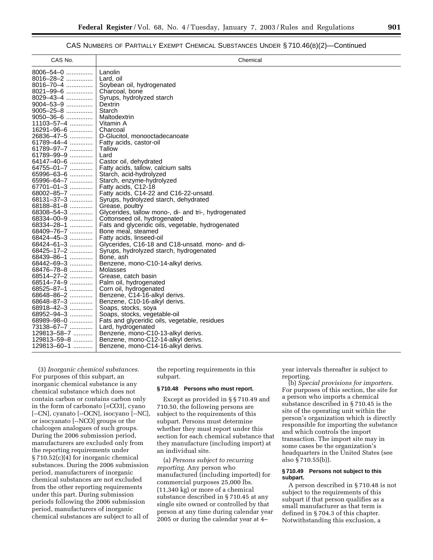#### CAS NUMBERS OF PARTIALLY EXEMPT CHEMICAL SUBSTANCES UNDER § 710.46(B)(2)—Continued

| CAS No.                  | Chemical                                                                |
|--------------------------|-------------------------------------------------------------------------|
| 8006-54-0                | Lanolin                                                                 |
| $8016 - 28 - 2$          | Lard, oil                                                               |
| $8016 - 70 - 4$          | Soybean oil, hydrogenated                                               |
| 8021-99-6                | Charcoal, bone                                                          |
| 8029-43-4                | Syrups, hydrolyzed starch                                               |
| 9004-53-9                | Dextrin                                                                 |
| 9005-25-8                | Starch                                                                  |
| $9050 - 36 - 6$          | Maltodextrin                                                            |
| 11103-57-4               | Vitamin A                                                               |
| 16291-96-6               | Charcoal                                                                |
| 26836–47–5               | D-Glucitol, monooctadecanoate                                           |
| 61789-44-4               | Fatty acids, castor-oil                                                 |
| 61789-97-7               | Tallow                                                                  |
| 61789-99-9               | Lard                                                                    |
| 64147-40-6               | Castor oil, dehydrated                                                  |
| 64755-01-7               | Fatty acids, tallow, calcium salts                                      |
| 65996-63-6               | Starch, acid-hydrolyzed                                                 |
| 65996-64-7               | Starch, enzyme-hydrolyzed                                               |
| 67701-01-3               | Fatty acids, C12-18                                                     |
| $68002 - 85 - 7$         | Fatty acids, C14-22 and C16-22-unsatd.                                  |
| 68131-37-3               | Syrups, hydrolyzed starch, dehydrated                                   |
| 68188-81-8               | Grease, poultry                                                         |
| 68308-54-3               | Glycerides, tallow mono-, di- and tri-, hydrogenated                    |
| 68334-00-9               | Cottonseed oil, hydrogenated                                            |
| 68334-28-1               |                                                                         |
| 68409-76-7               | Fats and glyceridic oils, vegetable, hydrogenated<br>Bone meal, steamed |
| 68424-45-3               | Fatty acids, linseed-oil                                                |
| 68424-61-3               | Glycerides, C16-18 and C18-unsatd. mono- and di-                        |
| 68425-17-2               | Syrups, hydrolyzed starch, hydrogenated                                 |
|                          | Bone, ash                                                               |
| 68439-86-1<br>68442-69-3 |                                                                         |
| 68476-78-8               | Benzene, mono-C10-14-alkyl derivs.<br>Molasses                          |
| 68514-27-2               | Grease, catch basin                                                     |
| 68514-74-9               | Palm oil, hydrogenated                                                  |
|                          |                                                                         |
| 68525-87-1               | Corn oil, hydrogenated                                                  |
| 68648-86-2               | Benzene, C14-16-alkyl derivs.                                           |
| 68648-87-3               | Benzene, C10-16-alkyl derivs.                                           |
| 68918-42-3               | Soaps, stocks, soya                                                     |
| 68952-94-3               | Soaps, stocks, vegetable-oil                                            |
| 68989-98-0               | Fats and glyceridic oils, vegetable, residues                           |
| 73138-67-7               | Lard, hydrogenated                                                      |
| 129813–58–7              | Benzene, mono-C10-13-alkyl derivs.                                      |
| 129813-59-8              | Benzene, mono-C12-14-alkyl derivs.                                      |
| 129813-60-1              | Benzene, mono-C14-16-alkyl derivs.                                      |

(3) *Inorganic chemical substances*. For purposes of this subpart, an inorganic chemical substance is any chemical substance which does not contain carbon or contains carbon only in the form of carbonato [=CO3], cyano [--CN], cyanato [--OCN], isocyano [--NC], or isocyanato [--NCO] groups or the chalcogen analogues of such groups. During the 2006 submission period, manufacturers are excluded only from the reporting requirements under § 710.52(c)(4) for inorganic chemical substances. During the 2006 submission period, manufacturers of inorganic chemical substances are not excluded from the other reporting requirements under this part. During submission periods following the 2006 submission period, manufacturers of inorganic chemical substances are subject to all of

the reporting requirements in this subpart.

#### **§ 710.48 Persons who must report.**

Except as provided in § § 710.49 and 710.50, the following persons are subject to the requirements of this subpart. Persons must determine whether they must report under this section for each chemical substance that they manufacture (including import) at an individual site.

(a) *Persons subject to recurring reporting*. Any person who manufactured (including imported) for commercial purposes 25,000 lbs. (11,340 kg) or more of a chemical substance described in § 710.45 at any single site owned or controlled by that person at any time during calendar year 2005 or during the calendar year at 4–

year intervals thereafter is subject to reporting.

(b) *Special provisions for importers*. For purposes of this section, the site for a person who imports a chemical substance described in § 710.45 is the site of the operating unit within the person's organization which is directly responsible for importing the substance and which controls the import transaction. The import site may in some cases be the organization's headquarters in the United States (see also § 710.55(b)).

#### **§ 710.49 Persons not subject to this subpart.**

A person described in § 710.48 is not subject to the requirements of this subpart if that person qualifies as a small manufacturer as that term is defined in § 704.3 of this chapter. Notwithstanding this exclusion, a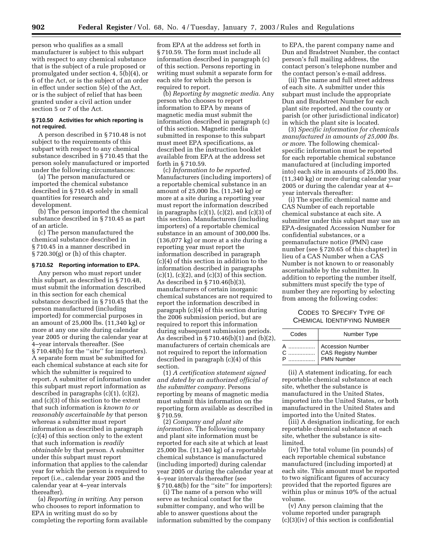person who qualifies as a small manufacturer is subject to this subpart with respect to any chemical substance that is the subject of a rule proposed or promulgated under section 4, 5(b)(4), or 6 of the Act, or is the subject of an order in effect under section 5(e) of the Act, or is the subject of relief that has been granted under a civil action under section 5 or 7 of the Act.

#### **§ 710.50 Activities for which reporting is not required.**

A person described in § 710.48 is not subject to the requirements of this subpart with respect to any chemical substance described in § 710.45 that the person solely manufactured or imported under the following circumstances:

(a) The person manufactured or imported the chemical substance described in § 710.45 solely in small quantities for research and development.

(b) The person imported the chemical substance described in § 710.45 as part of an article.

(c) The person manufactured the chemical substance described in § 710.45 in a manner described in  $\S 720.30(g)$  or (h) of this chapter.

#### **§ 710.52 Reporting information to EPA.**

Any person who must report under this subpart, as described in § 710.48, must submit the information described in this section for each chemical substance described in § 710.45 that the person manufactured (including imported) for commercial purposes in an amount of 25,000 lbs. (11,340 kg) or more at any one site during calendar year 2005 or during the calendar year at 4–year intervals thereafter. (See § 710.48(b) for the ''site'' for importers). A separate form must be submitted for each chemical substance at each site for which the submitter is required to report. A submitter of information under this subpart must report information as described in paragraphs (c)(1), (c)(2), and (c)(3) of this section to the extent that such information is *known to or reasonably ascertainable by* that person whereas a submitter must report information as described in paragraph (c)(4) of this section only to the extent that such information is *readily obtainable* by that person. A submitter under this subpart must report information that applies to the calendar year for which the person is required to report (i.e., calendar year 2005 and the calendar year at 4–year intervals thereafter).

(a) *Reporting in writing*. Any person who chooses to report information to EPA in writing must do so by completing the reporting form available

from EPA at the address set forth in § 710.59. The form must include all information described in paragraph (c) of this section. Persons reporting in writing must submit a separate form for each site for which the person is required to report.

(b) *Reporting by magnetic media*. Any person who chooses to report information to EPA by means of magnetic media must submit the information described in paragraph (c) of this section. Magnetic media submitted in response to this subpart must meet EPA specifications, as described in the instruction booklet available from EPA at the address set forth in § 710.59.

(c) *Information to be reported*. Manufacturers (including importers) of a reportable chemical substance in an amount of 25,000 lbs. (11,340 kg) or more at a site during a reporting year must report the information described in paragraphs  $(c)(1)$ ,  $(c)(2)$ , and  $(c)(3)$  of this section. Manufacturers (including importers) of a reportable chemical substance in an amount of 300,000 lbs. (136,077 kg) or more at a site during a reporting year must report the information described in paragraph (c)(4) of this section in addition to the information described in paragraphs  $(c)(1)$ ,  $(c)(2)$ , and  $(c)(3)$  of this section. As described in § 710.46(b)(3), manufacturers of certain inorganic chemical substances are not required to report the information described in paragraph (c)(4) of this section during the 2006 submission period, but are required to report this information during subsequent submission periods. As described in § 710.46(b)(1) and (b)(2), manufacturers of certain chemicals are not required to report the information described in paragraph (c)(4) of this section.

(1) *A certification statement signed and dated by an authorized official of the submitter company*. Persons reporting by means of magnetic media must submit this information on the reporting form available as described in § 710.59.

(2) *Company and plant site information*. The following company and plant site information must be reported for each site at which at least 25,000 lbs. (11,340 kg) of a reportable chemical substance is manufactured (including imported) during calendar year 2005 or during the calendar year at 4–year intervals thereafter (see § 710.48(b) for the "site" for importers):

(i) The name of a person who will serve as technical contact for the submitter company, and who will be able to answer questions about the information submitted by the company to EPA, the parent company name and Dun and Bradstreet Number, the contact person's full mailing address, the contact person's telephone number and the contact person's e-mail address.

(ii) The name and full street address of each site. A submitter under this subpart must include the appropriate Dun and Bradstreet Number for each plant site reported, and the county or parish (or other jurisdictional indicator) in which the plant site is located.

(3) *Specific information for chemicals manufactured in amounts of 25,000 lbs. or more*. The following chemicalspecific information must be reported for each reportable chemical substance manufactured at (including imported into) each site in amounts of 25,000 lbs. (11,340 kg) or more during calendar year 2005 or during the calendar year at 4– year intervals thereafter:

(i) The specific chemical name and CAS Number of each reportable chemical substance at each site. A submitter under this subpart may use an EPA-designated Accession Number for confidential substances, or a premanufacture notice (PMN) case number (see § 720.65 of this chapter) in lieu of a CAS Number when a CAS Number is not known to or reasonably ascertainable by the submitter. In addition to reporting the number itself, submitters must specify the type of number they are reporting by selecting from among the following codes:

#### CODES TO SPECIFY TYPE OF CHEMICAL IDENTIFYING NUMBER

| Codes | Number Type                                           |
|-------|-------------------------------------------------------|
| C     | Accession Number<br>CAS Registry Number<br>PMN Number |

(ii) A statement indicating, for each reportable chemical substance at each site, whether the substance is manufactured in the United States, imported into the United States, or both manufactured in the United States and imported into the United States.

(iii) A designation indicating, for each reportable chemical substance at each site, whether the substance is sitelimited.

(iv) The total volume (in pounds) of each reportable chemical substance manufactured (including imported) at each site. This amount must be reported to two significant figures of accuracy provided that the reported figures are within plus or minus 10% of the actual volume.

(v) Any person claiming that the volume reported under paragraph (c)(3)(iv) of this section is confidential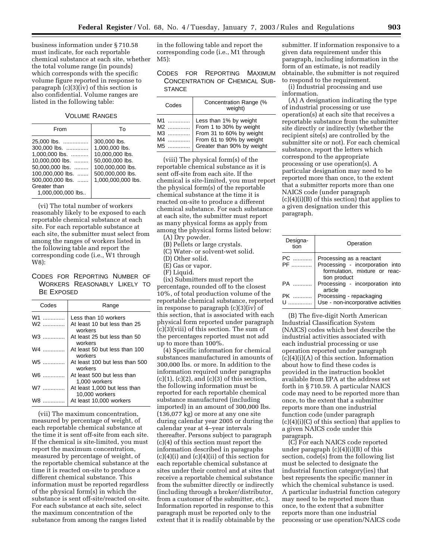business information under § 710.58 must indicate, for each reportable chemical substance at each site, whether the total volume range (in pounds) which corresponds with the specific volume figure reported in response to paragraph (c)(3)(iv) of this section is also confidential. Volume ranges are listed in the following table:

VOLUME RANGES

| From                                                                                                                                                             | Т٥                                                                                                                                 |
|------------------------------------------------------------------------------------------------------------------------------------------------------------------|------------------------------------------------------------------------------------------------------------------------------------|
| 25,000 lbs.<br>300,000 lbs.<br>1,000,000 lbs.<br>10.000,000 lbs.<br>50.000,000 lbs.<br>100.000.000 lbs.<br>500.000.000 lbs.<br>Greater than<br>1.000.000.000 lbs | 300,000 lbs.<br>1.000.000 lbs.<br>10.000.000 lbs.<br>50.000.000 lbs.<br>100,000,000 lbs.<br>500,000,000 lbs.<br>1,000,000,000 lbs. |

(vi) The total number of workers reasonably likely to be exposed to each reportable chemical substance at each site. For each reportable substance at each site, the submitter must select from among the ranges of workers listed in the following table and report the corresponding code (i.e., W1 through W8):

#### CODES FOR REPORTING NUMBER OF WORKERS REASONABLY LIKELY TO BE EXPOSED

| Codes   | Range                                          |
|---------|------------------------------------------------|
| W1<br>. | Less than 10 workers                           |
| W2      | At least 10 but less than 25<br>workers        |
| W3      | At least 25 but less than 50<br>workers        |
| W4      | At least 50 but less than 100<br>workers       |
| W5      | At least 100 but less than 500<br>workers      |
| W6      | At least 500 but less than<br>1,000 workers    |
| W7      | At least 1,000 but less than<br>10,000 workers |
|         | At least 10,000 workers                        |

(vii) The maximum concentration, measured by percentage of weight, of each reportable chemical substance at the time it is sent off-site from each site. If the chemical is site-limited, you must report the maximum concentration, measured by percentage of weight, of the reportable chemical substance at the time it is reacted on-site to produce a different chemical substance. This information must be reported regardless of the physical form(s) in which the substance is sent off-site/reacted on-site. For each substance at each site, select the maximum concentration of the substance from among the ranges listed

in the following table and report the corresponding code (i.e., M1 through M5):

#### CODES FOR REPORTING MAXIMUM CONCENTRATION OF CHEMICAL SUB-**STANCE**

| Codes | Concentration Range (%<br>weight) |
|-------|-----------------------------------|
| M1    | Less than 1% by weight            |
| M2    | From 1 to 30% by weight           |
| M3    | From 31 to 60% by weight          |
| M4    | From 61 to 90% by weight          |
| M5    | Greater than 90% by weight        |

(viii) The physical form(s) of the reportable chemical substance as it is sent off-site from each site. If the chemical is site-limited, you must report the physical form(s) of the reportable chemical substance at the time it is reacted on-site to produce a different chemical substance. For each substance at each site, the submitter must report as many physical forms as apply from among the physical forms listed below:

(A) Dry powder.

- (B) Pellets or large crystals.
- (C) Water- or solvent-wet solid.
- (D) Other solid.
- (E) Gas or vapor.
- (F) Liquid.

(ix) Submitters must report the percentage, rounded off to the closest 10%, of total production volume of the reportable chemical substance, reported in response to paragraph (c)(3)(iv) of this section, that is associated with each physical form reported under paragraph (c)(3)(viii) of this section. The sum of the percentages reported must not add up to more than 100%.

(4) Specific information for chemical substances manufactured in amounts of 300,000 lbs. or more. In addition to the information required under paragraphs  $(c)(1)$ ,  $(c)(2)$ , and  $(c)(3)$  of this section, the following information must be reported for each reportable chemical substance manufactured (including imported) in an amount of 300,000 lbs. (136,077 kg) or more at any one site during calendar year 2005 or during the calendar year at 4–year intervals thereafter. Persons subject to paragraph (c)(4) of this section must report the information described in paragraphs  $(c)(4)(i)$  and  $(c)(4)(ii)$  of this section for each reportable chemical substance at sites under their control and at sites that receive a reportable chemical substance from the submitter directly or indirectly (including through a broker/distributor, from a customer of the submitter, etc.). Information reported in response to this paragraph must be reported only to the extent that it is readily obtainable by the

submitter. If information responsive to a given data requirement under this paragraph, including information in the form of an estimate, is not readily obtainable, the submitter is not required to respond to the requirement.

(i) Industrial processing and use information.

(A) A designation indicating the type of industrial processing or use operation(s) at each site that receives a reportable substance from the submitter site directly or indirectly (whether the recipient site(s) are controlled by the submitter site or not). For each chemical substance, report the letters which correspond to the appropriate processing or use operation(s). A particular designation may need to be reported more than once, to the extent that a submitter reports more than one NAICS code (under paragraph (c)(4)(i)(B) of this section) that applies to a given designation under this paragraph.

| Designa-<br>tion | Operation                                  |
|------------------|--------------------------------------------|
| PC               | Processing as a reactant                   |
| PF               | Processing - incorporation into            |
|                  | formulation, mixture or reac-              |
|                  | tion product                               |
| PA               | Processing - incorporation into<br>article |
| PK …………          | Processing - repackaging                   |
| U<br>.           | Use - non-incorporative activities         |
|                  |                                            |

(B) The five-digit North American Industrial Classification System (NAICS) codes which best describe the industrial activities associated with each industrial processing or use operation reported under paragraph  $(c)(4)(i)(A)$  of this section. Information about how to find these codes is provided in the instruction booklet available from EPA at the address set forth in § 710.59. A particular NAICS code may need to be reported more than once, to the extent that a submitter reports more than one industrial function code (under paragraph (c)(4)(i)(C) of this section) that applies to a given NAICS code under this paragraph.

(C) For each NAICS code reported under paragraph  $(c)(4)(i)(B)$  of this section, code(s) from the following list must be selected to designate the industrial function category(ies) that best represents the specific manner in which the chemical substance is used. A particular industrial function category may need to be reported more than once, to the extent that a submitter reports more than one industrial processing or use operation/NAICS code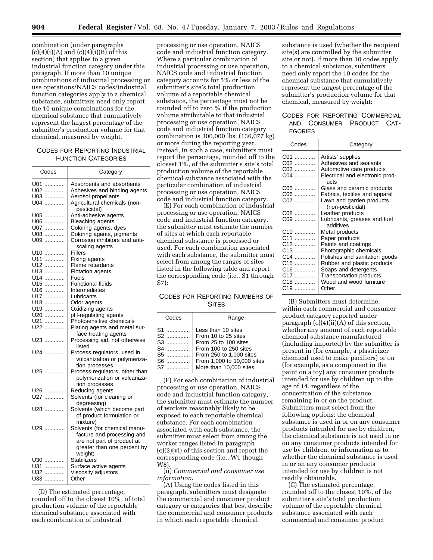combination (under paragraphs  $(c)(4)(i)(A)$  and  $(c)(4)(i)(B)$  of this section) that applies to a given industrial function category under this paragraph. If more than 10 unique combinations of industrial processing or use operations/NAICS codes/industrial function categories apply to a chemical substance, submitters need only report the 10 unique combinations for the chemical substance that cumulatively represent the largest percentage of the submitter's production volume for that chemical, measured by weight.

#### CODES FOR REPORTING INDUSTRIAL FUNCTION CATEGORIES

| Codes      | Category                                                  |
|------------|-----------------------------------------------------------|
| U01<br>U02 | Adsorbents and absorbents<br>Adhesives and binding agents |
| U03        | Aerosol propellants                                       |
| U04        | Agricultural chemicals (non-                              |
|            | pesticidal)                                               |
| U05.<br>   | Anti-adhesive agents                                      |
| U06        | <b>Bleaching agents</b>                                   |
| U07.<br>.  | Coloring agents, dyes                                     |
| U08        | Coloring agents, pigments                                 |
| U09        | Corrosion inhibitors and anti-                            |
|            | scaling agents                                            |
| U10        | Fillers                                                   |
| U11<br>.   | Fixing agents                                             |
| U12<br>    | Flame retardants                                          |
| U13        | <b>Flotation agents</b>                                   |
| U14        | Fuels                                                     |
| U15        | <b>Functional fluids</b>                                  |
| U16        | Intermediates                                             |
| U17<br>.   | Lubricants                                                |
| U18<br>.   | Odor agents                                               |
| U19<br>.   | Oxidizing agents                                          |
| U20        | pH-regulating agents                                      |
| U21        | Photosensitive chemicals                                  |
| U22        | Plating agents and metal sur-                             |
|            | face treating agents                                      |
| U23        | Processing aid, not otherwise                             |
|            | listed                                                    |
| U24        |                                                           |
|            | Process regulators, used in                               |
|            | vulcanization or polymeriza-                              |
|            | tion processes                                            |
| U25        | Process regulators, other than                            |
|            | polymerization or vulcaniza-                              |
|            | tion processes                                            |
| U26        | Reducing agents                                           |
| U27        | Solvents (for cleaning or                                 |
|            | degreasing)                                               |
| U28        | Solvents (which become part                               |
|            | of product formulation or                                 |
|            | mixture)                                                  |
| U29        | Solvents (for chemical manu-                              |
|            | facture and processing and                                |
|            | are not part of product at                                |
|            | greater than one percent by                               |
|            | weight)                                                   |
| U30        | <b>Stabilizers</b>                                        |
| U31<br>.   | Surface active agents                                     |
| U32<br>.   | Viscosity adjustors                                       |
| U33        | Other                                                     |
|            |                                                           |

(D) The estimated percentage, rounded off to the closest 10%, of total production volume of the reportable chemical substance associated with each combination of industrial

processing or use operation, NAICS code and industrial function category. Where a particular combination of industrial processing or use operation, NAICS code and industrial function category accounts for 5% or less of the submitter's site's total production volume of a reportable chemical substance, the percentage must not be rounded off to zero % if the production volume attributable to that industrial processing or use operation, NAICS code and industrial function category combination is 300,000 lbs. (136,077 kg) or more during the reporting year. Instead, in such a case, submitters must report the percentage, rounded off to the closest 1%, of the submitter's site's total production volume of the reportable chemical substance associated with the particular combination of industrial processing or use operation, NAICS code and industrial function category.

(E) For each combination of industrial processing or use operation, NAICS code and industrial function category, the submitter must estimate the number of sites at which each reportable chemical substance is processed or used. For each combination associated with each substance, the submitter must select from among the ranges of sites listed in the following table and report the corresponding code (i.e., S1 through S7):

CODES FOR REPORTING NUMBERS OF **SITES** 

| Codes                                          | Range                                                                                                                                                                         |
|------------------------------------------------|-------------------------------------------------------------------------------------------------------------------------------------------------------------------------------|
| $S2$<br>S3<br>S4<br>S5<br>$S6$<br>.<br>S7<br>. | Less than 10 sites<br>From 10 to 25 sites<br>From 25 to 100 sites<br>From 100 to 250 sites<br>From 250 to 1,000 sites<br>From 1,000 to 10,000 sites<br>More than 10,000 sites |

(F) For each combination of industrial processing or use operation, NAICS code and industrial function category, the submitter must estimate the number of workers reasonably likely to be exposed to each reportable chemical substance. For each combination associated with each substance, the submitter must select from among the worker ranges listed in paragraph (c)(3)(vi) of this section and report the corresponding code (i.e., W1 though W8).

(ii) *Commercial and consumer use information*.

(A) Using the codes listed in this paragraph, submitters must designate the commercial and consumer product category or categories that best describe the commercial and consumer products in which each reportable chemical

substance is used (whether the recipient site(s) are controlled by the submitter site or not). If more than 10 codes apply to a chemical substance, submitters need only report the 10 codes for the chemical substance that cumulatively represent the largest percentage of the submitter's production volume for that chemical, measured by weight:

#### CODES FOR REPORTING COMMERCIAL AND CONSUMER PRODUCT CAT-EGORIES

| Codes           | Category                                     |
|-----------------|----------------------------------------------|
| C01             | Artists' supplies                            |
| C02             | Adhesives and sealants                       |
| C03             | Automotive care products                     |
| $C04$           | Electrical and electronic prod-<br>ucts      |
| C05             | Glass and ceramic products                   |
| C06             | Fabrics, textiles and apparel                |
| C07             | Lawn and garden products<br>(non-pesticidal) |
| C08             | Leather products                             |
| C09             | Lubricants, greases and fuel<br>additives    |
| C <sub>10</sub> | Metal products                               |
| C11             | Paper products                               |
| C12             | Paints and coatings                          |
| C13             | Photographic chemicals                       |
| C <sub>14</sub> | Polishes and sanitation goods                |
| $C15$           | Rubber and plastic products                  |
| C <sub>16</sub> | Soaps and detergents                         |
| C <sub>17</sub> | <b>Transportation products</b>               |
| C <sub>18</sub> | Wood and wood furniture                      |
|                 | Other                                        |

(B) Submitters must determine, within each commercial and consumer product category reported under paragraph (c)(4)(ii)(A) of this section, whether any amount of each reportable chemical substance manufactured (including imported) by the submitter is present in (for example, a plasticizer chemical used to make pacifiers) or on (for example, as a component in the paint on a toy) any consumer products intended for use by children up to the age of 14, regardless of the concentration of the substance remaining in or on the product. Submitters must select from the following options: the chemical substance is used in or on any consumer products intended for use by children, the chemical substance is not used in or on any consumer products intended for use by children, or information as to whether the chemical substance is used in or on any consumer products intended for use by children is not readily obtainable.

(C) The estimated percentage, rounded off to the closest 10%, of the submitter's site's total production volume of the reportable chemical substance associated with each commercial and consumer product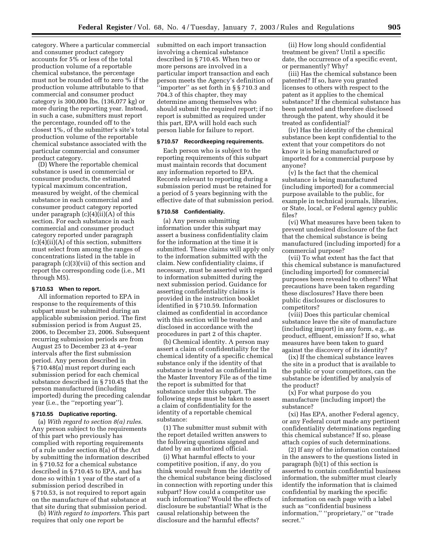category. Where a particular commercial and consumer product category accounts for 5% or less of the total production volume of a reportable chemical substance, the percentage must not be rounded off to zero % if the production volume attributable to that commercial and consumer product category is 300,000 lbs. (136,077 kg) or more during the reporting year. Instead, in such a case, submitters must report the percentage, rounded off to the closest 1%, of the submitter's site's total production volume of the reportable chemical substance associated with the particular commercial and consumer product category.

(D) Where the reportable chemical substance is used in commercial or consumer products, the estimated typical maximum concentration, measured by weight, of the chemical substance in each commercial and consumer product category reported under paragraph  $(c)(4)(ii)(A)$  of this section. For each substance in each commercial and consumer product category reported under paragraph  $(c)(4)(ii)(A)$  of this section, submitters must select from among the ranges of concentrations listed in the table in paragraph (c)(3)(vii) of this section and report the corresponding code (i.e., M1 through M5).

#### **§ 710.53 When to report.**

All information reported to EPA in response to the requirements of this subpart must be submitted during an applicable submission period. The first submission period is from August 25, 2006, to December 23, 2006. Subsequent recurring submission periods are from August 25 to December 23 at 4–year intervals after the first submission period. Any person described in § 710.48(a) must report during each submission period for each chemical substance described in § 710.45 that the person manufactured (including imported) during the preceding calendar year (i.e., the ''reporting year'').

#### **§ 710.55 Duplicative reporting.**

(a) *With regard to section 8(a) rules*. Any person subject to the requirements of this part who previously has complied with reporting requirements of a rule under section 8(a) of the Act by submitting the information described in § 710.52 for a chemical substance described in § 710.45 to EPA, and has done so within 1 year of the start of a submission period described in § 710.53, is not required to report again on the manufacture of that substance at that site during that submission period.

(b) *With regard to importers*. This part requires that only one report be

submitted on each import transaction involving a chemical substance described in § 710.45. When two or more persons are involved in a particular import transaction and each person meets the Agency's definition of ''importer'' as set forth in § § 710.3 and 704.3 of this chapter, they may determine among themselves who should submit the required report; if no report is submitted as required under this part, EPA will hold each such person liable for failure to report.

#### **§ 710.57 Recordkeeping requirements.**

Each person who is subject to the reporting requirements of this subpart must maintain records that document any information reported to EPA. Records relevant to reporting during a submission period must be retained for a period of 5 years beginning with the effective date of that submission period.

#### **§ 710.58 Confidentiality.**

(a) Any person submitting information under this subpart may assert a business confidentiality claim for the information at the time it is submitted. These claims will apply only to the information submitted with the claim. New confidentiality claims, if necessary, must be asserted with regard to information submitted during the next submission period. Guidance for asserting confidentiality claims is provided in the instruction booklet identified in § 710.59. Information claimed as confidential in accordance with this section will be treated and disclosed in accordance with the procedures in part 2 of this chapter.

(b) Chemical identity. A person may assert a claim of confidentiality for the chemical identity of a specific chemical substance only if the identity of that substance is treated as confidential in the Master Inventory File as of the time the report is submitted for that substance under this subpart. The following steps must be taken to assert a claim of confidentiality for the identity of a reportable chemical substance:

(1) The submitter must submit with the report detailed written answers to the following questions signed and dated by an authorized official.

(i) What harmful effects to your competitive position, if any, do you think would result from the identity of the chemical substance being disclosed in connection with reporting under this subpart? How could a competitor use such information? Would the effects of disclosure be substantial? What is the causal relationship between the disclosure and the harmful effects?

(ii) How long should confidential treatment be given? Until a specific date, the occurrence of a specific event, or permanently? Why?

(iii) Has the chemical substance been patented? If so, have you granted licenses to others with respect to the patent as it applies to the chemical substance? If the chemical substance has been patented and therefore disclosed through the patent, why should it be treated as confidential?

(iv) Has the identity of the chemical substance been kept confidential to the extent that your competitors do not know it is being manufactured or imported for a commercial purpose by anyone?

(v) Is the fact that the chemical substance is being manufactured (including imported) for a commercial purpose available to the public, for example in technical journals, libraries, or State, local, or Federal agency public files?

(vi) What measures have been taken to prevent undesired disclosure of the fact that the chemical substance is being manufactured (including imported) for a commercial purpose?

(vii) To what extent has the fact that this chemical substance is manufactured (including imported) for commercial purposes been revealed to others? What precautions have been taken regarding these disclosures? Have there been public disclosures or disclosures to competitors?

(viii) Does this particular chemical substance leave the site of manufacture (including import) in any form, e.g., as product, effluent, emission? If so, what measures have been taken to guard against the discovery of its identity?

(ix) If the chemical substance leaves the site in a product that is available to the public or your competitors, can the substance be identified by analysis of the product?

(x) For what purpose do you manufacture (including import) the substance?

(xi) Has EPA, another Federal agency, or any Federal court made any pertinent confidentiality determinations regarding this chemical substance? If so, please attach copies of such determinations.

(2) If any of the information contained in the answers to the questions listed in paragraph (b)(1) of this section is asserted to contain confidential business information, the submitter must clearly identify the information that is claimed confidential by marking the specific information on each page with a label such as ''confidential business information,'' ''proprietary,'' or ''trade secret.''